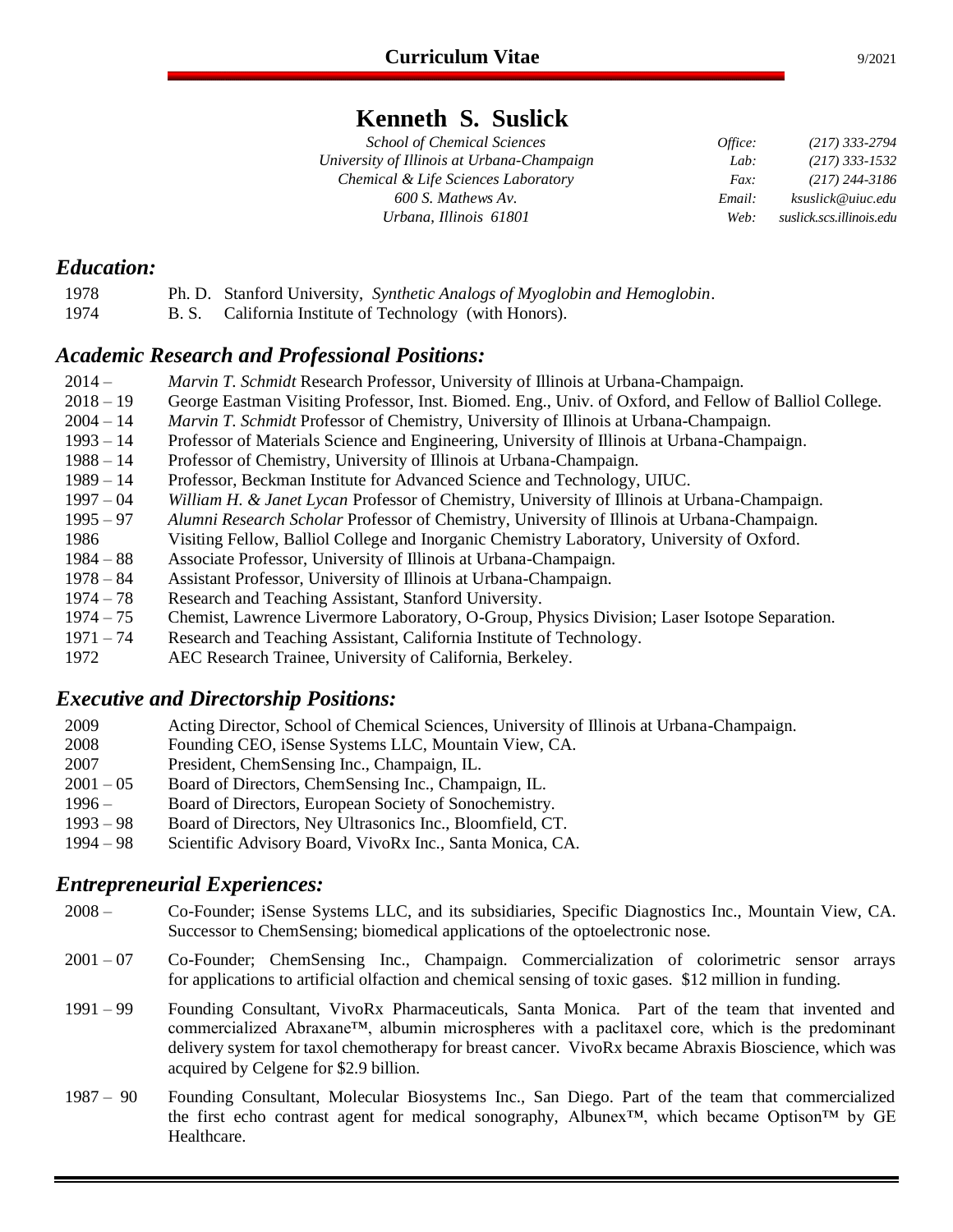## **Kenneth S. Suslick**

| <b>School of Chemical Sciences</b>         | Office: | $(217)$ 333-2794         |
|--------------------------------------------|---------|--------------------------|
| University of Illinois at Urbana-Champaign | Lab:    | $(217)$ 333-1532         |
| Chemical & Life Sciences Laboratory        | Fax:    | $(217)$ 244-3186         |
| 600 S. Mathews Av.                         | Email:  | ksuslick@uiuc.edu        |
| Urbana, Illinois 61801                     | Web:    | suslick.scs.illinois.edu |

## *Education:*

- 1978 Ph. D. Stanford University, *Synthetic Analogs of Myoglobin and Hemoglobin*.
- 1974 B. S. California Institute of Technology (with Honors).

## *Academic Research and Professional Positions:*

- 2014 *Marvin T. Schmidt* Research Professor, University of Illinois at Urbana-Champaign.
- 2018 19 George Eastman Visiting Professor, Inst. Biomed. Eng., Univ. of Oxford, and Fellow of Balliol College.
- 2004 14 *Marvin T. Schmidt* Professor of Chemistry, University of Illinois at Urbana-Champaign.
- 1993 14 Professor of Materials Science and Engineering, University of Illinois at Urbana-Champaign.
- 1988 14 Professor of Chemistry, University of Illinois at Urbana-Champaign.
- 1989 14 Professor, Beckman Institute for Advanced Science and Technology, UIUC.
- 1997 04 *William H. & Janet Lycan* Professor of Chemistry, University of Illinois at Urbana-Champaign.
- 1995 97 *Alumni Research Scholar* Professor of Chemistry, University of Illinois at Urbana-Champaign.
- 1986 Visiting Fellow, Balliol College and Inorganic Chemistry Laboratory, University of Oxford.
- 1984 88 Associate Professor, University of Illinois at Urbana-Champaign.
- 1978 84 Assistant Professor, University of Illinois at Urbana-Champaign.<br>1974 78 Research and Teaching Assistant, Stanford University.
- Research and Teaching Assistant, Stanford University.
- 1974 75 Chemist, Lawrence Livermore Laboratory, O-Group, Physics Division; Laser Isotope Separation.
- 1971 74 Research and Teaching Assistant, California Institute of Technology.
- 1972 AEC Research Trainee, University of California, Berkeley.

## *Executive and Directorship Positions:*

- 2009 Acting Director, School of Chemical Sciences, University of Illinois at Urbana-Champaign.
- 2008 Founding CEO, iSense Systems LLC, Mountain View, CA.
- 2007 President, ChemSensing Inc., Champaign, IL.
- 2001 05 Board of Directors, ChemSensing Inc., Champaign, IL.
- 1996 Board of Directors, European Society of Sonochemistry.
- 1993 98 Board of Directors, Ney Ultrasonics Inc., Bloomfield, CT.
- 1994 98 Scientific Advisory Board, VivoRx Inc., Santa Monica, CA.

## *Entrepreneurial Experiences:*

- 2008 Co-Founder; iSense Systems LLC, and its subsidiaries, Specific Diagnostics Inc., Mountain View, CA. Successor to ChemSensing; biomedical applications of the optoelectronic nose.
- 2001 07 Co-Founder; ChemSensing Inc., Champaign. Commercialization of colorimetric sensor arrays for applications to artificial olfaction and chemical sensing of toxic gases. \$12 million in funding.
- 1991 99 Founding Consultant, VivoRx Pharmaceuticals, Santa Monica. Part of the team that invented and commercialized Abraxane™, albumin microspheres with a paclitaxel core, which is the predominant delivery system for taxol chemotherapy for breast cancer. VivoRx became Abraxis Bioscience, which was acquired by Celgene for \$2.9 billion.
- 1987 90 Founding Consultant, Molecular Biosystems Inc., San Diego. Part of the team that commercialized the first echo contrast agent for medical sonography, Albunex™, which became Optison™ by GE Healthcare.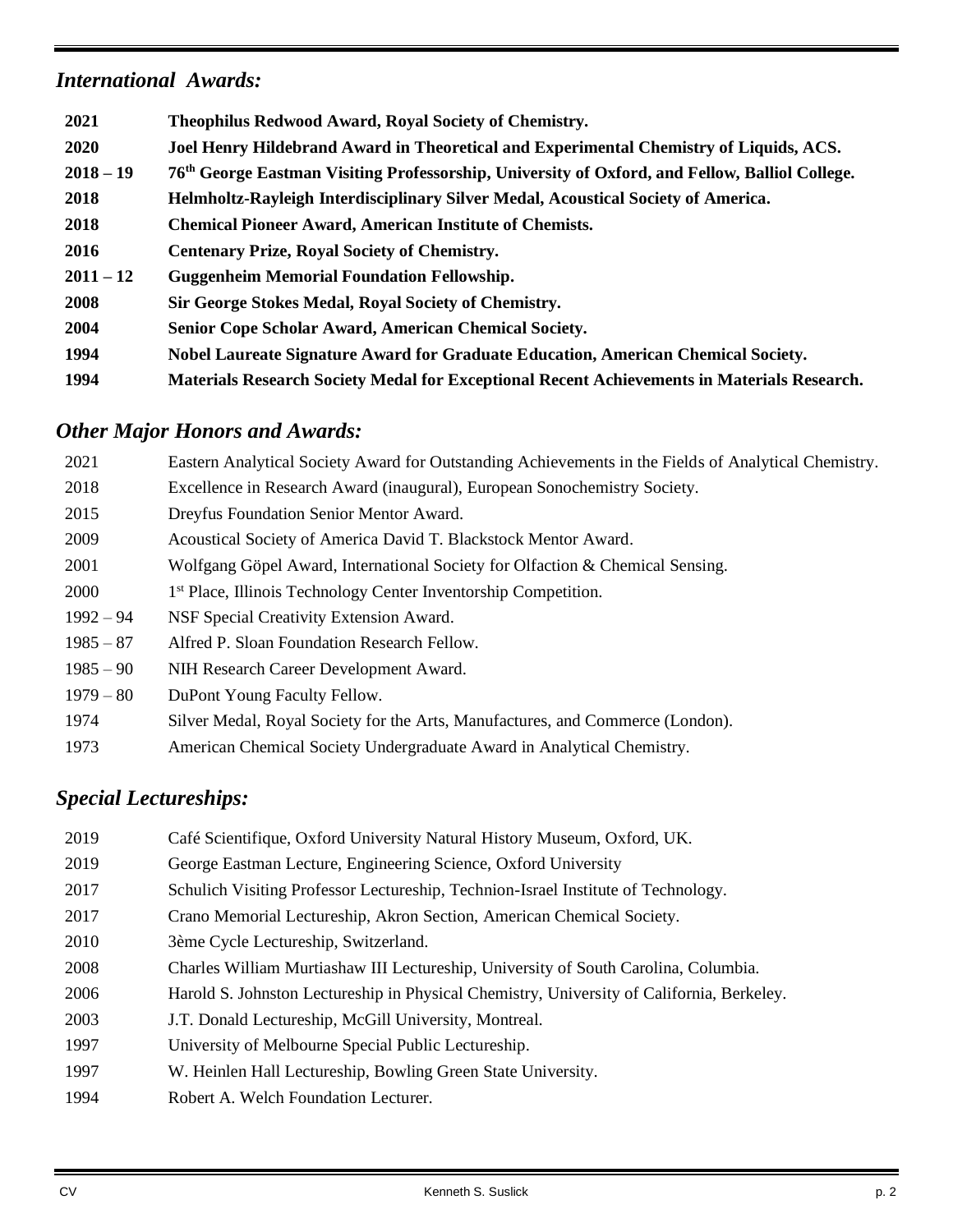## *International Awards:*

| 2021        | Theophilus Redwood Award, Royal Society of Chemistry.                                              |
|-------------|----------------------------------------------------------------------------------------------------|
| <b>2020</b> | Joel Henry Hildebrand Award in Theoretical and Experimental Chemistry of Liquids, ACS.             |
| $2018 - 19$ | 76th George Eastman Visiting Professorship, University of Oxford, and Fellow, Balliol College.     |
| 2018        | Helmholtz-Rayleigh Interdisciplinary Silver Medal, Acoustical Society of America.                  |
| 2018        | <b>Chemical Pioneer Award, American Institute of Chemists.</b>                                     |
| 2016        | <b>Centenary Prize, Royal Society of Chemistry.</b>                                                |
| $2011 - 12$ | <b>Guggenheim Memorial Foundation Fellowship.</b>                                                  |
| 2008        | Sir George Stokes Medal, Royal Society of Chemistry.                                               |
| 2004        | Senior Cope Scholar Award, American Chemical Society.                                              |
| 1994        | Nobel Laureate Signature Award for Graduate Education, American Chemical Society.                  |
| 1994        | <b>Materials Research Society Medal for Exceptional Recent Achievements in Materials Research.</b> |

# *Other Major Honors and Awards:*

| 2021        | Eastern Analytical Society Award for Outstanding Achievements in the Fields of Analytical Chemistry. |
|-------------|------------------------------------------------------------------------------------------------------|
| 2018        | Excellence in Research Award (inaugural), European Sonochemistry Society.                            |
| 2015        | Dreyfus Foundation Senior Mentor Award.                                                              |
| 2009        | Acoustical Society of America David T. Blackstock Mentor Award.                                      |
| 2001        | Wolfgang Göpel Award, International Society for Olfaction & Chemical Sensing.                        |
| 2000        | 1 <sup>st</sup> Place, Illinois Technology Center Inventorship Competition.                          |
| $1992 - 94$ | NSF Special Creativity Extension Award.                                                              |
| $1985 - 87$ | Alfred P. Sloan Foundation Research Fellow.                                                          |
| $1985 - 90$ | NIH Research Career Development Award.                                                               |
| $1979 - 80$ | DuPont Young Faculty Fellow.                                                                         |
| 1974        | Silver Medal, Royal Society for the Arts, Manufactures, and Commerce (London).                       |
| 1973        | American Chemical Society Undergraduate Award in Analytical Chemistry.                               |

# *Special Lectureships:*

| 2019 | Café Scientifique, Oxford University Natural History Museum, Oxford, UK.                  |
|------|-------------------------------------------------------------------------------------------|
| 2019 | George Eastman Lecture, Engineering Science, Oxford University                            |
| 2017 | Schulich Visiting Professor Lectureship, Technion-Israel Institute of Technology.         |
| 2017 | Crano Memorial Lectureship, Akron Section, American Chemical Society.                     |
| 2010 | 3ème Cycle Lectureship, Switzerland.                                                      |
| 2008 | Charles William Murtiashaw III Lectureship, University of South Carolina, Columbia.       |
| 2006 | Harold S. Johnston Lectureship in Physical Chemistry, University of California, Berkeley. |
| 2003 | J.T. Donald Lectureship, McGill University, Montreal.                                     |
| 1997 | University of Melbourne Special Public Lectureship.                                       |
| 1997 | W. Heinlen Hall Lectureship, Bowling Green State University.                              |
| 1994 | Robert A. Welch Foundation Lecturer.                                                      |
|      |                                                                                           |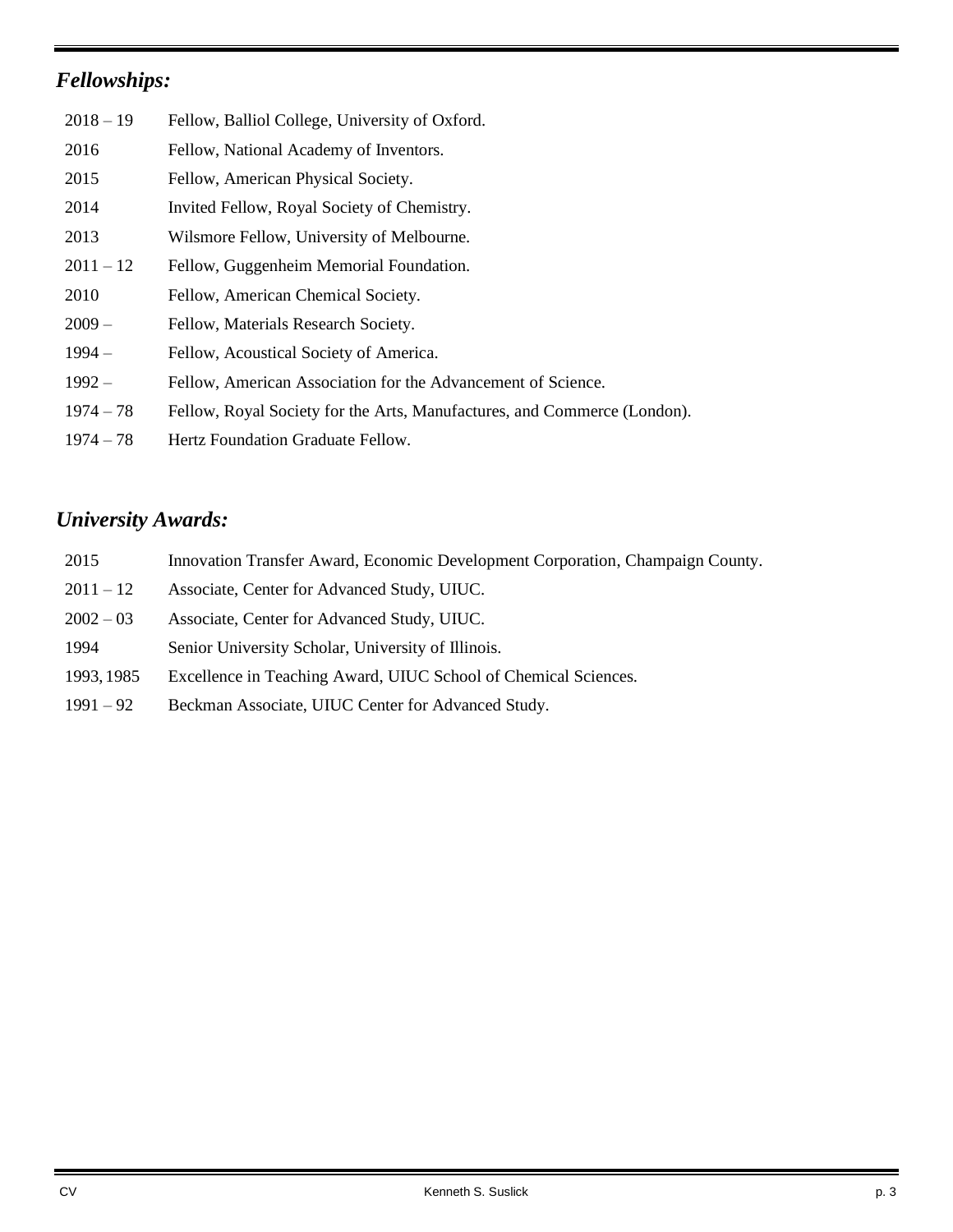# *Fellowships:*

| $2018 - 19$ | Fellow, Balliol College, University of Oxford.                           |
|-------------|--------------------------------------------------------------------------|
| 2016        | Fellow, National Academy of Inventors.                                   |
| 2015        | Fellow, American Physical Society.                                       |
| 2014        | Invited Fellow, Royal Society of Chemistry.                              |
| 2013        | Wilsmore Fellow, University of Melbourne.                                |
| $2011 - 12$ | Fellow, Guggenheim Memorial Foundation.                                  |
| 2010        | Fellow, American Chemical Society.                                       |
| $2009-$     | Fellow, Materials Research Society.                                      |
| $1994-$     | Fellow, Acoustical Society of America.                                   |
| $1992 -$    | Fellow, American Association for the Advancement of Science.             |
| $1974 - 78$ | Fellow, Royal Society for the Arts, Manufactures, and Commerce (London). |
| $1974 - 78$ | Hertz Foundation Graduate Fellow.                                        |

# *University Awards:*

| 2015        | Innovation Transfer Award, Economic Development Corporation, Champaign County. |
|-------------|--------------------------------------------------------------------------------|
| $2011 - 12$ | Associate, Center for Advanced Study, UIUC.                                    |
| $2002 - 03$ | Associate, Center for Advanced Study, UIUC.                                    |
| 1994        | Senior University Scholar, University of Illinois.                             |
| 1993, 1985  | Excellence in Teaching Award, UIUC School of Chemical Sciences.                |
| $1991 - 92$ | Beckman Associate, UIUC Center for Advanced Study.                             |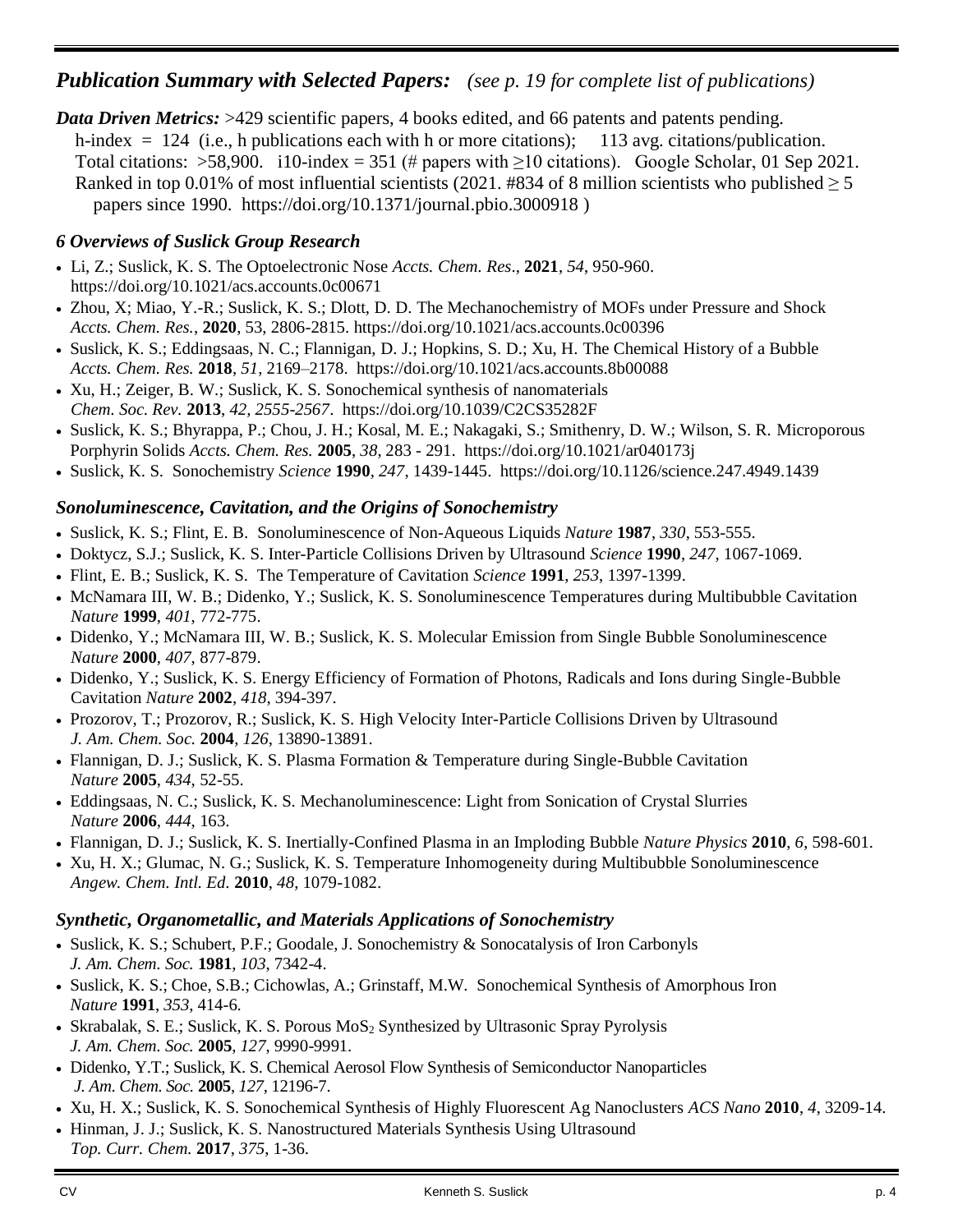## *Publication Summary with Selected Papers: (see p. 19 for complete list of publications)*

*Data Driven Metrics:* >429 scientific papers, 4 books edited, and 66 patents and patents pending. h-index  $= 124$  (i.e., h publications each with h or more citations); 113 avg. citations/publication. Total citations: >58,900. i10-index = 351 (# papers with  $\geq$ 10 citations). Google Scholar, 01 Sep 2021. Ranked in top 0.01% of most influential scientists (2021. #834 of 8 million scientists who published  $\geq 5$ papers since 1990. https://doi.org/10.1371/journal.pbio.3000918 )

### *6 Overviews of Suslick Group Research*

- Li, Z.; Suslick, K. S. The Optoelectronic Nose *Accts. Chem. Res*., **2021**, *54*, 950-960. https://doi.org/10.1021/acs.accounts.0c00671
- Zhou, X; Miao, Y.-R.; Suslick, K. S.; Dlott, D. D. The Mechanochemistry of MOFs under Pressure and Shock *Accts. Chem. Res.*, **2020**, 53, 2806-2815. https://doi.org/10.1021/acs.accounts.0c00396
- Suslick, K. S.; Eddingsaas, N. C.; Flannigan, D. J.; Hopkins, S. D.; Xu, H. The Chemical History of a Bubble *Accts. Chem. Res.* **2018**, *51*, 2169–2178. https://doi.org/10.1021/acs.accounts.8b00088
- Xu, H.; Zeiger, B. W.; Suslick, K. S. Sonochemical synthesis of nanomaterials *Chem. Soc. Rev.* **2013**, *42, 2555-2567*. https://doi.org/10.1039/C2CS35282F
- Suslick, K. S.; Bhyrappa, P.; Chou, J. H.; Kosal, M. E.; Nakagaki, S.; Smithenry, D. W.; Wilson, S. R. Microporous Porphyrin Solids *Accts. Chem. Res.* **2005**, *38*, 283 - 291. https://doi.org/10.1021/ar040173j
- Suslick, K. S. Sonochemistry *Science* **1990**, *247*, 1439-1445. https://doi.org/10.1126/science.247.4949.1439

### *Sonoluminescence, Cavitation, and the Origins of Sonochemistry*

- Suslick, K. S.; Flint, E. B. Sonoluminescence of Non-Aqueous Liquids *Nature* **1987**, *330*, 553-555.
- Doktycz, S.J.; Suslick, K. S. Inter-Particle Collisions Driven by Ultrasound *Science* **1990**, *247*, 1067-1069.
- Flint, E. B.; Suslick, K. S. The Temperature of Cavitation *Science* **1991**, *253*, 1397-1399.
- McNamara III, W. B.; Didenko, Y.; Suslick, K. S. Sonoluminescence Temperatures during Multibubble Cavitation *Nature* **1999**, *401*, 772-775.
- Didenko, Y.; McNamara III, W. B.; Suslick, K. S. Molecular Emission from Single Bubble Sonoluminescence *Nature* **2000**, *407*, 877-879.
- Didenko, Y.; Suslick, K. S. Energy Efficiency of Formation of Photons, Radicals and Ions during Single-Bubble Cavitation *Nature* **2002**, *418*, 394-397.
- Prozorov, T.; Prozorov, R.; Suslick, K. S. High Velocity Inter-Particle Collisions Driven by Ultrasound *J. Am. Chem. Soc.* **2004**, *126*, 13890-13891.
- Flannigan, D. J.; Suslick, K. S. Plasma Formation & Temperature during Single-Bubble Cavitation *Nature* **2005**, *434*, 52-55.
- Eddingsaas, N. C.; Suslick, K. S. Mechanoluminescence: Light from Sonication of Crystal Slurries *Nature* **2006**, *444*, 163.
- Flannigan, D. J.; Suslick, K. S. Inertially-Confined Plasma in an Imploding Bubble *Nature Physics* **2010**, *6*, 598-601.
- Xu, H. X.; Glumac, N. G.; Suslick, K. S. Temperature Inhomogeneity during Multibubble Sonoluminescence *Angew. Chem. Intl. Ed.* **2010**, *48*, 1079-1082.

### *Synthetic, Organometallic, and Materials Applications of Sonochemistry*

- Suslick, K. S.; Schubert, P.F.; Goodale, J. Sonochemistry & Sonocatalysis of Iron Carbonyls *J. Am. Chem. Soc.* **1981**, *103*, 7342-4.
- Suslick, K. S.; Choe, S.B.; Cichowlas, A.; Grinstaff, M.W. Sonochemical Synthesis of Amorphous Iron *Nature* **1991**, *353*, 414-6.
- Skrabalak, S. E.; Suslick, K. S. Porous  $MoS<sub>2</sub>$  Synthesized by Ultrasonic Spray Pyrolysis *J. Am. Chem. Soc.* **2005**, *127*, 9990-9991.
- Didenko, Y.T.; Suslick, K. S. Chemical Aerosol Flow Synthesis of Semiconductor Nanoparticles *J. Am. Chem. Soc.* **2005**, *127*, 12196-7.
- Xu, H. X.; Suslick, K. S. Sonochemical Synthesis of Highly Fluorescent Ag Nanoclusters *ACS Nano* **2010**, *4*, 3209-14.
- Hinman, J. J.; Suslick, K. S. Nanostructured Materials Synthesis Using Ultrasound *Top. Curr. Chem.* **2017**, *375*, 1-36.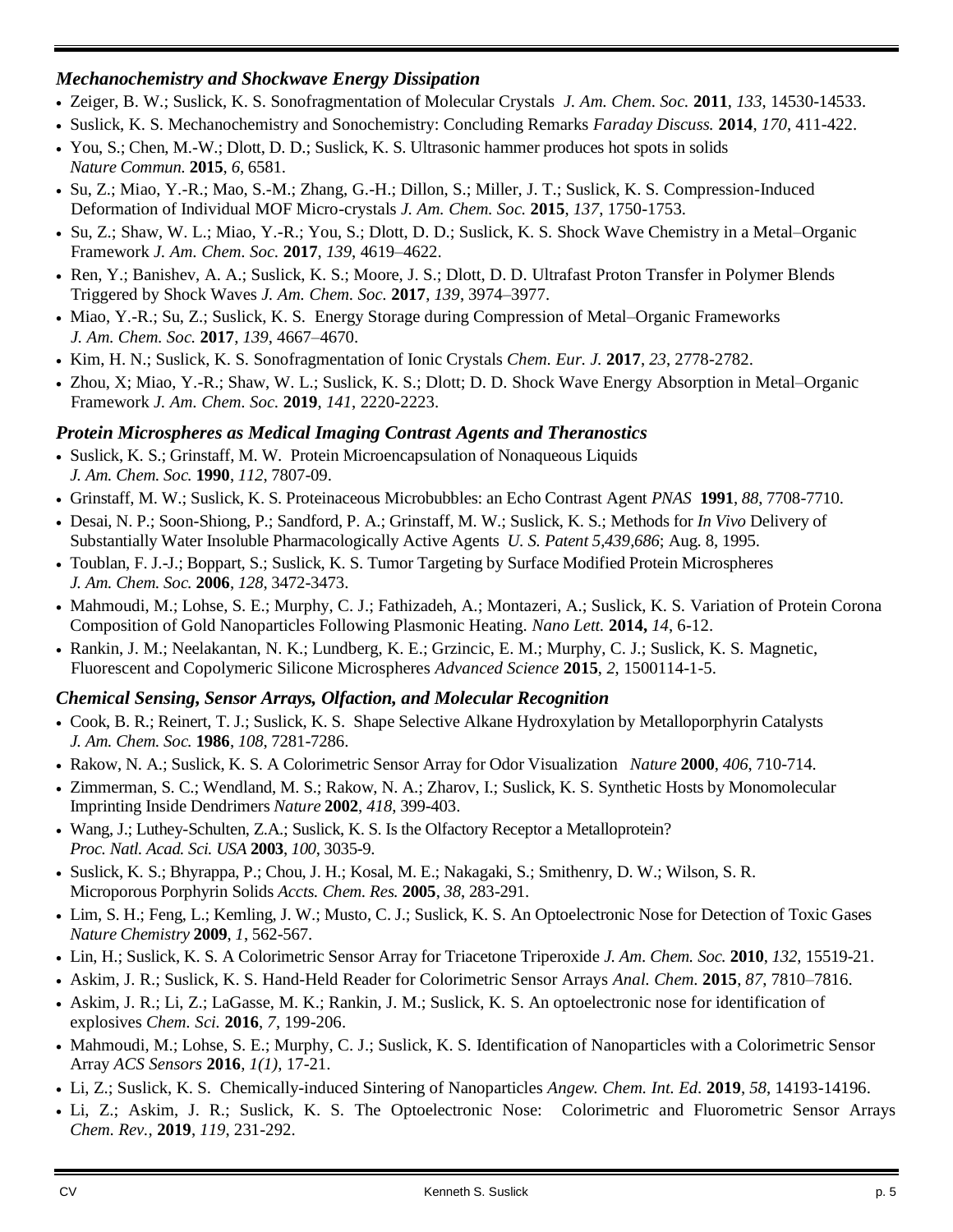## *Mechanochemistry and Shockwave Energy Dissipation*

- Zeiger, B. W.; Suslick, K. S. Sonofragmentation of Molecular Crystals *J. Am. Chem. Soc.* **2011**, *133*, 14530-14533.
- Suslick, K. S. Mechanochemistry and Sonochemistry: Concluding Remarks *Faraday Discuss.* **2014**, *170*, 411-422.
- You, S.; Chen, M.-W.; Dlott, D. D.; Suslick, K. S. Ultrasonic hammer produces hot spots in solids *Nature Commun.* **2015**, *6*, 6581.
- Su, Z.; Miao, Y.-R.; Mao, S.-M.; Zhang, G.-H.; Dillon, S.; Miller, J. T.; Suslick, K. S. Compression-Induced Deformation of Individual MOF Micro-crystals *J. Am. Chem. Soc.* **2015**, *137*, 1750-1753.
- Su, Z.; Shaw, W. L.; Miao, Y.-R.; You, S.; Dlott, D. D.; Suslick, K. S. Shock Wave Chemistry in a Metal–Organic Framework *J. Am. Chem. Soc.* **2017**, *139*, 4619–4622.
- Ren, Y.; Banishev, A. A.; Suslick, K. S.; Moore, J. S.; Dlott, D. D. Ultrafast Proton Transfer in Polymer Blends Triggered by Shock Waves *J. Am. Chem. Soc.* **2017**, *139*, 3974–3977.
- Miao, Y.-R.; Su, Z.; Suslick, K. S. Energy Storage during Compression of Metal–Organic Frameworks *J. Am. Chem. Soc.* **2017**, *139*, 4667–4670.
- Kim, H. N.; Suslick, K. S. Sonofragmentation of Ionic Crystals *Chem. Eur. J.* **2017**, *23*, 2778-2782.
- Zhou, X; Miao, Y.-R.; Shaw, W. L.; Suslick, K. S.; Dlott; D. D. Shock Wave Energy Absorption in Metal–Organic Framework *J. Am. Chem. Soc.* **2019**, *141*, 2220-2223.

## *Protein Microspheres as Medical Imaging Contrast Agents and Theranostics*

- Suslick, K. S.; Grinstaff, M. W. Protein Microencapsulation of Nonaqueous Liquids *J. Am. Chem. Soc.* **1990**, *112*, 7807-09.
- Grinstaff, M. W.; Suslick, K. S. Proteinaceous Microbubbles: an Echo Contrast Agent *PNAS* **1991**, *88*, 7708-7710.
- Desai, N. P.; Soon-Shiong, P.; Sandford, P. A.; Grinstaff, M. W.; Suslick, K. S.; Methods for *In Vivo* Delivery of Substantially Water Insoluble Pharmacologically Active Agents *U. S. Patent 5*,*439*,*686*; Aug. 8, 1995.
- Toublan, F. J.-J.; Boppart, S.; Suslick, K. S. Tumor Targeting by Surface Modified Protein Microspheres *J. Am. Chem. Soc.* **2006**, *128*, 3472-3473.
- Mahmoudi, M.; Lohse, S. E.; Murphy, C. J.; Fathizadeh, A.; Montazeri, A.; Suslick, K. S. Variation of Protein Corona Composition of Gold Nanoparticles Following Plasmonic Heating. *Nano Lett.* **2014,** *14*, 6-12.
- Rankin, J. M.; Neelakantan, N. K.; Lundberg, K. E.; Grzincic, E. M.; Murphy, C. J.; Suslick, K. S. Magnetic, Fluorescent and Copolymeric Silicone Microspheres *Advanced Science* **2015**, *2*, 1500114-1-5.

## *Chemical Sensing, Sensor Arrays, Olfaction, and Molecular Recognition*

- Cook, B. R.; Reinert, T. J.; Suslick, K. S. Shape Selective Alkane Hydroxylation by Metalloporphyrin Catalysts *J. Am. Chem. Soc.* **1986**, *108*, 7281-7286.
- Rakow, N. A.; Suslick, K. S. A Colorimetric Sensor Array for Odor Visualization *Nature* **2000**, *406*, 710-714.
- Zimmerman, S. C.; Wendland, M. S.; Rakow, N. A.; Zharov, I.; Suslick, K. S. Synthetic Hosts by Monomolecular Imprinting Inside Dendrimers *Nature* **2002**, *418*, 399-403.
- Wang, J.; Luthey-Schulten, Z.A.; Suslick, K. S. Is the Olfactory Receptor a Metalloprotein? *Proc. Natl. Acad. Sci. USA* **2003**, *100*, 3035-9.
- Suslick, K. S.; Bhyrappa, P.; Chou, J. H.; Kosal, M. E.; Nakagaki, S.; Smithenry, D. W.; Wilson, S. R. Microporous Porphyrin Solids *Accts. Chem. Res.* **2005**, *38*, 283-291.
- Lim, S. H.; Feng, L.; Kemling, J. W.; Musto, C. J.; Suslick, K. S. An Optoelectronic Nose for Detection of Toxic Gases *Nature Chemistry* **2009**, *1*, 562-567.
- Lin, H.; Suslick, K. S. A Colorimetric Sensor Array for Triacetone Triperoxide *J. Am. Chem. Soc.* **2010**, *132*, 15519-21.
- Askim, J. R.; Suslick, K. S. Hand-Held Reader for Colorimetric Sensor Arrays *Anal. Chem.* **2015**, *87*, 7810–7816.
- Askim, J. R.; Li, Z.; LaGasse, M. K.; Rankin, J. M.; Suslick, K. S. An optoelectronic nose for identification of explosives *Chem. Sci.* **2016**, *7*, 199-206.
- Mahmoudi, M.; Lohse, S. E.; Murphy, C. J.; Suslick, K. S. Identification of Nanoparticles with a Colorimetric Sensor Array *ACS Sensors* **2016**, *1(1)*, 17-21.
- Li, Z.; Suslick, K. S. Chemically-induced Sintering of Nanoparticles *Angew. Chem. Int. Ed.* **2019**, *58*, 14193-14196.
- Li, Z.; Askim, J. R.; Suslick, K. S. The Optoelectronic Nose: Colorimetric and Fluorometric Sensor Arrays *Chem. Rev.,* **2019**, *119*, 231-292.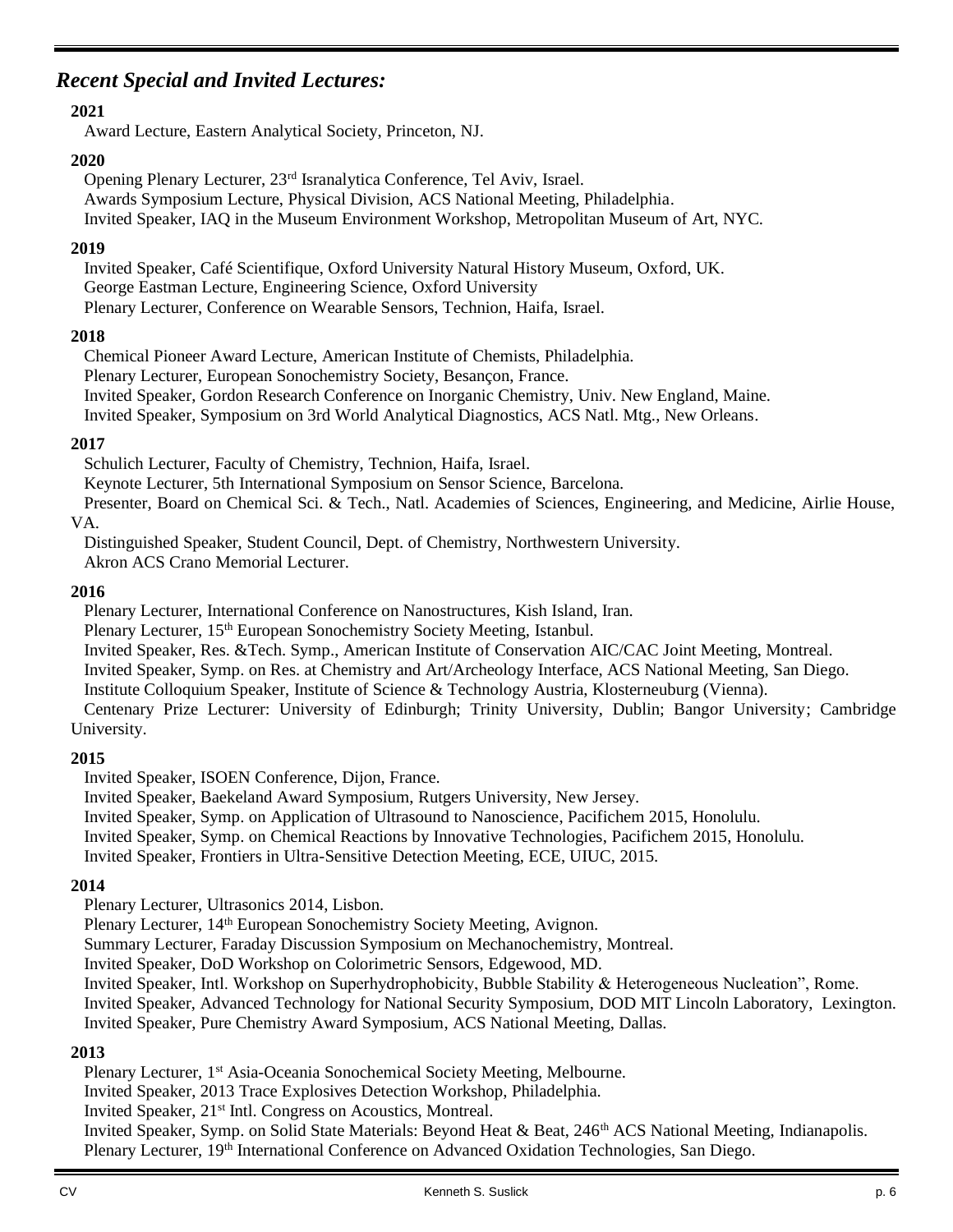## *Recent Special and Invited Lectures:*

### **2021**

Award Lecture, Eastern Analytical Society, Princeton, NJ.

### **2020**

Opening Plenary Lecturer, 23rd Isranalytica Conference, Tel Aviv, Israel. Awards Symposium Lecture, Physical Division, ACS National Meeting, Philadelphia. Invited Speaker, IAQ in the Museum Environment Workshop, Metropolitan Museum of Art, NYC.

### **2019**

Invited Speaker, Café Scientifique, Oxford University Natural History Museum, Oxford, UK. George Eastman Lecture, Engineering Science, Oxford University Plenary Lecturer, Conference on Wearable Sensors, Technion, Haifa, Israel.

### **2018**

Chemical Pioneer Award Lecture, American Institute of Chemists, Philadelphia. Plenary Lecturer, European Sonochemistry Society, Besançon, France. Invited Speaker, Gordon Research Conference on Inorganic Chemistry, Univ. New England, Maine. Invited Speaker, Symposium on 3rd World Analytical Diagnostics, ACS Natl. Mtg., New Orleans.

### **2017**

Schulich Lecturer, Faculty of Chemistry, Technion, Haifa, Israel.

Keynote Lecturer, 5th International Symposium on Sensor Science, Barcelona.

Presenter, Board on Chemical Sci. & Tech., Natl. Academies of Sciences, Engineering, and Medicine, Airlie House, VA.

Distinguished Speaker, Student Council, Dept. of Chemistry, Northwestern University.

Akron ACS Crano Memorial Lecturer.

### **2016**

Plenary Lecturer, International Conference on Nanostructures, Kish Island, Iran.

Plenary Lecturer, 15th European Sonochemistry Society Meeting, Istanbul.

Invited Speaker, Res. &Tech. Symp., American Institute of Conservation AIC/CAC Joint Meeting, Montreal.

Invited Speaker, Symp. on Res. at Chemistry and Art/Archeology Interface, ACS National Meeting, San Diego.

Institute Colloquium Speaker, Institute of Science & Technology Austria, Klosterneuburg (Vienna).

Centenary Prize Lecturer: University of Edinburgh; Trinity University, Dublin; Bangor University; Cambridge University.

## **2015**

Invited Speaker, ISOEN Conference, Dijon, France.

Invited Speaker, Baekeland Award Symposium, Rutgers University, New Jersey.

Invited Speaker, Symp. on Application of Ultrasound to Nanoscience, Pacifichem 2015, Honolulu.

Invited Speaker, Symp. on Chemical Reactions by Innovative Technologies, Pacifichem 2015, Honolulu.

Invited Speaker, Frontiers in Ultra-Sensitive Detection Meeting, ECE, UIUC, 2015.

## **2014**

Plenary Lecturer, Ultrasonics 2014, Lisbon.

Plenary Lecturer, 14<sup>th</sup> European Sonochemistry Society Meeting, Avignon.

Summary Lecturer, Faraday Discussion Symposium on Mechanochemistry, Montreal.

Invited Speaker, DoD Workshop on Colorimetric Sensors, Edgewood, MD.

Invited Speaker, Intl. Workshop on Superhydrophobicity, Bubble Stability & Heterogeneous Nucleation", Rome.

Invited Speaker, Advanced Technology for National Security Symposium, DOD MIT Lincoln Laboratory, Lexington. Invited Speaker, Pure Chemistry Award Symposium, ACS National Meeting, Dallas.

## **2013**

Plenary Lecturer, 1<sup>st</sup> Asia-Oceania Sonochemical Society Meeting, Melbourne.

Invited Speaker, 2013 Trace Explosives Detection Workshop, Philadelphia.

Invited Speaker, 21st Intl. Congress on Acoustics, Montreal.

Invited Speaker, Symp. on Solid State Materials: Beyond Heat & Beat, 246<sup>th</sup> ACS National Meeting, Indianapolis. Plenary Lecturer, 19th International Conference on Advanced Oxidation Technologies, San Diego.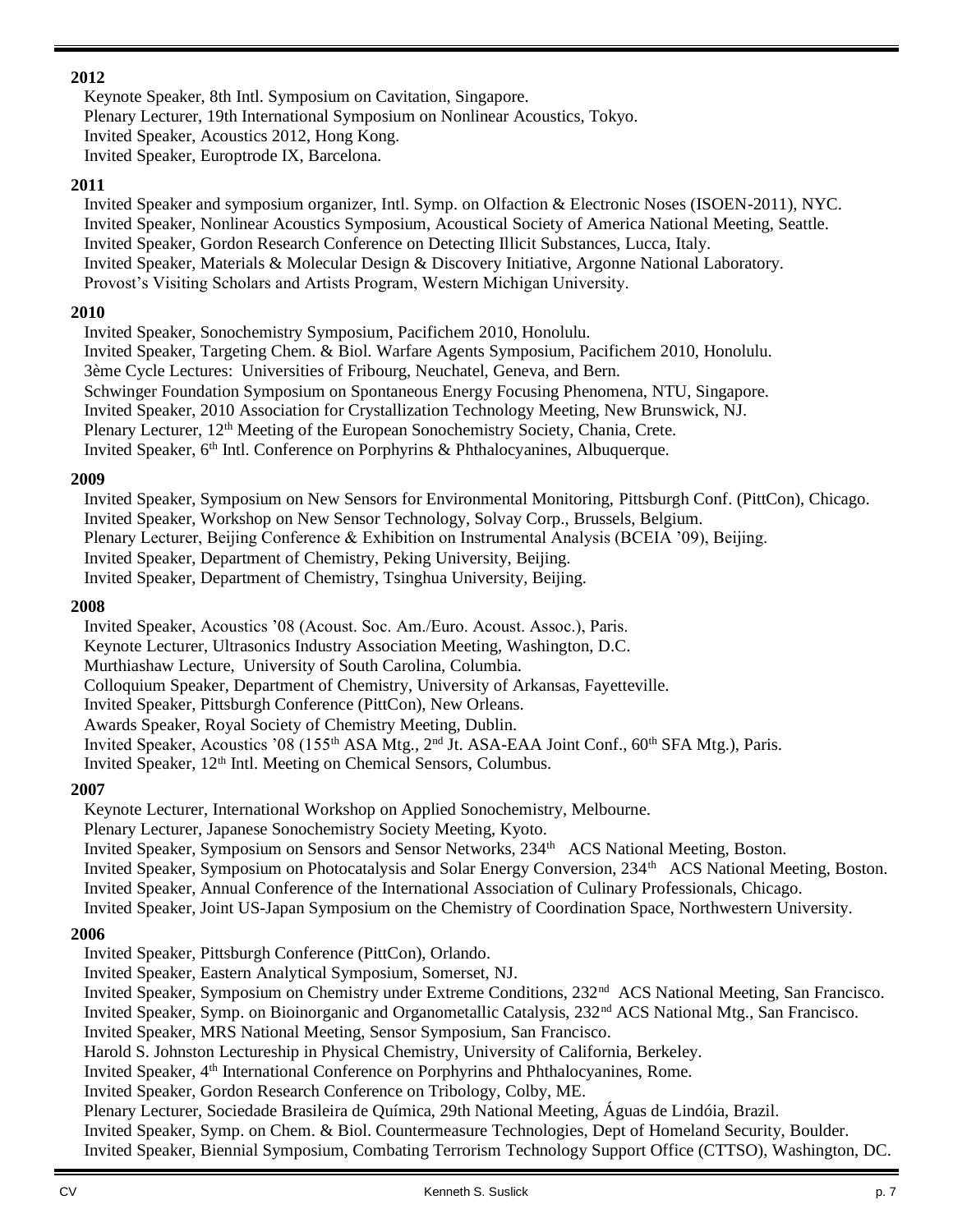## **2012**

Keynote Speaker, 8th Intl. Symposium on Cavitation, Singapore. Plenary Lecturer, 19th International Symposium on Nonlinear Acoustics, Tokyo. Invited Speaker, Acoustics 2012, Hong Kong. Invited Speaker, Europtrode IX, Barcelona.

### **2011**

Invited Speaker and symposium organizer, Intl. Symp. on Olfaction & Electronic Noses (ISOEN-2011), NYC. Invited Speaker, Nonlinear Acoustics Symposium, Acoustical Society of America National Meeting, Seattle. Invited Speaker, Gordon Research Conference on Detecting Illicit Substances, Lucca, Italy. Invited Speaker, Materials & Molecular Design & Discovery Initiative, Argonne National Laboratory. Provost's Visiting Scholars and Artists Program, Western Michigan University.

## **2010**

Invited Speaker, Sonochemistry Symposium, Pacifichem 2010, Honolulu. Invited Speaker, Targeting Chem. & Biol. Warfare Agents Symposium, Pacifichem 2010, Honolulu. 3ème Cycle Lectures: Universities of Fribourg, Neuchatel, Geneva, and Bern. Schwinger Foundation Symposium on Spontaneous Energy Focusing Phenomena, NTU, Singapore. Invited Speaker, 2010 Association for Crystallization Technology Meeting, New Brunswick, NJ. Plenary Lecturer, 12th Meeting of the European Sonochemistry Society, Chania, Crete. Invited Speaker, 6<sup>th</sup> Intl. Conference on Porphyrins & Phthalocyanines, Albuquerque.

## **2009**

Invited Speaker, Symposium on New Sensors for Environmental Monitoring, Pittsburgh Conf. (PittCon), Chicago. Invited Speaker, Workshop on New Sensor Technology, Solvay Corp., Brussels, Belgium. Plenary Lecturer, Beijing Conference & Exhibition on Instrumental Analysis (BCEIA '09), Beijing. Invited Speaker, Department of Chemistry, Peking University, Beijing. Invited Speaker, Department of Chemistry, Tsinghua University, Beijing.

### **2008**

Invited Speaker, Acoustics '08 (Acoust. Soc. Am./Euro. Acoust. Assoc.), Paris. Keynote Lecturer, Ultrasonics Industry Association Meeting, Washington, D.C. Murthiashaw Lecture, University of South Carolina, Columbia. Colloquium Speaker, Department of Chemistry, University of Arkansas, Fayetteville. Invited Speaker, Pittsburgh Conference (PittCon), New Orleans. Awards Speaker, Royal Society of Chemistry Meeting, Dublin. Invited Speaker, Acoustics '08 (155<sup>th</sup> ASA Mtg., 2<sup>nd</sup> Jt. ASA-EAA Joint Conf., 60<sup>th</sup> SFA Mtg.), Paris. Invited Speaker, 12<sup>th</sup> Intl. Meeting on Chemical Sensors, Columbus.

## **2007**

Keynote Lecturer, International Workshop on Applied Sonochemistry, Melbourne.

Plenary Lecturer, Japanese Sonochemistry Society Meeting, Kyoto.

Invited Speaker, Symposium on Sensors and Sensor Networks, 234<sup>th</sup> ACS National Meeting, Boston.

Invited Speaker, Symposium on Photocatalysis and Solar Energy Conversion, 234<sup>th</sup> ACS National Meeting, Boston.

Invited Speaker, Annual Conference of the International Association of Culinary Professionals, Chicago.

Invited Speaker, Joint US-Japan Symposium on the Chemistry of Coordination Space, Northwestern University.

## **2006**

Invited Speaker, Pittsburgh Conference (PittCon), Orlando.

Invited Speaker, Eastern Analytical Symposium, Somerset, NJ.

Invited Speaker, Symposium on Chemistry under Extreme Conditions, 232<sup>nd</sup> ACS National Meeting, San Francisco.

Invited Speaker, Symp. on Bioinorganic and Organometallic Catalysis, 232nd ACS National Mtg., San Francisco.

Invited Speaker, MRS National Meeting, Sensor Symposium, San Francisco.

Harold S. Johnston Lectureship in Physical Chemistry, University of California, Berkeley.

Invited Speaker, 4th International Conference on Porphyrins and Phthalocyanines, Rome.

Invited Speaker, Gordon Research Conference on Tribology, Colby, ME.

Plenary Lecturer, Sociedade Brasileira de Química, 29th National Meeting, Águas de Lindóia, Brazil.

Invited Speaker, Symp. on Chem. & Biol. Countermeasure Technologies, Dept of Homeland Security, Boulder. Invited Speaker, Biennial Symposium, Combating Terrorism Technology Support Office (CTTSO), Washington, DC.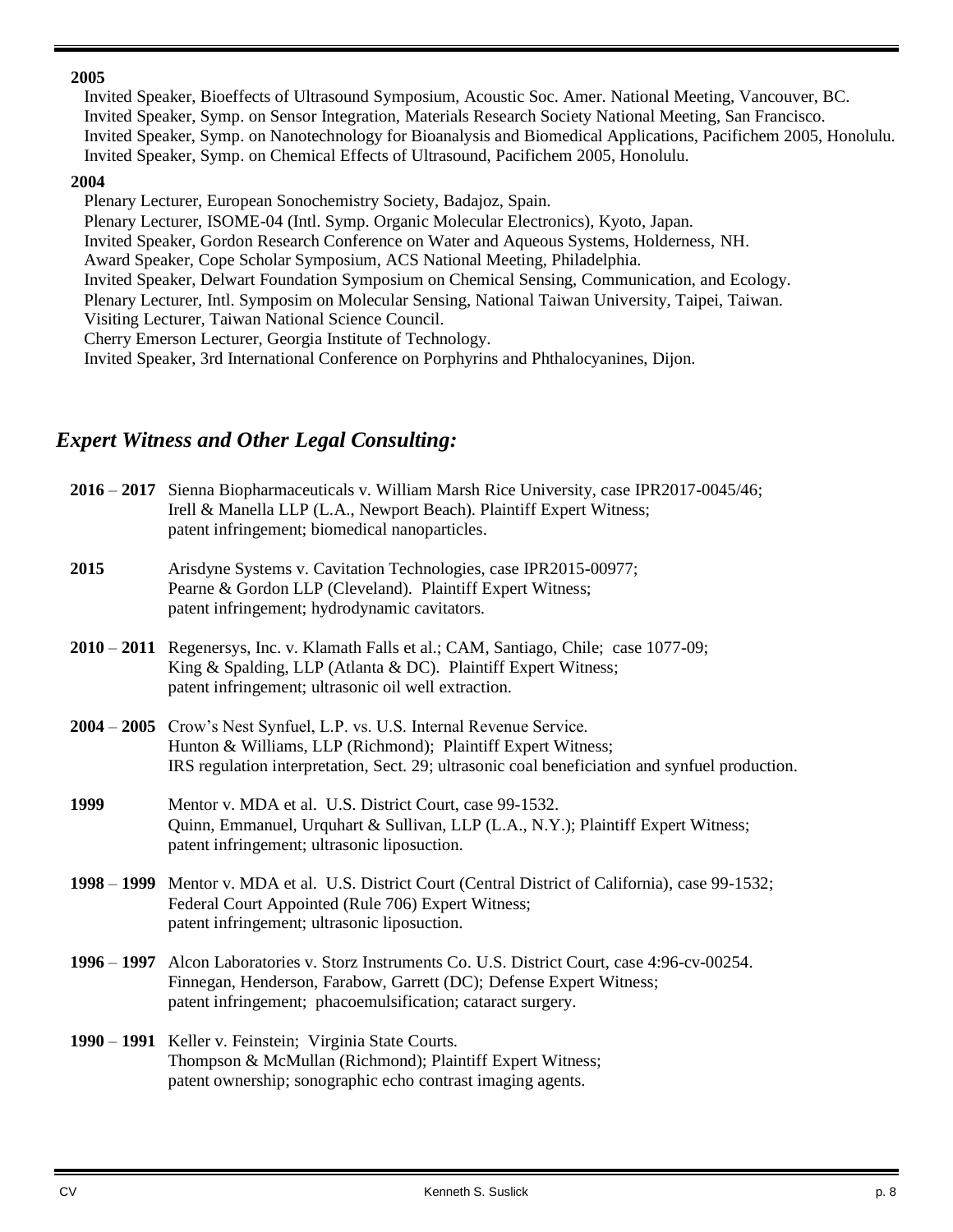### **2005**

Invited Speaker, Bioeffects of Ultrasound Symposium, Acoustic Soc. Amer. National Meeting, Vancouver, BC. Invited Speaker, Symp. on Sensor Integration, Materials Research Society National Meeting, San Francisco. Invited Speaker, Symp. on Nanotechnology for Bioanalysis and Biomedical Applications, Pacifichem 2005, Honolulu. Invited Speaker, Symp. on Chemical Effects of Ultrasound, Pacifichem 2005, Honolulu.

#### **2004**

Plenary Lecturer, European Sonochemistry Society, Badajoz, Spain.

Plenary Lecturer, ISOME-04 (Intl. Symp. Organic Molecular Electronics), Kyoto, Japan.

Invited Speaker, Gordon Research Conference on Water and Aqueous Systems, Holderness, NH.

Award Speaker, Cope Scholar Symposium, ACS National Meeting, Philadelphia.

Invited Speaker, Delwart Foundation Symposium on Chemical Sensing, Communication, and Ecology.

Plenary Lecturer, Intl. Symposim on Molecular Sensing, National Taiwan University, Taipei, Taiwan.

Visiting Lecturer, Taiwan National Science Council.

Cherry Emerson Lecturer, Georgia Institute of Technology.

Invited Speaker, 3rd International Conference on Porphyrins and Phthalocyanines, Dijon.

## *Expert Witness and Other Legal Consulting:*

|      | 2016 - 2017 Sienna Biopharmaceuticals v. William Marsh Rice University, case IPR2017-0045/46;<br>Irell & Manella LLP (L.A., Newport Beach). Plaintiff Expert Witness;<br>patent infringement; biomedical nanoparticles.                    |
|------|--------------------------------------------------------------------------------------------------------------------------------------------------------------------------------------------------------------------------------------------|
| 2015 | Arisdyne Systems v. Cavitation Technologies, case IPR2015-00977;<br>Pearne & Gordon LLP (Cleveland). Plaintiff Expert Witness;<br>patent infringement; hydrodynamic cavitators.                                                            |
|      | 2010 – 2011 Regenersys, Inc. v. Klamath Falls et al.; CAM, Santiago, Chile; case 1077-09;<br>King & Spalding, LLP (Atlanta & DC). Plaintiff Expert Witness;<br>patent infringement; ultrasonic oil well extraction.                        |
|      | 2004 – 2005 Crow's Nest Synfuel, L.P. vs. U.S. Internal Revenue Service.<br>Hunton & Williams, LLP (Richmond); Plaintiff Expert Witness;<br>IRS regulation interpretation, Sect. 29; ultrasonic coal beneficiation and synfuel production. |
| 1999 | Mentor v. MDA et al. U.S. District Court, case 99-1532.<br>Quinn, Emmanuel, Urquhart & Sullivan, LLP (L.A., N.Y.); Plaintiff Expert Witness;<br>patent infringement; ultrasonic liposuction.                                               |
|      | 1998 – 1999 Mentor v. MDA et al. U.S. District Court (Central District of California), case 99-1532;<br>Federal Court Appointed (Rule 706) Expert Witness;<br>patent infringement; ultrasonic liposuction.                                 |
|      | 1996 - 1997 Alcon Laboratories v. Storz Instruments Co. U.S. District Court, case 4:96-cv-00254.<br>Finnegan, Henderson, Farabow, Garrett (DC); Defense Expert Witness;<br>patent infringement; phacoemulsification; cataract surgery.     |
|      | 1990 – 1991 Keller v. Feinstein; Virginia State Courts.                                                                                                                                                                                    |

Thompson & McMullan (Richmond); Plaintiff Expert Witness; patent ownership; sonographic echo contrast imaging agents.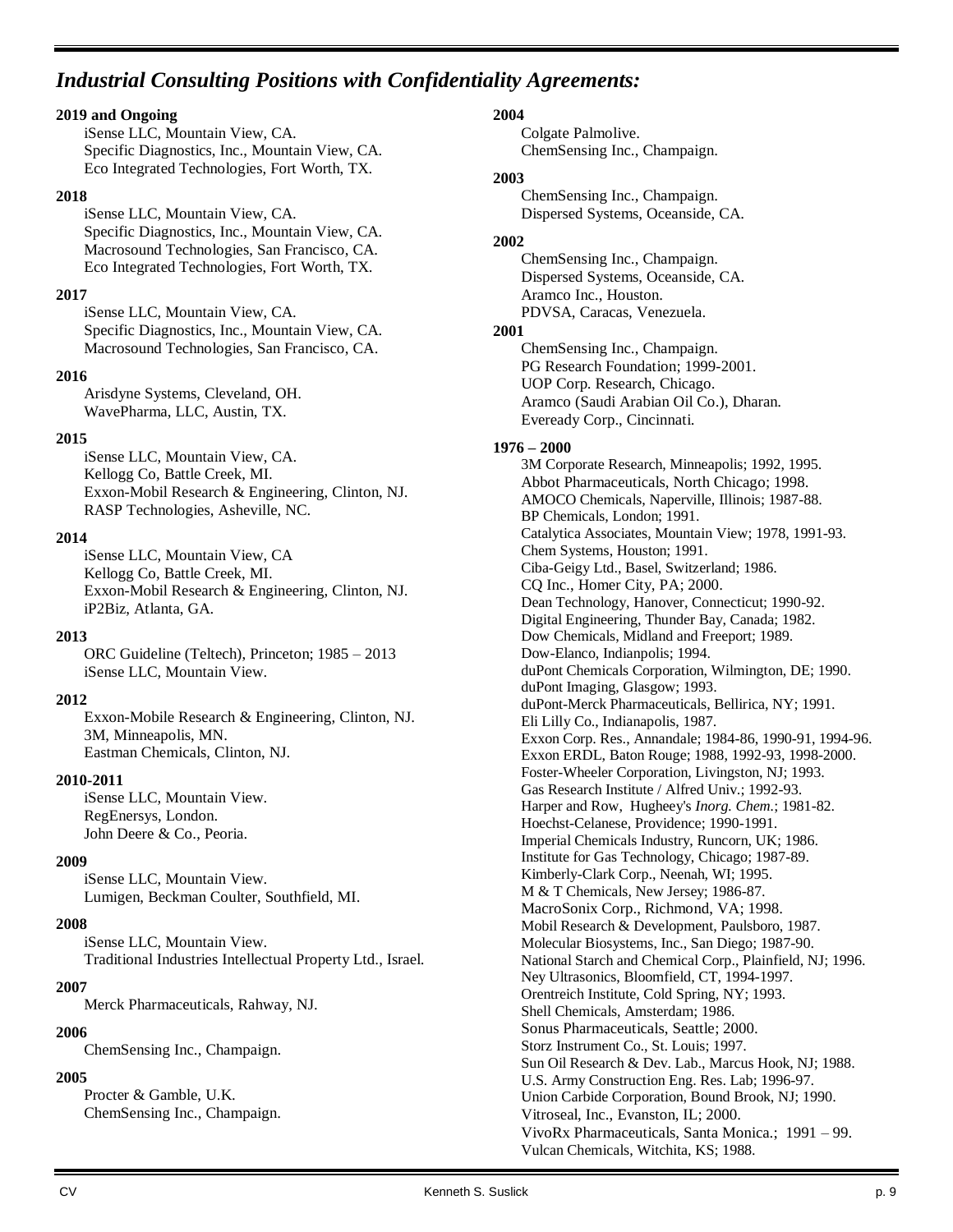## *Industrial Consulting Positions with Confidentiality Agreements:*

#### **2019 and Ongoing**

iSense LLC, Mountain View, CA. Specific Diagnostics, Inc., Mountain View, CA. Eco Integrated Technologies, Fort Worth, TX.

#### **2018**

iSense LLC, Mountain View, CA. Specific Diagnostics, Inc., Mountain View, CA. Macrosound Technologies, San Francisco, CA. Eco Integrated Technologies, Fort Worth, TX.

#### **2017**

iSense LLC, Mountain View, CA. Specific Diagnostics, Inc., Mountain View, CA. Macrosound Technologies, San Francisco, CA.

#### **2016**

Arisdyne Systems, Cleveland, OH. WavePharma, LLC, Austin, TX.

#### **2015**

iSense LLC, Mountain View, CA. Kellogg Co, Battle Creek, MI. Exxon-Mobil Research & Engineering, Clinton, NJ. RASP Technologies, Asheville, NC.

#### **2014**

iSense LLC, Mountain View, CA Kellogg Co, Battle Creek, MI. Exxon-Mobil Research & Engineering, Clinton, NJ. iP2Biz, Atlanta, GA.

#### **2013**

ORC Guideline (Teltech), Princeton; 1985 – 2013 iSense LLC, Mountain View.

#### **2012**

Exxon-Mobile Research & Engineering, Clinton, NJ. 3M, Minneapolis, MN. Eastman Chemicals, Clinton, NJ.

#### **2010-2011**

iSense LLC, Mountain View. RegEnersys, London. John Deere & Co., Peoria.

#### **2009**

iSense LLC, Mountain View. Lumigen, Beckman Coulter, Southfield, MI.

#### **2008**

iSense LLC, Mountain View. Traditional Industries Intellectual Property Ltd., Israel.

#### **2007**

Merck Pharmaceuticals, Rahway, NJ.

#### **2006**

ChemSensing Inc., Champaign.

#### **2005**

Procter & Gamble, U.K. ChemSensing Inc., Champaign.

#### **2004**

Colgate Palmolive. ChemSensing Inc., Champaign.

#### **2003**

ChemSensing Inc., Champaign. Dispersed Systems, Oceanside, CA.

#### **2002**

ChemSensing Inc., Champaign. Dispersed Systems, Oceanside, CA. Aramco Inc., Houston. PDVSA, Caracas, Venezuela.

#### **2001**

ChemSensing Inc., Champaign. PG Research Foundation; 1999-2001. UOP Corp. Research, Chicago. Aramco (Saudi Arabian Oil Co.), Dharan. Eveready Corp., Cincinnati.

#### **1976 – 2000**

3M Corporate Research, Minneapolis; 1992, 1995. Abbot Pharmaceuticals, North Chicago; 1998. AMOCO Chemicals, Naperville, Illinois; 1987-88. BP Chemicals, London; 1991. Catalytica Associates, Mountain View; 1978, 1991-93. Chem Systems, Houston; 1991. Ciba-Geigy Ltd., Basel, Switzerland; 1986. CQ Inc., Homer City, PA; 2000. Dean Technology, Hanover, Connecticut; 1990-92. Digital Engineering, Thunder Bay, Canada; 1982. Dow Chemicals, Midland and Freeport; 1989. Dow-Elanco, Indianpolis; 1994. duPont Chemicals Corporation, Wilmington, DE; 1990. duPont Imaging, Glasgow; 1993. duPont-Merck Pharmaceuticals, Bellirica, NY; 1991. Eli Lilly Co., Indianapolis, 1987. Exxon Corp. Res., Annandale; 1984-86, 1990-91, 1994-96. Exxon ERDL, Baton Rouge; 1988, 1992-93, 1998-2000. Foster-Wheeler Corporation, Livingston, NJ; 1993. Gas Research Institute / Alfred Univ.; 1992-93. Harper and Row, Hugheey's *Inorg. Chem.*; 1981-82. Hoechst-Celanese, Providence; 1990-1991. Imperial Chemicals Industry, Runcorn, UK; 1986. Institute for Gas Technology, Chicago; 1987-89. Kimberly-Clark Corp., Neenah, WI; 1995. M & T Chemicals, New Jersey; 1986-87. MacroSonix Corp., Richmond, VA; 1998. Mobil Research & Development, Paulsboro, 1987. Molecular Biosystems, Inc., San Diego; 1987-90. National Starch and Chemical Corp., Plainfield, NJ; 1996. Ney Ultrasonics, Bloomfield, CT, 1994-1997. Orentreich Institute, Cold Spring, NY; 1993. Shell Chemicals, Amsterdam; 1986. Sonus Pharmaceuticals, Seattle; 2000. Storz Instrument Co., St. Louis; 1997. Sun Oil Research & Dev. Lab., Marcus Hook, NJ; 1988. U.S. Army Construction Eng. Res. Lab; 1996-97. Union Carbide Corporation, Bound Brook, NJ; 1990. Vitroseal, Inc., Evanston, IL; 2000. VivoRx Pharmaceuticals, Santa Monica.; 1991 – 99. Vulcan Chemicals, Witchita, KS; 1988.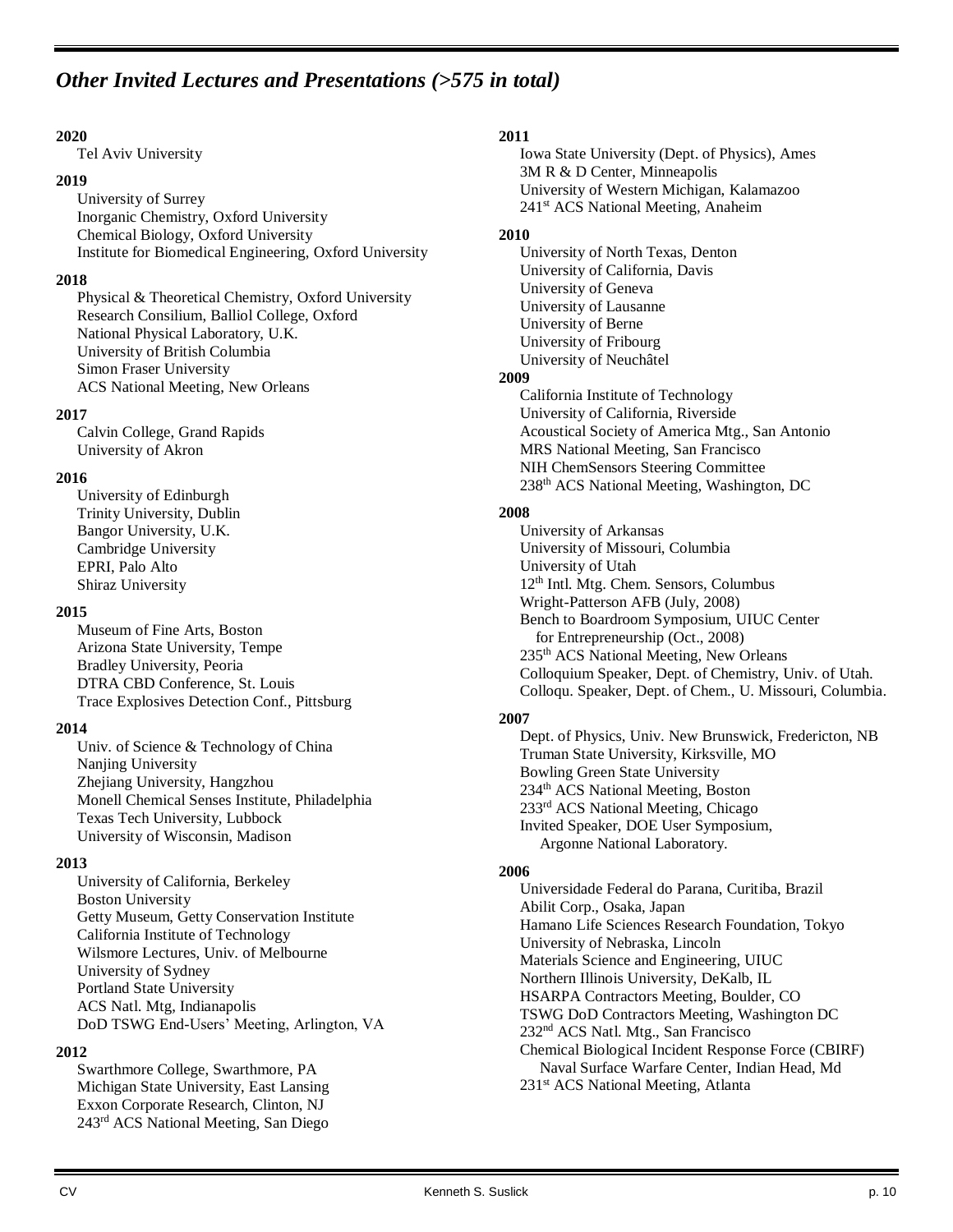## *Other Invited Lectures and Presentations (>575 in total)*

#### **2020**

Tel Aviv University

#### **2019**

University of Surrey Inorganic Chemistry, Oxford University Chemical Biology, Oxford University Institute for Biomedical Engineering, Oxford University

#### **2018**

Physical & Theoretical Chemistry, Oxford University Research Consilium, Balliol College, Oxford National Physical Laboratory, U.K. University of British Columbia Simon Fraser University ACS National Meeting, New Orleans

#### **2017**

Calvin College, Grand Rapids University of Akron

#### **2016**

University of Edinburgh Trinity University, Dublin Bangor University, U.K. Cambridge University EPRI, Palo Alto Shiraz University

#### **2015**

Museum of Fine Arts, Boston Arizona State University, Tempe Bradley University, Peoria DTRA CBD Conference, St. Louis Trace Explosives Detection Conf., Pittsburg

#### **2014**

Univ. of Science & Technology of China Nanjing University Zhejiang University, Hangzhou Monell Chemical Senses Institute, Philadelphia Texas Tech University, Lubbock University of Wisconsin, Madison

#### **2013**

University of California, Berkeley Boston University Getty Museum, Getty Conservation Institute California Institute of Technology Wilsmore Lectures, Univ. of Melbourne University of Sydney Portland State University ACS Natl. Mtg, Indianapolis DoD TSWG End-Users' Meeting, Arlington, VA

#### **2012**

Swarthmore College, Swarthmore, PA Michigan State University, East Lansing Exxon Corporate Research, Clinton, NJ 243rd ACS National Meeting, San Diego

#### **2011**

Iowa State University (Dept. of Physics), Ames 3M R & D Center, Minneapolis University of Western Michigan, Kalamazoo 241<sup>st</sup> ACS National Meeting, Anaheim

#### **2010**

University of North Texas, Denton University of California, Davis University of Geneva University of Lausanne University of Berne University of Fribourg University of Neuchâtel

#### **2009**

California Institute of Technology University of California, Riverside Acoustical Society of America Mtg., San Antonio MRS National Meeting, San Francisco NIH ChemSensors Steering Committee 238th ACS National Meeting, Washington, DC

#### **2008**

University of Arkansas University of Missouri, Columbia University of Utah 12th Intl. Mtg. Chem. Sensors, Columbus Wright-Patterson AFB (July, 2008) Bench to Boardroom Symposium, UIUC Center for Entrepreneurship (Oct., 2008) 235th ACS National Meeting, New Orleans Colloquium Speaker, Dept. of Chemistry, Univ. of Utah. Colloqu. Speaker, Dept. of Chem., U. Missouri, Columbia.

#### **2007**

Dept. of Physics, Univ. New Brunswick, Fredericton, NB Truman State University, Kirksville, MO Bowling Green State University 234th ACS National Meeting, Boston 233rd ACS National Meeting, Chicago Invited Speaker, DOE User Symposium, Argonne National Laboratory.

#### **2006**

Universidade Federal do Parana, Curitiba, Brazil Abilit Corp., Osaka, Japan Hamano Life Sciences Research Foundation, Tokyo University of Nebraska, Lincoln Materials Science and Engineering, UIUC Northern Illinois University, DeKalb, IL HSARPA Contractors Meeting, Boulder, CO TSWG DoD Contractors Meeting, Washington DC 232nd ACS Natl. Mtg., San Francisco Chemical Biological Incident Response Force (CBIRF) Naval Surface Warfare Center, Indian Head, Md 231<sup>st</sup> ACS National Meeting, Atlanta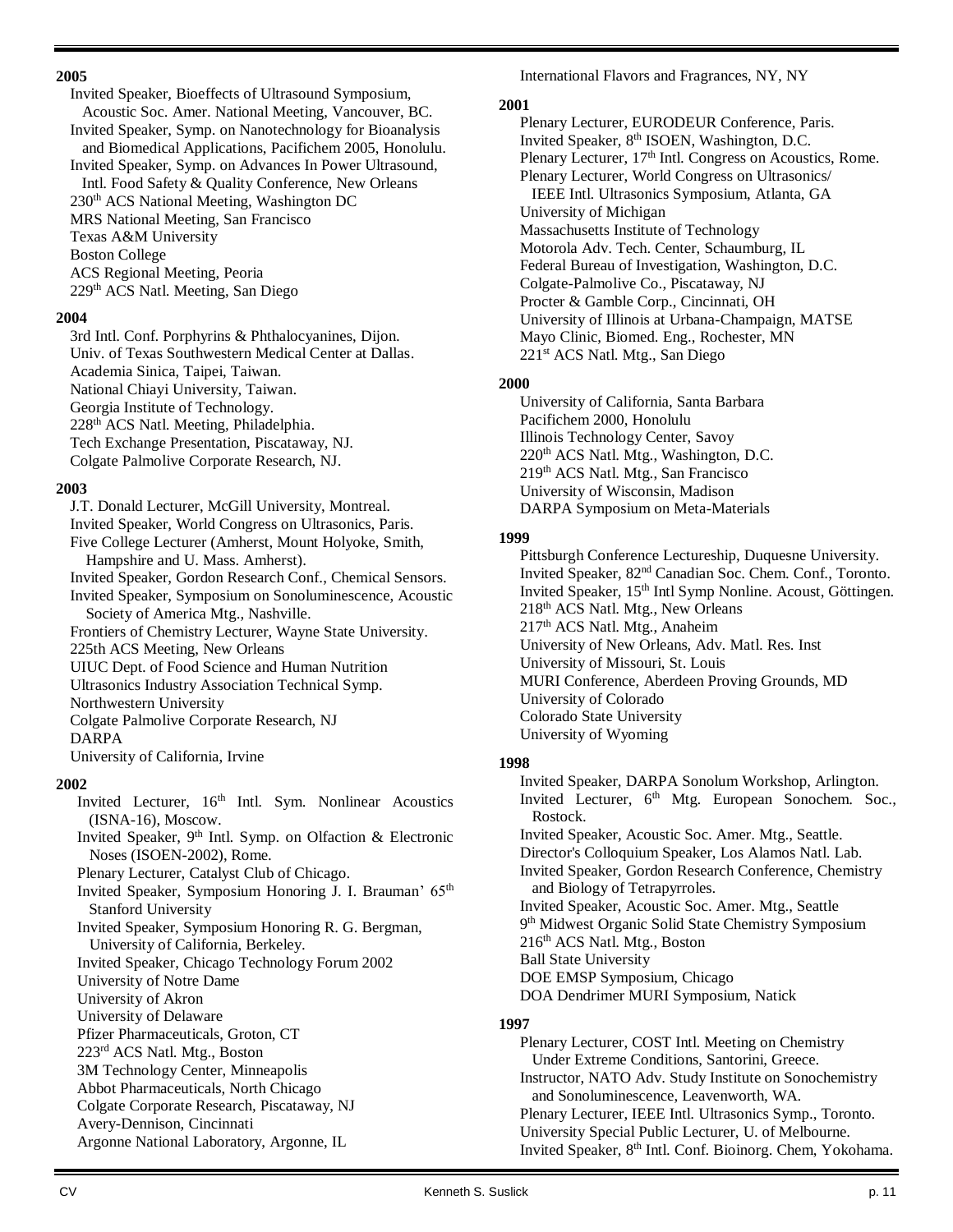#### **2005**

Invited Speaker, Bioeffects of Ultrasound Symposium, Acoustic Soc. Amer. National Meeting, Vancouver, BC. Invited Speaker, Symp. on Nanotechnology for Bioanalysis and Biomedical Applications, Pacifichem 2005, Honolulu. Invited Speaker, Symp. on Advances In Power Ultrasound, Intl. Food Safety & Quality Conference, New Orleans 230th ACS National Meeting, Washington DC MRS National Meeting, San Francisco

Texas A&M University

Boston College

ACS Regional Meeting, Peoria 229th ACS Natl. Meeting, San Diego

#### **2004**

3rd Intl. Conf. Porphyrins & Phthalocyanines, Dijon. Univ. of Texas Southwestern Medical Center at Dallas.

Academia Sinica, Taipei, Taiwan.

National Chiayi University, Taiwan.

Georgia Institute of Technology.

228th ACS Natl. Meeting, Philadelphia.

Tech Exchange Presentation, Piscataway, NJ.

Colgate Palmolive Corporate Research, NJ.

#### **2003**

J.T. Donald Lecturer, McGill University, Montreal.

Invited Speaker, World Congress on Ultrasonics, Paris. Five College Lecturer (Amherst, Mount Holyoke, Smith,

Hampshire and U. Mass. Amherst).

Invited Speaker, Gordon Research Conf., Chemical Sensors.

Invited Speaker, Symposium on Sonoluminescence, Acoustic Society of America Mtg., Nashville.

Frontiers of Chemistry Lecturer, Wayne State University.

225th ACS Meeting, New Orleans

UIUC Dept. of Food Science and Human Nutrition

Ultrasonics Industry Association Technical Symp.

Northwestern University

Colgate Palmolive Corporate Research, NJ

#### DARPA

University of California, Irvine

#### **2002**

- Invited Lecturer, 16th Intl. Sym. Nonlinear Acoustics (ISNA-16), Moscow.
- Invited Speaker,  $9<sup>th</sup>$  Intl. Symp. on Olfaction & Electronic Noses (ISOEN-2002), Rome.

Plenary Lecturer, Catalyst Club of Chicago.

Invited Speaker, Symposium Honoring J. I. Brauman' 65<sup>th</sup> Stanford University

Invited Speaker, Symposium Honoring R. G. Bergman, University of California, Berkeley.

Invited Speaker, Chicago Technology Forum 2002

University of Notre Dame

University of Akron

University of Delaware

Pfizer Pharmaceuticals, Groton, CT

223rd ACS Natl. Mtg., Boston

3M Technology Center, Minneapolis

Abbot Pharmaceuticals, North Chicago

Colgate Corporate Research, Piscataway, NJ

Avery-Dennison, Cincinnati Argonne National Laboratory, Argonne, IL International Flavors and Fragrances, NY, NY

#### **2001**

Plenary Lecturer, EURODEUR Conference, Paris. Invited Speaker, 8<sup>th</sup> ISOEN, Washington, D.C. Plenary Lecturer, 17<sup>th</sup> Intl. Congress on Acoustics, Rome. Plenary Lecturer, World Congress on Ultrasonics/ IEEE Intl. Ultrasonics Symposium, Atlanta, GA University of Michigan Massachusetts Institute of Technology Motorola Adv. Tech. Center, Schaumburg, IL Federal Bureau of Investigation, Washington, D.C. Colgate-Palmolive Co., Piscataway, NJ Procter & Gamble Corp., Cincinnati, OH University of Illinois at Urbana-Champaign, MATSE Mayo Clinic, Biomed. Eng., Rochester, MN 221st ACS Natl. Mtg., San Diego

#### **2000**

University of California, Santa Barbara Pacifichem 2000, Honolulu Illinois Technology Center, Savoy 220th ACS Natl. Mtg., Washington, D.C. 219th ACS Natl. Mtg., San Francisco University of Wisconsin, Madison DARPA Symposium on Meta-Materials

#### **1999**

Pittsburgh Conference Lectureship, Duquesne University. Invited Speaker, 82nd Canadian Soc. Chem. Conf., Toronto. Invited Speaker, 15th Intl Symp Nonline. Acoust, Göttingen. 218th ACS Natl. Mtg., New Orleans 217th ACS Natl. Mtg., Anaheim University of New Orleans, Adv. Matl. Res. Inst University of Missouri, St. Louis MURI Conference, Aberdeen Proving Grounds, MD University of Colorado Colorado State University University of Wyoming

#### **1998**

Invited Speaker, DARPA Sonolum Workshop, Arlington. Invited Lecturer, 6<sup>th</sup> Mtg. European Sonochem. Soc., Rostock. Invited Speaker, Acoustic Soc. Amer. Mtg., Seattle. Director's Colloquium Speaker, Los Alamos Natl. Lab. Invited Speaker, Gordon Research Conference, Chemistry and Biology of Tetrapyrroles. Invited Speaker, Acoustic Soc. Amer. Mtg., Seattle 9<sup>th</sup> Midwest Organic Solid State Chemistry Symposium 216th ACS Natl. Mtg., Boston Ball State University DOE EMSP Symposium, Chicago DOA Dendrimer MURI Symposium, Natick

#### **1997**

Plenary Lecturer, COST Intl. Meeting on Chemistry Under Extreme Conditions, Santorini, Greece. Instructor, NATO Adv. Study Institute on Sonochemistry and Sonoluminescence, Leavenworth, WA. Plenary Lecturer, IEEE Intl. Ultrasonics Symp., Toronto. University Special Public Lecturer, U. of Melbourne. Invited Speaker, 8<sup>th</sup> Intl. Conf. Bioinorg. Chem, Yokohama.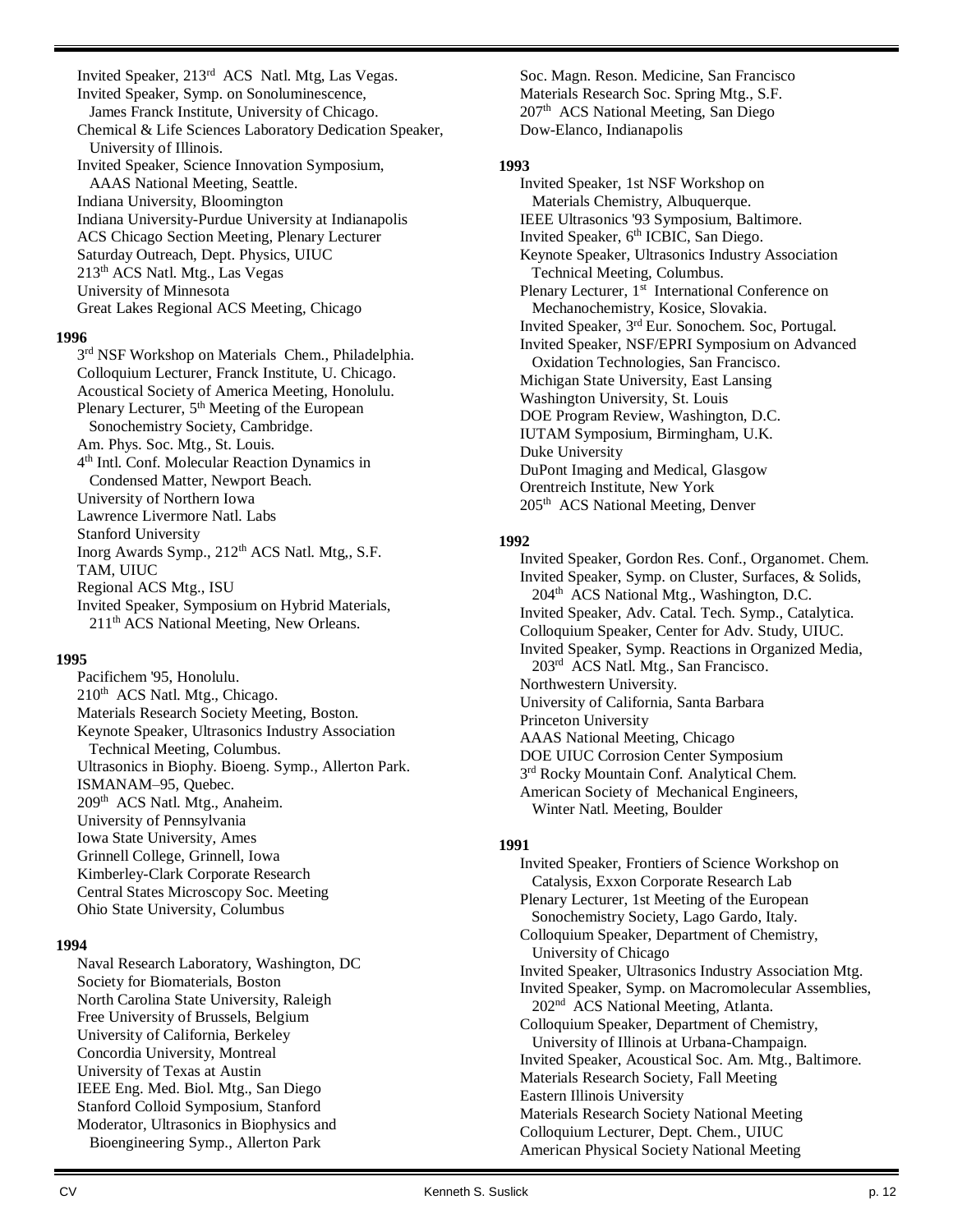Invited Speaker, 213<sup>rd</sup> ACS Natl. Mtg, Las Vegas. Invited Speaker, Symp. on Sonoluminescence, James Franck Institute, University of Chicago. Chemical & Life Sciences Laboratory Dedication Speaker, University of Illinois. Invited Speaker, Science Innovation Symposium, AAAS National Meeting, Seattle. Indiana University, Bloomington Indiana University-Purdue University at Indianapolis ACS Chicago Section Meeting, Plenary Lecturer Saturday Outreach, Dept. Physics, UIUC 213th ACS Natl. Mtg., Las Vegas University of Minnesota Great Lakes Regional ACS Meeting, Chicago

#### **1996**

3<sup>rd</sup> NSF Workshop on Materials Chem., Philadelphia. Colloquium Lecturer, Franck Institute, U. Chicago. Acoustical Society of America Meeting, Honolulu. Plenary Lecturer, 5<sup>th</sup> Meeting of the European Sonochemistry Society, Cambridge. Am. Phys. Soc. Mtg., St. Louis. 4 th Intl. Conf. Molecular Reaction Dynamics in Condensed Matter, Newport Beach. University of Northern Iowa Lawrence Livermore Natl. Labs Stanford University Inorg Awards Symp., 212<sup>th</sup> ACS Natl. Mtg,, S.F. TAM, UIUC Regional ACS Mtg., ISU Invited Speaker, Symposium on Hybrid Materials,

211<sup>th</sup> ACS National Meeting, New Orleans.

#### **1995**

Pacifichem '95, Honolulu. 210<sup>th</sup> ACS Natl. Mtg., Chicago. Materials Research Society Meeting, Boston. Keynote Speaker, Ultrasonics Industry Association Technical Meeting, Columbus. Ultrasonics in Biophy. Bioeng. Symp., Allerton Park. ISMANAM–95, Quebec. 209<sup>th</sup> ACS Natl. Mtg., Anaheim. University of Pennsylvania Iowa State University, Ames Grinnell College, Grinnell, Iowa Kimberley-Clark Corporate Research Central States Microscopy Soc. Meeting Ohio State University, Columbus

#### **1994**

Naval Research Laboratory, Washington, DC Society for Biomaterials, Boston North Carolina State University, Raleigh Free University of Brussels, Belgium University of California, Berkeley Concordia University, Montreal University of Texas at Austin IEEE Eng. Med. Biol. Mtg., San Diego Stanford Colloid Symposium, Stanford Moderator, Ultrasonics in Biophysics and Bioengineering Symp., Allerton Park

Soc. Magn. Reson. Medicine, San Francisco Materials Research Soc. Spring Mtg., S.F. 207<sup>th</sup> ACS National Meeting, San Diego Dow-Elanco, Indianapolis

#### **1993**

Invited Speaker, 1st NSF Workshop on Materials Chemistry, Albuquerque. IEEE Ultrasonics '93 Symposium, Baltimore. Invited Speaker, 6<sup>th</sup> ICBIC, San Diego. Keynote Speaker, Ultrasonics Industry Association Technical Meeting, Columbus. Plenary Lecturer, 1<sup>st</sup> International Conference on Mechanochemistry, Kosice, Slovakia. Invited Speaker, 3rd Eur. Sonochem. Soc, Portugal. Invited Speaker, NSF/EPRI Symposium on Advanced Oxidation Technologies, San Francisco. Michigan State University, East Lansing Washington University, St. Louis DOE Program Review, Washington, D.C. IUTAM Symposium, Birmingham, U.K. Duke University DuPont Imaging and Medical, Glasgow Orentreich Institute, New York 205<sup>th</sup> ACS National Meeting, Denver

#### **1992**

Invited Speaker, Gordon Res. Conf., Organomet. Chem. Invited Speaker, Symp. on Cluster, Surfaces, & Solids, 204<sup>th</sup> ACS National Mtg., Washington, D.C. Invited Speaker, Adv. Catal. Tech. Symp., Catalytica. Colloquium Speaker, Center for Adv. Study, UIUC. Invited Speaker, Symp. Reactions in Organized Media, 203rd ACS Natl. Mtg., San Francisco. Northwestern University. University of California, Santa Barbara Princeton University AAAS National Meeting, Chicago DOE UIUC Corrosion Center Symposium 3<sup>rd</sup> Rocky Mountain Conf. Analytical Chem. American Society of Mechanical Engineers, Winter Natl. Meeting, Boulder

#### **1991**

Invited Speaker, Frontiers of Science Workshop on Catalysis, Exxon Corporate Research Lab Plenary Lecturer, 1st Meeting of the European Sonochemistry Society, Lago Gardo, Italy. Colloquium Speaker, Department of Chemistry, University of Chicago Invited Speaker, Ultrasonics Industry Association Mtg. Invited Speaker, Symp. on Macromolecular Assemblies, 202nd ACS National Meeting, Atlanta. Colloquium Speaker, Department of Chemistry, University of Illinois at Urbana-Champaign. Invited Speaker, Acoustical Soc. Am. Mtg., Baltimore. Materials Research Society, Fall Meeting Eastern Illinois University Materials Research Society National Meeting Colloquium Lecturer, Dept. Chem., UIUC American Physical Society National Meeting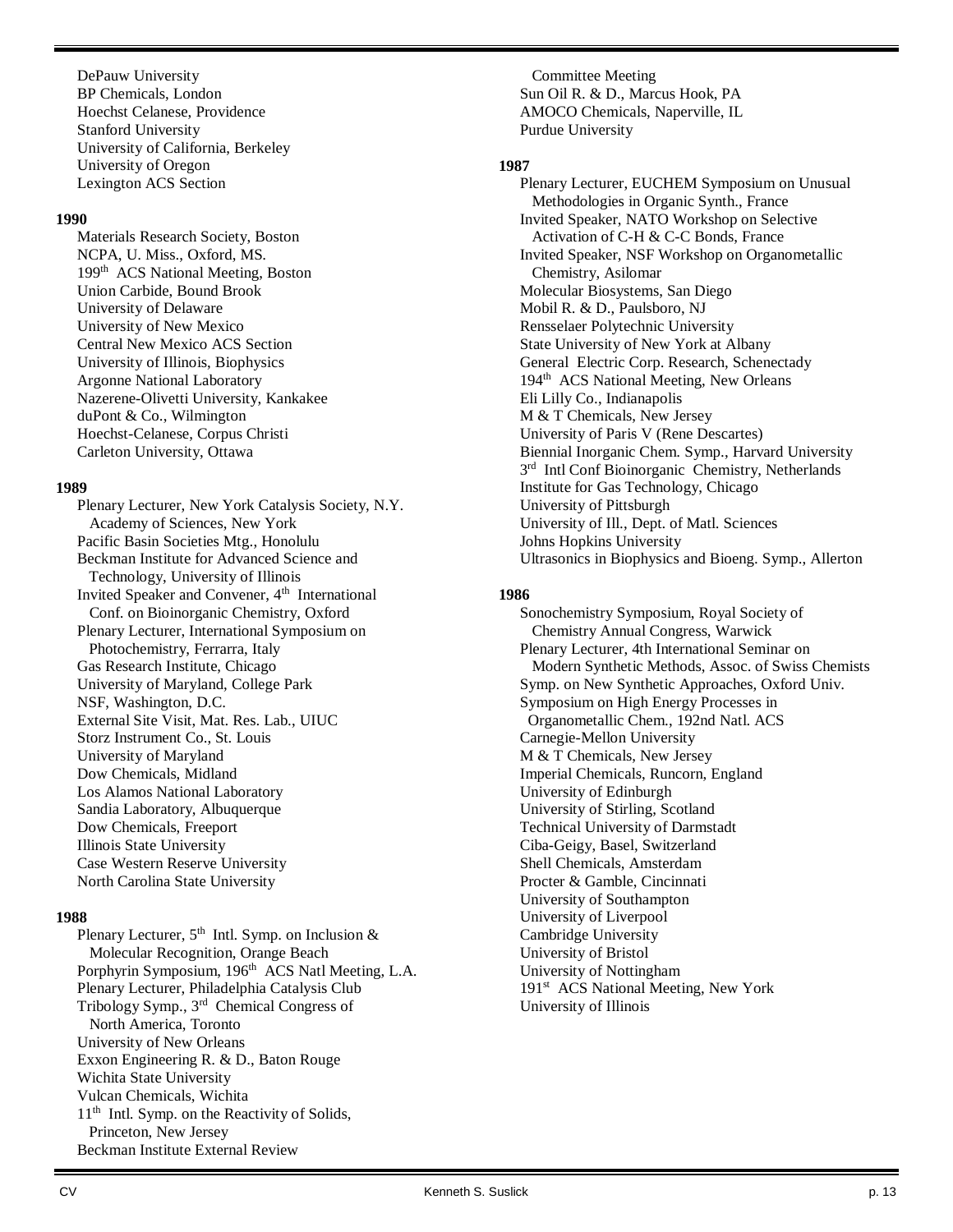DePauw University BP Chemicals, London Hoechst Celanese, Providence Stanford University University of California, Berkeley University of Oregon Lexington ACS Section

#### **1990**

Materials Research Society, Boston NCPA, U. Miss., Oxford, MS. 199<sup>th</sup> ACS National Meeting, Boston Union Carbide, Bound Brook University of Delaware University of New Mexico Central New Mexico ACS Section University of Illinois, Biophysics Argonne National Laboratory Nazerene-Olivetti University, Kankakee duPont & Co., Wilmington Hoechst-Celanese, Corpus Christi Carleton University, Ottawa

#### **1989**

Plenary Lecturer, New York Catalysis Society, N.Y. Academy of Sciences, New York Pacific Basin Societies Mtg., Honolulu Beckman Institute for Advanced Science and Technology, University of Illinois Invited Speaker and Convener, 4<sup>th</sup> International Conf. on Bioinorganic Chemistry, Oxford Plenary Lecturer, International Symposium on Photochemistry, Ferrarra, Italy Gas Research Institute, Chicago University of Maryland, College Park NSF, Washington, D.C. External Site Visit, Mat. Res. Lab., UIUC Storz Instrument Co., St. Louis University of Maryland Dow Chemicals, Midland Los Alamos National Laboratory Sandia Laboratory, Albuquerque Dow Chemicals, Freeport Illinois State University Case Western Reserve University North Carolina State University

#### **1988**

Plenary Lecturer,  $5<sup>th</sup>$  Intl. Symp. on Inclusion & Molecular Recognition, Orange Beach Porphyrin Symposium, 196<sup>th</sup> ACS Natl Meeting, L.A. Plenary Lecturer, Philadelphia Catalysis Club Tribology Symp., 3rd Chemical Congress of North America, Toronto University of New Orleans Exxon Engineering R. & D., Baton Rouge Wichita State University Vulcan Chemicals, Wichita 11th Intl. Symp. on the Reactivity of Solids, Princeton, New Jersey Beckman Institute External Review

 Committee Meeting Sun Oil R. & D., Marcus Hook, PA AMOCO Chemicals, Naperville, IL Purdue University

#### **1987**

Plenary Lecturer, EUCHEM Symposium on Unusual Methodologies in Organic Synth., France Invited Speaker, NATO Workshop on Selective Activation of C-H & C-C Bonds, France Invited Speaker, NSF Workshop on Organometallic Chemistry, Asilomar Molecular Biosystems, San Diego Mobil R. & D., Paulsboro, NJ Rensselaer Polytechnic University State University of New York at Albany General Electric Corp. Research, Schenectady 194<sup>th</sup> ACS National Meeting, New Orleans Eli Lilly Co., Indianapolis M & T Chemicals, New Jersey University of Paris V (Rene Descartes) Biennial Inorganic Chem. Symp., Harvard University 3<sup>rd</sup> Intl Conf Bioinorganic Chemistry, Netherlands Institute for Gas Technology, Chicago University of Pittsburgh University of Ill., Dept. of Matl. Sciences Johns Hopkins University Ultrasonics in Biophysics and Bioeng. Symp., Allerton

#### **1986**

Sonochemistry Symposium, Royal Society of Chemistry Annual Congress, Warwick Plenary Lecturer, 4th International Seminar on Modern Synthetic Methods, Assoc. of Swiss Chemists Symp. on New Synthetic Approaches, Oxford Univ. Symposium on High Energy Processes in Organometallic Chem., 192nd Natl. ACS Carnegie-Mellon University M & T Chemicals, New Jersey Imperial Chemicals, Runcorn, England University of Edinburgh University of Stirling, Scotland Technical University of Darmstadt Ciba-Geigy, Basel, Switzerland Shell Chemicals, Amsterdam Procter & Gamble, Cincinnati University of Southampton University of Liverpool Cambridge University University of Bristol University of Nottingham 191<sup>st</sup> ACS National Meeting, New York University of Illinois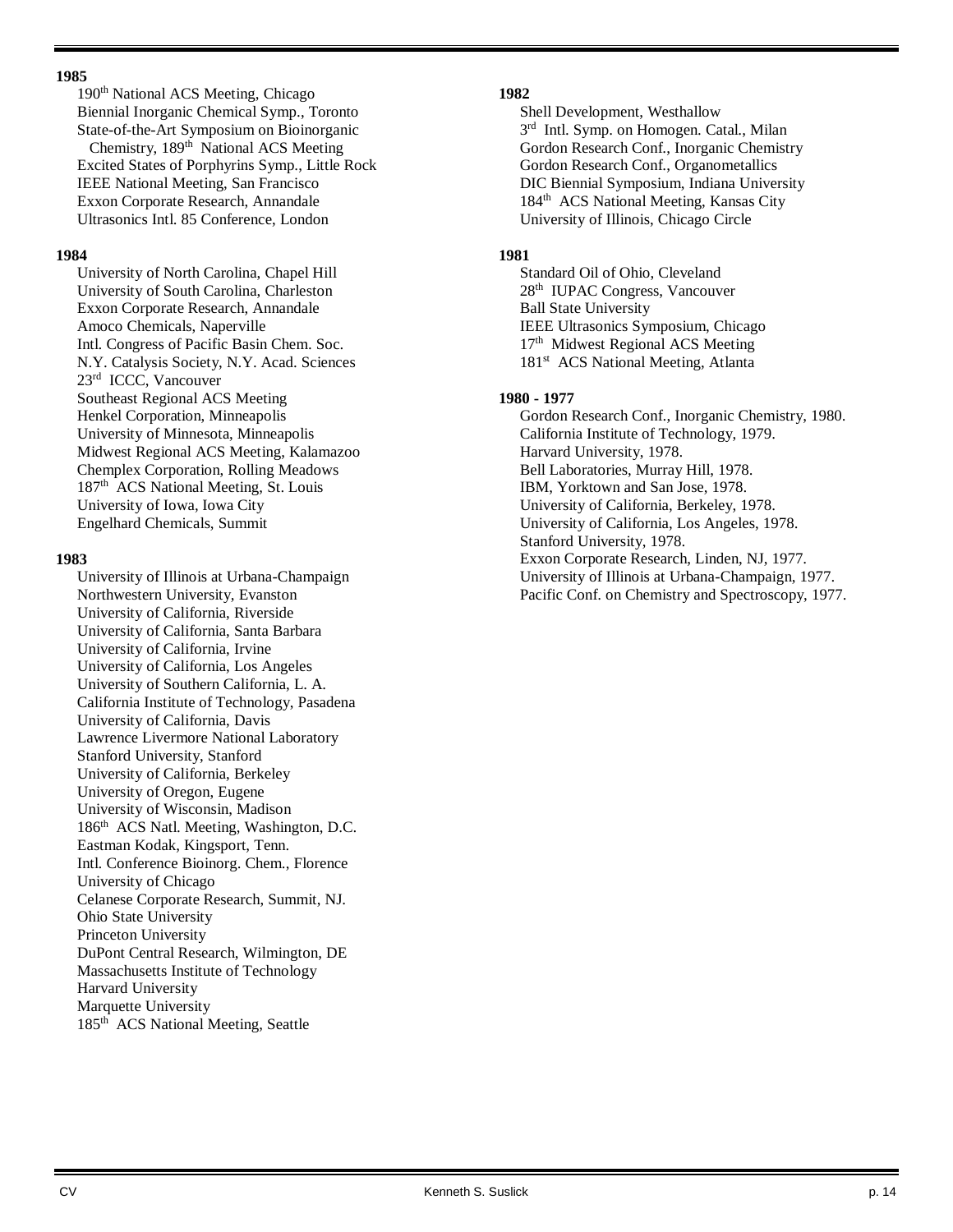#### **1985**

190<sup>th</sup> National ACS Meeting, Chicago Biennial Inorganic Chemical Symp., Toronto State-of-the-Art Symposium on Bioinorganic Chemistry, 189<sup>th</sup> National ACS Meeting Excited States of Porphyrins Symp., Little Rock IEEE National Meeting, San Francisco Exxon Corporate Research, Annandale Ultrasonics Intl. 85 Conference, London

#### **1984**

University of North Carolina, Chapel Hill University of South Carolina, Charleston Exxon Corporate Research, Annandale Amoco Chemicals, Naperville Intl. Congress of Pacific Basin Chem. Soc. N.Y. Catalysis Society, N.Y. Acad. Sciences 23rd ICCC, Vancouver Southeast Regional ACS Meeting Henkel Corporation, Minneapolis University of Minnesota, Minneapolis Midwest Regional ACS Meeting, Kalamazoo Chemplex Corporation, Rolling Meadows 187<sup>th</sup> ACS National Meeting, St. Louis University of Iowa, Iowa City Engelhard Chemicals, Summit

#### **1983**

University of Illinois at Urbana-Champaign Northwestern University, Evanston University of California, Riverside University of California, Santa Barbara University of California, Irvine University of California, Los Angeles University of Southern California, L. A. California Institute of Technology, Pasadena University of California, Davis Lawrence Livermore National Laboratory Stanford University, Stanford University of California, Berkeley University of Oregon, Eugene University of Wisconsin, Madison 186<sup>th</sup> ACS Natl. Meeting, Washington, D.C. Eastman Kodak, Kingsport, Tenn. Intl. Conference Bioinorg. Chem., Florence University of Chicago Celanese Corporate Research, Summit, NJ. Ohio State University Princeton University DuPont Central Research, Wilmington, DE Massachusetts Institute of Technology Harvard University Marquette University 185<sup>th</sup> ACS National Meeting, Seattle

#### **1982**

Shell Development, Westhallow 3<sup>rd</sup> Intl. Symp. on Homogen. Catal., Milan Gordon Research Conf., Inorganic Chemistry Gordon Research Conf., Organometallics DIC Biennial Symposium, Indiana University 184<sup>th</sup> ACS National Meeting, Kansas City University of Illinois, Chicago Circle

#### **1981**

Standard Oil of Ohio, Cleveland 28<sup>th</sup> IUPAC Congress, Vancouver Ball State University IEEE Ultrasonics Symposium, Chicago 17<sup>th</sup> Midwest Regional ACS Meeting 181<sup>st</sup> ACS National Meeting, Atlanta

#### **1980 - 1977**

Gordon Research Conf., Inorganic Chemistry, 1980. California Institute of Technology, 1979. Harvard University, 1978. Bell Laboratories, Murray Hill, 1978. IBM, Yorktown and San Jose, 1978. University of California, Berkeley, 1978. University of California, Los Angeles, 1978. Stanford University, 1978. Exxon Corporate Research, Linden, NJ, 1977. University of Illinois at Urbana-Champaign, 1977. Pacific Conf. on Chemistry and Spectroscopy, 1977.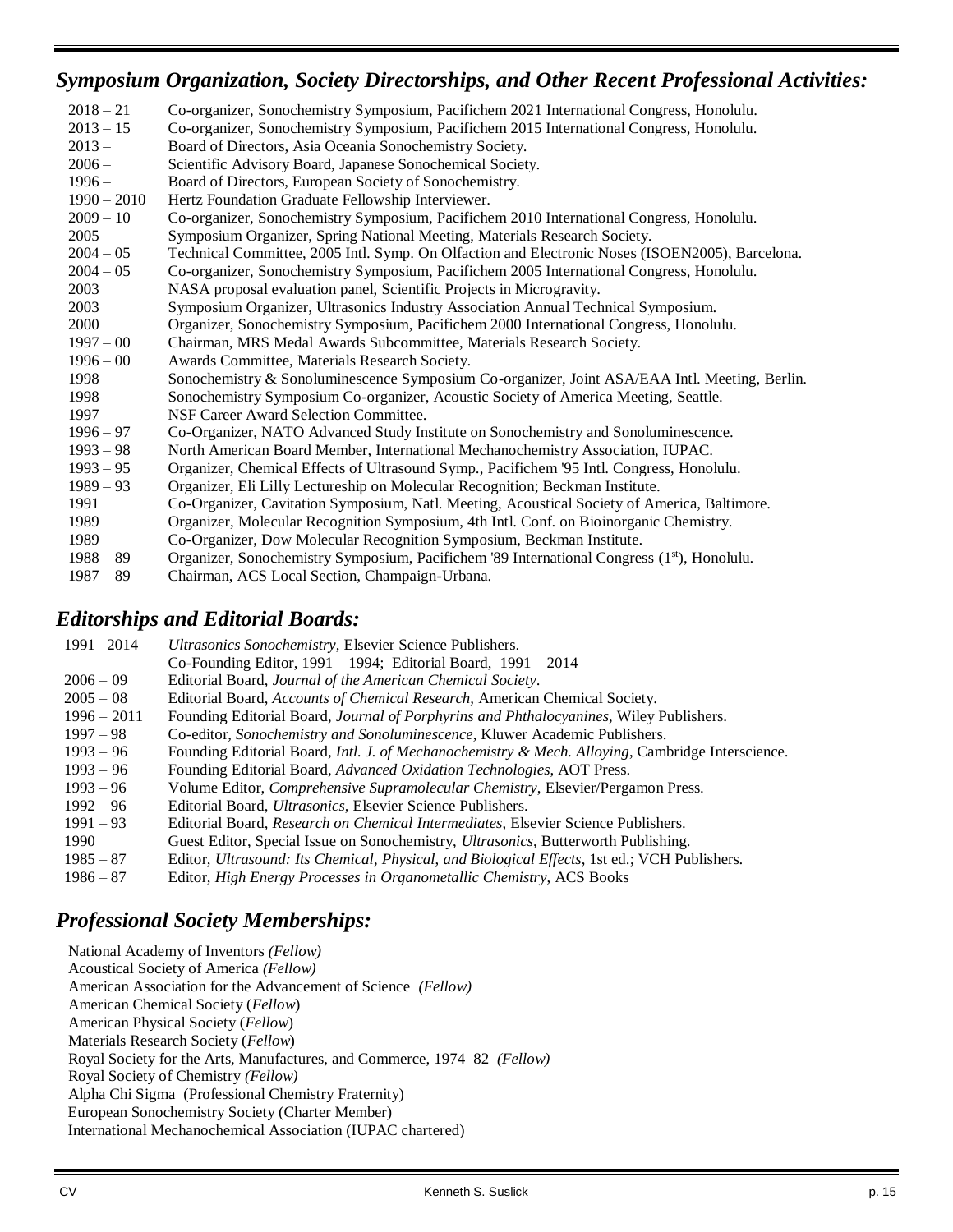## *Symposium Organization, Society Directorships, and Other Recent Professional Activities:*

| $2018 - 21$   | Co-organizer, Sonochemistry Symposium, Pacifichem 2021 International Congress, Honolulu.                |
|---------------|---------------------------------------------------------------------------------------------------------|
| $2013 - 15$   | Co-organizer, Sonochemistry Symposium, Pacifichem 2015 International Congress, Honolulu.                |
| $2013 -$      | Board of Directors, Asia Oceania Sonochemistry Society.                                                 |
| $2006 -$      | Scientific Advisory Board, Japanese Sonochemical Society.                                               |
| $1996 -$      | Board of Directors, European Society of Sonochemistry.                                                  |
| $1990 - 2010$ | Hertz Foundation Graduate Fellowship Interviewer.                                                       |
| $2009 - 10$   | Co-organizer, Sonochemistry Symposium, Pacifichem 2010 International Congress, Honolulu.                |
| 2005          | Symposium Organizer, Spring National Meeting, Materials Research Society.                               |
| $2004 - 05$   | Technical Committee, 2005 Intl. Symp. On Olfaction and Electronic Noses (ISOEN2005), Barcelona.         |
| $2004 - 05$   | Co-organizer, Sonochemistry Symposium, Pacifichem 2005 International Congress, Honolulu.                |
| 2003          | NASA proposal evaluation panel, Scientific Projects in Microgravity.                                    |
| 2003          | Symposium Organizer, Ultrasonics Industry Association Annual Technical Symposium.                       |
| 2000          | Organizer, Sonochemistry Symposium, Pacifichem 2000 International Congress, Honolulu.                   |
| $1997 - 00$   | Chairman, MRS Medal Awards Subcommittee, Materials Research Society.                                    |
| $1996 - 00$   | Awards Committee, Materials Research Society.                                                           |
| 1998          | Sonochemistry & Sonoluminescence Symposium Co-organizer, Joint ASA/EAA Intl. Meeting, Berlin.           |
| 1998          | Sonochemistry Symposium Co-organizer, Acoustic Society of America Meeting, Seattle.                     |
| 1997          | NSF Career Award Selection Committee.                                                                   |
| $1996 - 97$   | Co-Organizer, NATO Advanced Study Institute on Sonochemistry and Sonoluminescence.                      |
| $1993 - 98$   | North American Board Member, International Mechanochemistry Association, IUPAC.                         |
| $1993 - 95$   | Organizer, Chemical Effects of Ultrasound Symp., Pacifichem '95 Intl. Congress, Honolulu.               |
| $1989 - 93$   | Organizer, Eli Lilly Lectureship on Molecular Recognition; Beckman Institute.                           |
| 1991          | Co-Organizer, Cavitation Symposium, Natl. Meeting, Acoustical Society of America, Baltimore.            |
| 1989          | Organizer, Molecular Recognition Symposium, 4th Intl. Conf. on Bioinorganic Chemistry.                  |
| 1989          | Co-Organizer, Dow Molecular Recognition Symposium, Beckman Institute.                                   |
| $1988 - 89$   | Organizer, Sonochemistry Symposium, Pacifichem '89 International Congress (1 <sup>st</sup> ), Honolulu. |
| $1987 - 89$   | Chairman, ACS Local Section, Champaign-Urbana.                                                          |
|               |                                                                                                         |

## *Editorships and Editorial Boards:*

| $1991 - 2014$ | Ultrasonics Sonochemistry, Elsevier Science Publishers.                                                      |
|---------------|--------------------------------------------------------------------------------------------------------------|
|               | Co-Founding Editor, $1991 - 1994$ ; Editorial Board, $1991 - 2014$                                           |
| $2006 - 09$   | Editorial Board, Journal of the American Chemical Society.                                                   |
| $2005 - 08$   | Editorial Board, Accounts of Chemical Research, American Chemical Society.                                   |
| $1996 - 2011$ | Founding Editorial Board, <i>Journal of Porphyrins and Phthalocyanines</i> , Wiley Publishers.               |
| $1997 - 98$   | Co-editor, Sonochemistry and Sonoluminescence, Kluwer Academic Publishers.                                   |
| $1993 - 96$   | Founding Editorial Board, <i>Intl. J. of Mechanochemistry &amp; Mech. Alloying</i> , Cambridge Interscience. |
| $1993 - 96$   | Founding Editorial Board, Advanced Oxidation Technologies, AOT Press.                                        |
| $1993 - 96$   | Volume Editor, <i>Comprehensive Supramolecular Chemistry</i> , Elsevier/Pergamon Press.                      |
| $1992 - 96$   | Editorial Board, <i>Ultrasonics</i> , Elsevier Science Publishers.                                           |
| $1991 - 93$   | Editorial Board, <i>Research on Chemical Intermediates</i> , Elsevier Science Publishers.                    |
| 1990          | Guest Editor, Special Issue on Sonochemistry, <i>Ultrasonics</i> , Butterworth Publishing.                   |
| $1985 - 87$   | Editor, Ultrasound: Its Chemical, Physical, and Biological Effects, 1st ed.; VCH Publishers.                 |
| $1986 - 87$   | Editor, <i>High Energy Processes in Organometallic Chemistry</i> , ACS Books                                 |

## *Professional Society Memberships:*

 National Academy of Inventors *(Fellow)* Acoustical Society of America *(Fellow)* American Association for the Advancement of Science *(Fellow)* American Chemical Society (*Fellow*) American Physical Society (*Fellow*) Materials Research Society (*Fellow*) Royal Society for the Arts, Manufactures, and Commerce, 1974–82 *(Fellow)* Royal Society of Chemistry *(Fellow)* Alpha Chi Sigma (Professional Chemistry Fraternity) European Sonochemistry Society (Charter Member) International Mechanochemical Association (IUPAC chartered)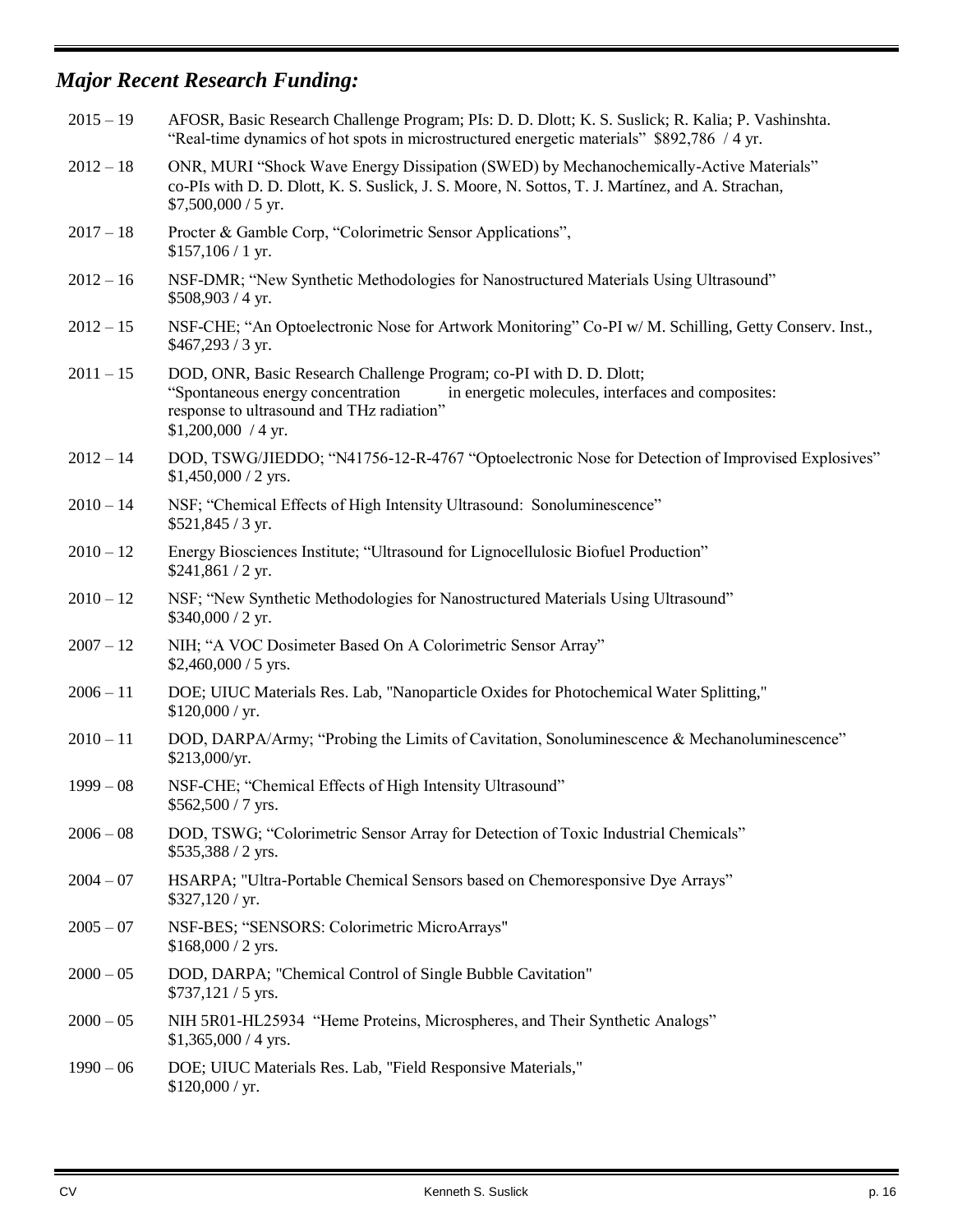# *Major Recent Research Funding:*

| $2015 - 19$ | AFOSR, Basic Research Challenge Program; PIs: D. D. Dlott; K. S. Suslick; R. Kalia; P. Vashinshta.<br>"Real-time dynamics of hot spots in microstructured energetic materials" \$892,786 / 4 yr.                                    |
|-------------|-------------------------------------------------------------------------------------------------------------------------------------------------------------------------------------------------------------------------------------|
| $2012 - 18$ | ONR, MURI "Shock Wave Energy Dissipation (SWED) by Mechanochemically-Active Materials"<br>co-PIs with D. D. Dlott, K. S. Suslick, J. S. Moore, N. Sottos, T. J. Martínez, and A. Strachan,<br>$$7,500,000 / 5$ yr.                  |
| $2017 - 18$ | Procter & Gamble Corp, "Colorimetric Sensor Applications",<br>$$157,106/1$ yr.                                                                                                                                                      |
| $2012 - 16$ | NSF-DMR; "New Synthetic Methodologies for Nanostructured Materials Using Ultrasound"<br>$$508,903 / 4$ yr.                                                                                                                          |
| $2012 - 15$ | NSF-CHE; "An Optoelectronic Nose for Artwork Monitoring" Co-PI w/ M. Schilling, Getty Conserv. Inst.,<br>$$467,293 / 3$ yr.                                                                                                         |
| $2011 - 15$ | DOD, ONR, Basic Research Challenge Program; co-PI with D. D. Dlott;<br>"Spontaneous energy concentration<br>in energetic molecules, interfaces and composites:<br>response to ultrasound and THz radiation"<br>$$1,200,000 / 4$ yr. |
| $2012 - 14$ | DOD, TSWG/JIEDDO; "N41756-12-R-4767 "Optoelectronic Nose for Detection of Improvised Explosives"<br>$$1,450,000 / 2$ yrs.                                                                                                           |
| $2010 - 14$ | NSF; "Chemical Effects of High Intensity Ultrasound: Sonoluminescence"<br>$$521,845 / 3$ yr.                                                                                                                                        |
| $2010 - 12$ | Energy Biosciences Institute; "Ultrasound for Lignocellulosic Biofuel Production"<br>$$241,861 / 2$ yr.                                                                                                                             |
| $2010 - 12$ | NSF; "New Synthetic Methodologies for Nanostructured Materials Using Ultrasound"<br>$$340,000 / 2$ yr.                                                                                                                              |
| $2007 - 12$ | NIH; "A VOC Dosimeter Based On A Colorimetric Sensor Array"<br>$$2,460,000 / 5$ yrs.                                                                                                                                                |
| $2006 - 11$ | DOE; UIUC Materials Res. Lab, "Nanoparticle Oxides for Photochemical Water Splitting,"<br>\$120,000 / yr.                                                                                                                           |
| $2010 - 11$ | DOD, DARPA/Army; "Probing the Limits of Cavitation, Sonoluminescence & Mechanoluminescence"<br>\$213,000/yr.                                                                                                                        |
| $1999 - 08$ | NSF-CHE; "Chemical Effects of High Intensity Ultrasound"<br>$$562,500 / 7$ yrs.                                                                                                                                                     |
| $2006 - 08$ | DOD, TSWG; "Colorimetric Sensor Array for Detection of Toxic Industrial Chemicals"<br>\$535,388 / 2 yrs.                                                                                                                            |
| $2004 - 07$ | HSARPA; "Ultra-Portable Chemical Sensors based on Chemoresponsive Dye Arrays"<br>$$327,120$ / yr.                                                                                                                                   |
| $2005 - 07$ | NSF-BES; "SENSORS: Colorimetric MicroArrays"<br>$$168,000 / 2$ yrs.                                                                                                                                                                 |
| $2000 - 05$ | DOD, DARPA; "Chemical Control of Single Bubble Cavitation"<br>$$737,121 / 5$ yrs.                                                                                                                                                   |
| $2000 - 05$ | NIH 5R01-HL25934 "Heme Proteins, Microspheres, and Their Synthetic Analogs"<br>$$1,365,000 / 4$ yrs.                                                                                                                                |
| $1990 - 06$ | DOE; UIUC Materials Res. Lab, "Field Responsive Materials,"<br>\$120,000 / yr.                                                                                                                                                      |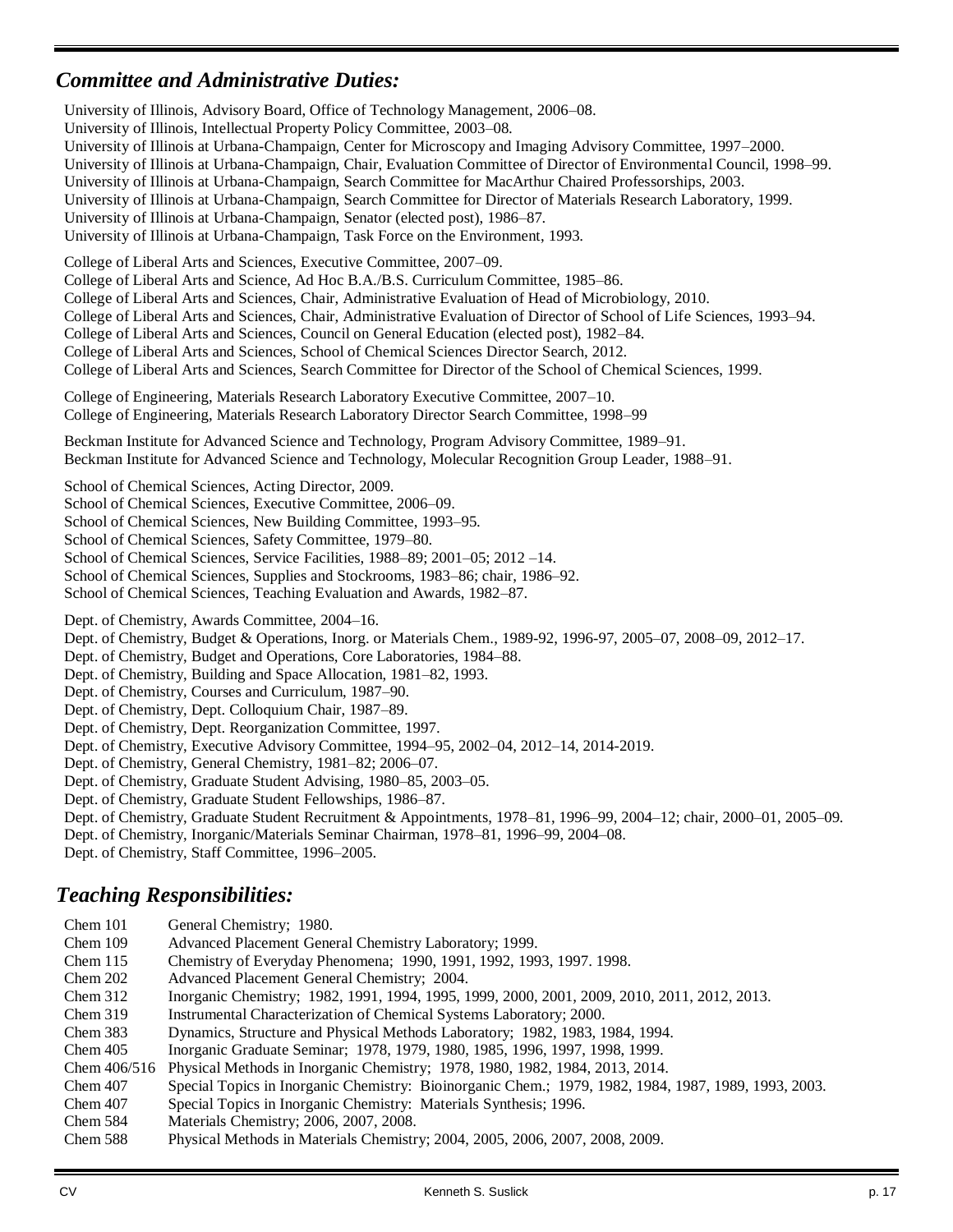## *Committee and Administrative Duties:*

 University of Illinois, Advisory Board, Office of Technology Management, 2006–08. University of Illinois, Intellectual Property Policy Committee, 2003–08. University of Illinois at Urbana-Champaign, Center for Microscopy and Imaging Advisory Committee, 1997–2000. University of Illinois at Urbana-Champaign, Chair, Evaluation Committee of Director of Environmental Council, 1998–99. University of Illinois at Urbana-Champaign, Search Committee for MacArthur Chaired Professorships, 2003. University of Illinois at Urbana-Champaign, Search Committee for Director of Materials Research Laboratory, 1999. University of Illinois at Urbana-Champaign, Senator (elected post), 1986–87. University of Illinois at Urbana-Champaign, Task Force on the Environment, 1993. College of Liberal Arts and Sciences, Executive Committee, 2007–09. College of Liberal Arts and Science, Ad Hoc B.A./B.S. Curriculum Committee, 1985–86. College of Liberal Arts and Sciences, Chair, Administrative Evaluation of Head of Microbiology, 2010. College of Liberal Arts and Sciences, Chair, Administrative Evaluation of Director of School of Life Sciences, 1993–94. College of Liberal Arts and Sciences, Council on General Education (elected post), 1982–84. College of Liberal Arts and Sciences, School of Chemical Sciences Director Search, 2012. College of Liberal Arts and Sciences, Search Committee for Director of the School of Chemical Sciences, 1999. College of Engineering, Materials Research Laboratory Executive Committee, 2007–10. College of Engineering, Materials Research Laboratory Director Search Committee, 1998–99 Beckman Institute for Advanced Science and Technology, Program Advisory Committee, 1989–91. Beckman Institute for Advanced Science and Technology, Molecular Recognition Group Leader, 1988–91. School of Chemical Sciences, Acting Director, 2009. School of Chemical Sciences, Executive Committee, 2006–09. School of Chemical Sciences, New Building Committee, 1993–95. School of Chemical Sciences, Safety Committee, 1979–80. School of Chemical Sciences, Service Facilities, 1988–89; 2001–05; 2012 –14. School of Chemical Sciences, Supplies and Stockrooms, 1983–86; chair, 1986–92. School of Chemical Sciences, Teaching Evaluation and Awards, 1982–87. Dept. of Chemistry, Awards Committee, 2004–16. Dept. of Chemistry, Budget & Operations, Inorg. or Materials Chem., 1989-92, 1996-97, 2005–07, 2008–09, 2012–17. Dept. of Chemistry, Budget and Operations, Core Laboratories, 1984–88. Dept. of Chemistry, Building and Space Allocation, 1981–82, 1993. Dept. of Chemistry, Courses and Curriculum, 1987–90. Dept. of Chemistry, Dept. Colloquium Chair, 1987–89. Dept. of Chemistry, Dept. Reorganization Committee, 1997. Dept. of Chemistry, Executive Advisory Committee, 1994–95, 2002–04, 2012–14, 2014-2019. Dept. of Chemistry, General Chemistry, 1981–82; 2006–07. Dept. of Chemistry, Graduate Student Advising, 1980–85, 2003–05. Dept. of Chemistry, Graduate Student Fellowships, 1986–87. Dept. of Chemistry, Graduate Student Recruitment & Appointments, 1978–81, 1996–99, 2004–12; chair, 2000–01, 2005–09. Dept. of Chemistry, Inorganic/Materials Seminar Chairman, 1978–81, 1996–99, 2004–08. Dept. of Chemistry, Staff Committee, 1996–2005. *Teaching Responsibilities:* Chem 101 General Chemistry; 1980. Chem 109 Advanced Placement General Chemistry Laboratory; 1999. Chem 115 Chemistry of Everyday Phenomena; 1990, 1991, 1992, 1993, 1997. 1998. Chem 202 Advanced Placement General Chemistry; 2004. Chem 312 Inorganic Chemistry; 1982, 1991, 1994, 1995, 1999, 2000, 2001, 2009, 2010, 2011, 2012, 2013. Chem 319 Instrumental Characterization of Chemical Systems Laboratory; 2000. Chem 383 Dynamics, Structure and Physical Methods Laboratory; 1982, 1983, 1984, 1994. Chem 405 Inorganic Graduate Seminar; 1978, 1979, 1980, 1985, 1996, 1997, 1998, 1999. Chem 406/516 Physical Methods in Inorganic Chemistry; 1978, 1980, 1982, 1984, 2013, 2014. Chem 407 Special Topics in Inorganic Chemistry: Bioinorganic Chem.; 1979, 1982, 1984, 1987, 1989, 1993, 2003. Chem 407 Special Topics in Inorganic Chemistry: Materials Synthesis; 1996.

- Chem 584 Materials Chemistry; 2006, 2007, 2008.
- Chem 588 Physical Methods in Materials Chemistry; 2004, 2005, 2006, 2007, 2008, 2009.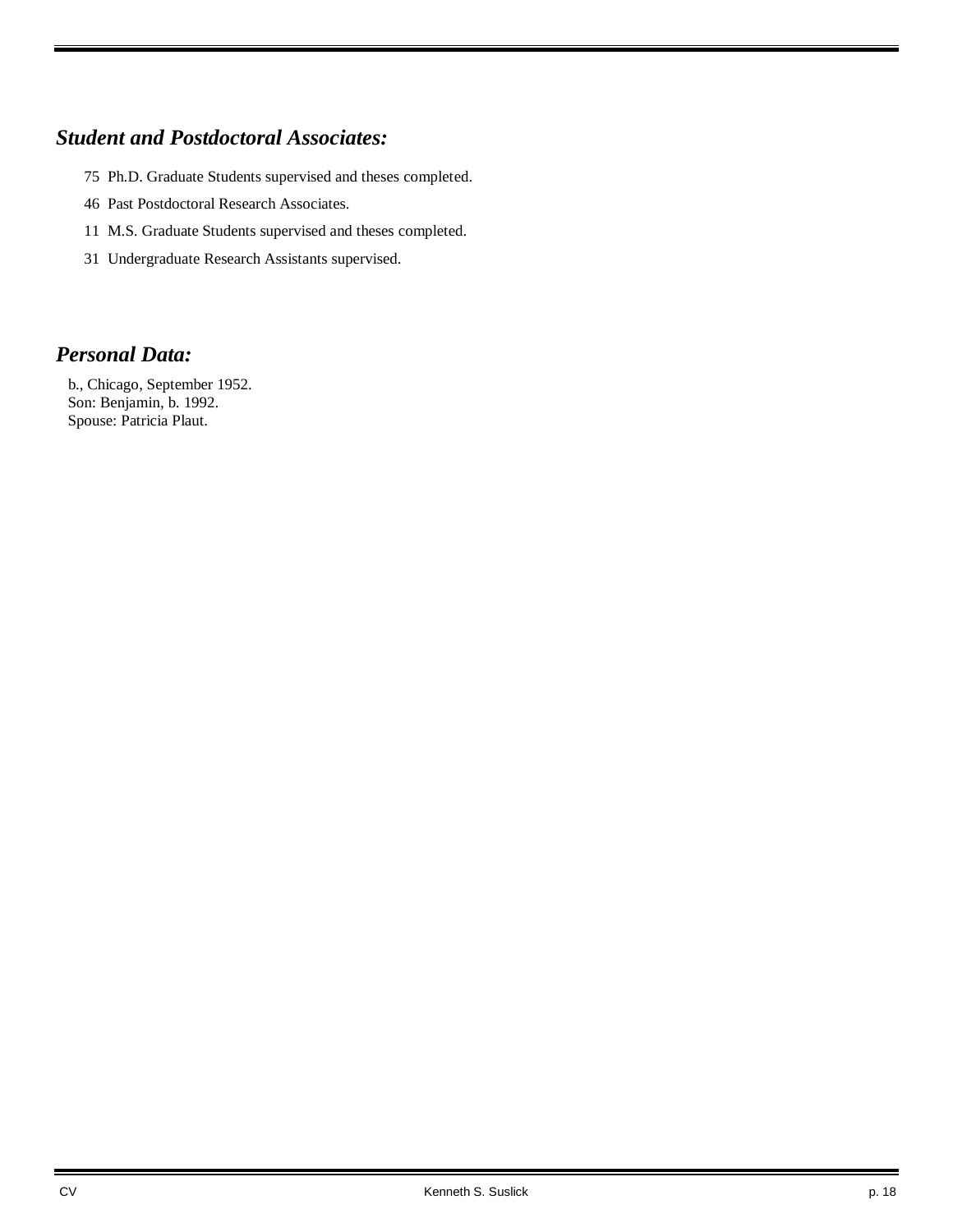## *Student and Postdoctoral Associates:*

- 75 Ph.D. Graduate Students supervised and theses completed.
- 46 Past Postdoctoral Research Associates.
- 11 M.S. Graduate Students supervised and theses completed.
- 31 Undergraduate Research Assistants supervised.

## *Personal Data:*

 b., Chicago, September 1952. Son: Benjamin, b. 1992. Spouse: Patricia Plaut.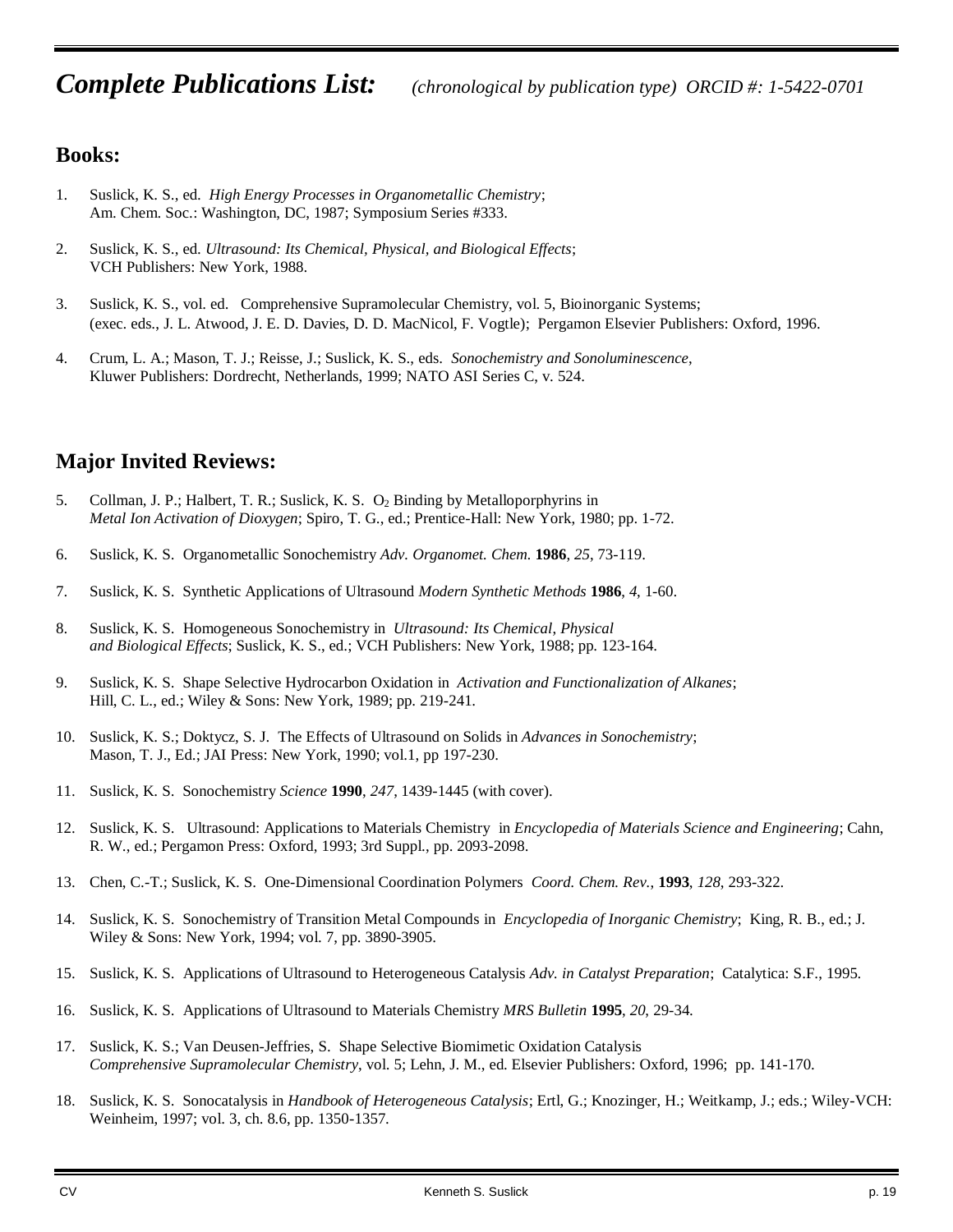## **Books:**

- 1. Suslick, K. S., ed. *High Energy Processes in Organometallic Chemistry*; Am. Chem. Soc.: Washington, DC, 1987; Symposium Series #333.
- 2. Suslick, K. S., ed. *Ultrasound: Its Chemical, Physical, and Biological Effects*; VCH Publishers: New York, 1988.
- 3. Suslick, K. S., vol. ed. Comprehensive Supramolecular Chemistry, vol. 5, Bioinorganic Systems; (exec. eds., J. L. Atwood, J. E. D. Davies, D. D. MacNicol, F. Vogtle); Pergamon Elsevier Publishers: Oxford, 1996.
- 4. Crum, L. A.; Mason, T. J.; Reisse, J.; Suslick, K. S., eds. *Sonochemistry and Sonoluminescence*, Kluwer Publishers: Dordrecht, Netherlands, 1999; NATO ASI Series C, v. 524.

## **Major Invited Reviews:**

- 5. Collman, J. P.; Halbert, T. R.; Suslick, K. S. O<sub>2</sub> Binding by Metalloporphyrins in *Metal Ion Activation of Dioxygen*; Spiro, T. G., ed.; Prentice-Hall: New York, 1980; pp. 1-72.
- 6. Suslick, K. S. Organometallic Sonochemistry *Adv. Organomet. Chem.* **1986**, *25*, 73-119.
- 7. Suslick, K. S. Synthetic Applications of Ultrasound *Modern Synthetic Methods* **1986**, *4*, 1-60.
- 8. Suslick, K. S. Homogeneous Sonochemistry in *Ultrasound: Its Chemical*, *Physical and Biological Effects*; Suslick, K. S., ed.; VCH Publishers: New York, 1988; pp. 123-164.
- 9. Suslick, K. S. Shape Selective Hydrocarbon Oxidation in *Activation and Functionalization of Alkanes*; Hill, C. L., ed.; Wiley & Sons: New York, 1989; pp. 219-241.
- 10. Suslick, K. S.; Doktycz, S. J. The Effects of Ultrasound on Solids in *Advances in Sonochemistry*; Mason, T. J., Ed.; JAI Press: New York, 1990; vol.1, pp 197-230.
- 11. Suslick, K. S. Sonochemistry *Science* **1990**, *247*, 1439-1445 (with cover).
- 12. Suslick, K. S. Ultrasound: Applications to Materials Chemistry in *Encyclopedia of Materials Science and Engineering*; Cahn, R. W., ed.; Pergamon Press: Oxford, 1993; 3rd Suppl., pp. 2093-2098.
- 13. Chen, C.-T.; Suslick, K. S. One-Dimensional Coordination Polymers *Coord. Chem. Rev.*, **1993**, *128*, 293-322.
- 14. Suslick, K. S. Sonochemistry of Transition Metal Compounds in *Encyclopedia of Inorganic Chemistry*; King, R. B., ed.; J. Wiley & Sons: New York, 1994; vol. 7, pp. 3890-3905.
- 15. Suslick, K. S. Applications of Ultrasound to Heterogeneous Catalysis *Adv. in Catalyst Preparation*; Catalytica: S.F., 1995.
- 16. Suslick, K. S. Applications of Ultrasound to Materials Chemistry *MRS Bulletin* **1995**, *20*, 29-34.
- 17. Suslick, K. S.; Van Deusen-Jeffries, S. Shape Selective Biomimetic Oxidation Catalysis *Comprehensive Supramolecular Chemistry*, vol. 5; Lehn, J. M., ed. Elsevier Publishers: Oxford, 1996; pp. 141-170.
- 18. Suslick, K. S. Sonocatalysis in *Handbook of Heterogeneous Catalysis*; Ertl, G.; Knozinger, H.; Weitkamp, J.; eds.; Wiley-VCH: Weinheim, 1997; vol. 3, ch. 8.6, pp. 1350-1357.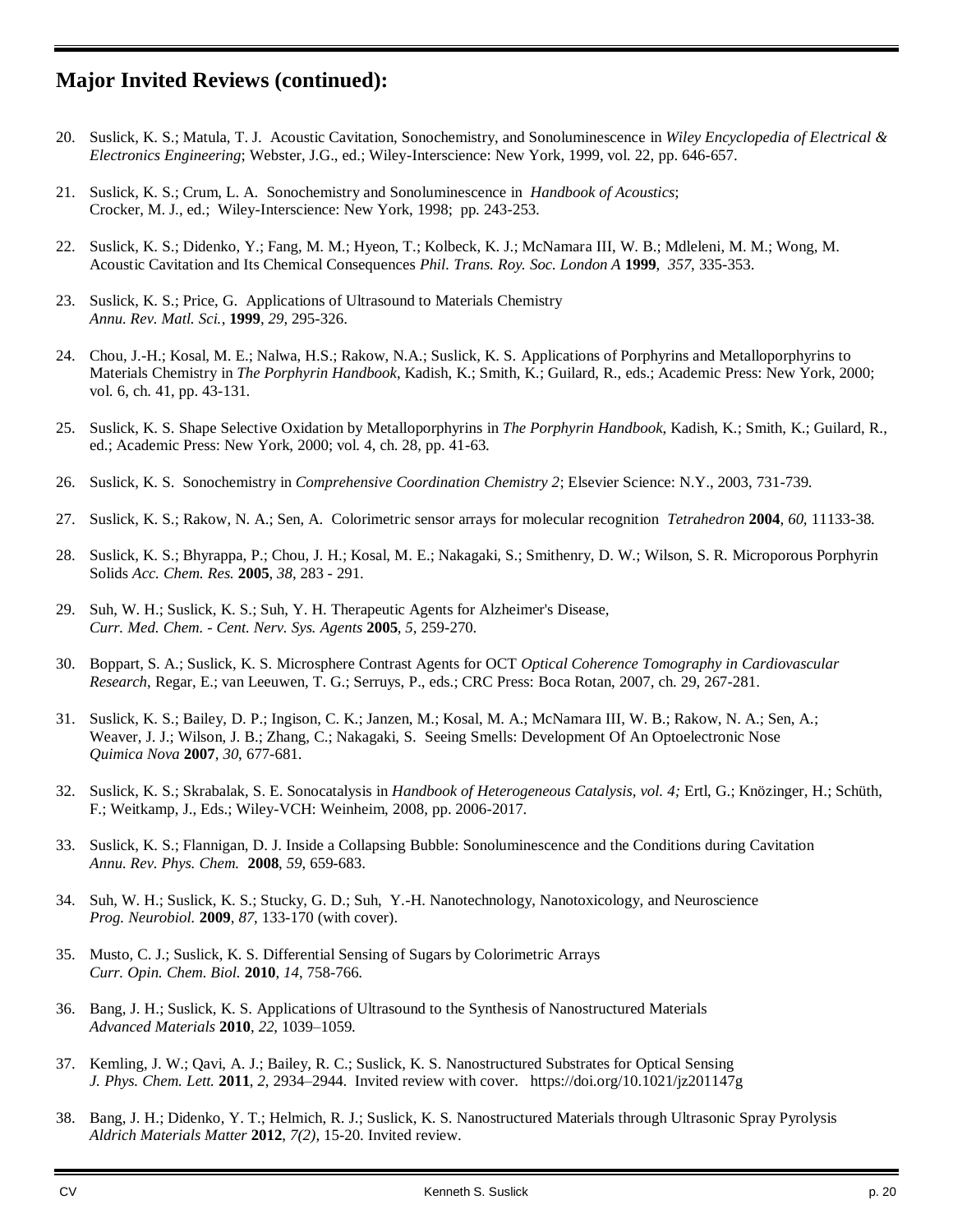## **Major Invited Reviews (continued):**

- 20. Suslick, K. S.; Matula, T. J. Acoustic Cavitation, Sonochemistry, and Sonoluminescence in *Wiley Encyclopedia of Electrical & Electronics Engineering*; Webster, J.G., ed.; Wiley-Interscience: New York, 1999, vol. 22, pp. 646-657.
- 21. Suslick, K. S.; Crum, L. A. Sonochemistry and Sonoluminescence in *Handbook of Acoustics*; Crocker, M. J., ed.; Wiley-Interscience: New York, 1998; pp. 243-253.
- 22. Suslick, K. S.; Didenko, Y.; Fang, M. M.; Hyeon, T.; Kolbeck, K. J.; McNamara III, W. B.; Mdleleni, M. M.; Wong, M. Acoustic Cavitation and Its Chemical Consequences *Phil. Trans. Roy. Soc. London A* **1999**, *357*, 335-353.
- 23. Suslick, K. S.; Price, G. Applications of Ultrasound to Materials Chemistry *Annu. Rev. Matl. Sci.*, **1999**, *29*, 295-326.
- 24. Chou, J.-H.; Kosal, M. E.; Nalwa, H.S.; Rakow, N.A.; Suslick, K. S. Applications of Porphyrins and Metalloporphyrins to Materials Chemistry in *The Porphyrin Handbook*, Kadish, K.; Smith, K.; Guilard, R., eds.; Academic Press: New York, 2000; vol. 6, ch. 41, pp. 43-131.
- 25. Suslick, K. S. Shape Selective Oxidation by Metalloporphyrins in *The Porphyrin Handbook*, Kadish, K.; Smith, K.; Guilard, R., ed.; Academic Press: New York, 2000; vol. 4, ch. 28, pp. 41-63.
- 26. Suslick, K. S. Sonochemistry in *Comprehensive Coordination Chemistry 2*; Elsevier Science: N.Y., 2003, 731-739.
- 27. Suslick, K. S.; Rakow, N. A.; Sen, A. Colorimetric sensor arrays for molecular recognition *Tetrahedron* **2004**, *60,* 11133-38.
- 28. Suslick, K. S.; Bhyrappa, P.; Chou, J. H.; Kosal, M. E.; Nakagaki, S.; Smithenry, D. W.; Wilson, S. R. Microporous Porphyrin Solids *Acc. Chem. Res.* **2005**, *38*, 283 - 291.
- 29. Suh, W. H.; Suslick, K. S.; Suh, Y. H. Therapeutic Agents for Alzheimer's Disease, *Curr. Med. Chem. - Cent. Nerv. Sys. Agents* **2005**, *5*, 259-270.
- 30. Boppart, S. A.; Suslick, K. S. Microsphere Contrast Agents for OCT *Optical Coherence Tomography in Cardiovascular Research*, Regar, E.; van Leeuwen, T. G.; Serruys, P., eds.; CRC Press: Boca Rotan, 2007, ch. 29, 267-281.
- 31. Suslick, K. S.; Bailey, D. P.; Ingison, C. K.; Janzen, M.; Kosal, M. A.; McNamara III, W. B.; Rakow, N. A.; Sen, A.; Weaver, J. J.; Wilson, J. B.; Zhang, C.; Nakagaki, S. Seeing Smells: Development Of An Optoelectronic Nose *Quimica Nova* **2007**, *30*, 677-681.
- 32. Suslick, K. S.; Skrabalak, S. E. Sonocatalysis in *Handbook of Heterogeneous Catalysis, vol. 4;* Ertl, G.; Knözinger, H.; Schüth, F.; Weitkamp, J., Eds.; Wiley-VCH: Weinheim, 2008, pp. 2006-2017.
- 33. Suslick, K. S.; Flannigan, D. J. Inside a Collapsing Bubble: Sonoluminescence and the Conditions during Cavitation *Annu. Rev. Phys. Chem.* **2008**, *59*, 659-683.
- 34. Suh, W. H.; Suslick, K. S.; Stucky, G. D.; Suh, Y.-H. Nanotechnology, Nanotoxicology, and Neuroscience *Prog. Neurobiol.* **2009**, *87*, 133-170 (with cover).
- 35. Musto, C. J.; Suslick, K. S. Differential Sensing of Sugars by Colorimetric Arrays *Curr. Opin. Chem. Biol.* **2010**, *14*, 758-766.
- 36. Bang, J. H.; Suslick, K. S. Applications of Ultrasound to the Synthesis of Nanostructured Materials *Advanced Materials* **2010**, *22*, 1039–1059.
- 37. Kemling, J. W.; Qavi, A. J.; Bailey, R. C.; Suslick, K. S. Nanostructured Substrates for Optical Sensing *J. Phys. Chem. Lett.* **2011**, *2*, 2934–2944. Invited review with cover. https://doi.org/10.1021/jz201147g
- 38. Bang, J. H.; Didenko, Y. T.; Helmich, R. J.; Suslick, K. S. Nanostructured Materials through Ultrasonic Spray Pyrolysis *Aldrich Materials Matter* **2012**, *7(2)*, 15-20. Invited review.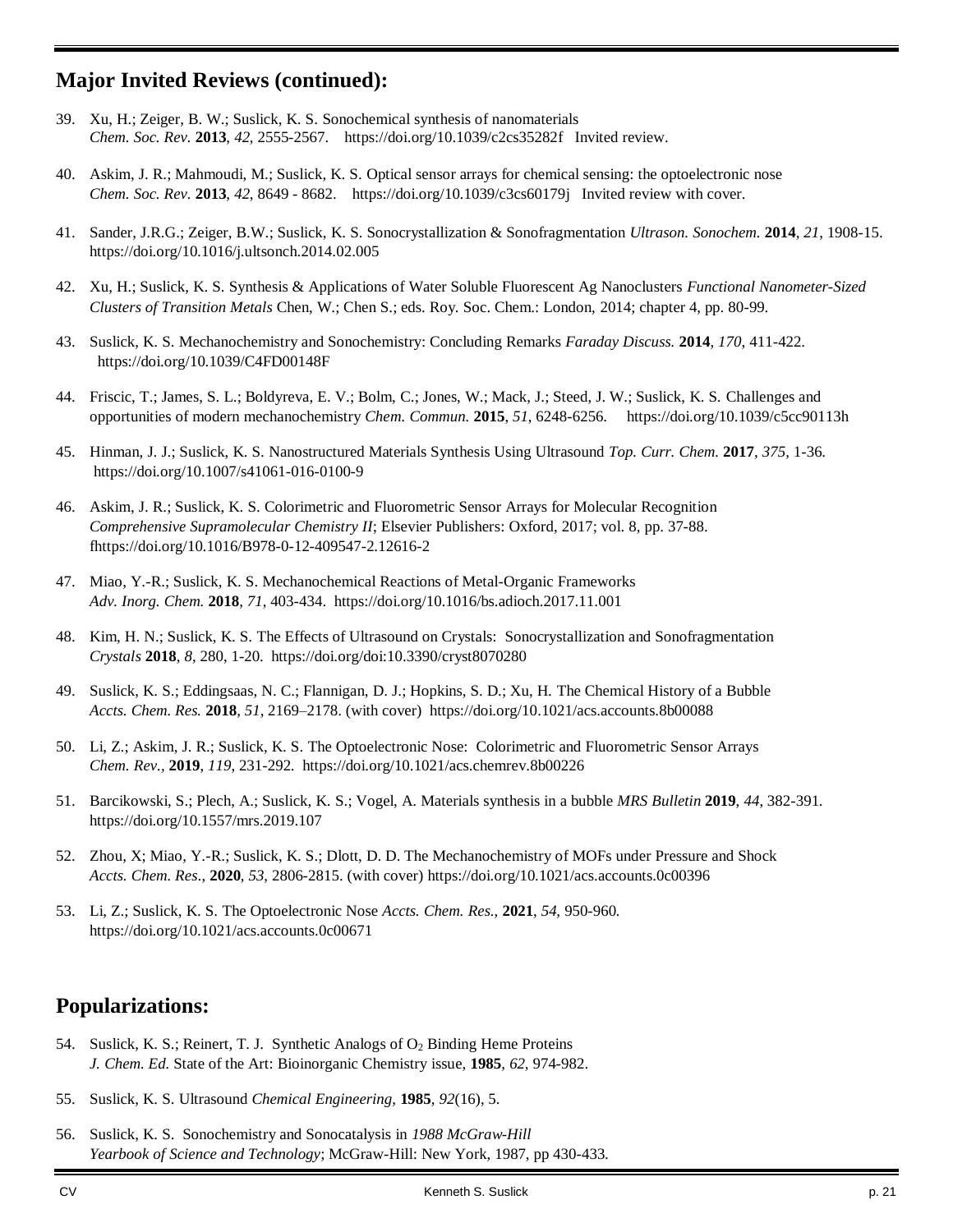## **Major Invited Reviews (continued):**

- 39. Xu, H.; Zeiger, B. W.; Suslick, K. S. Sonochemical synthesis of nanomaterials *Chem. Soc. Rev.* **2013**, *42*, 2555-2567. https://doi.org/10.1039/c2cs35282f Invited review.
- 40. Askim, J. R.; Mahmoudi, M.; Suslick, K. S. Optical sensor arrays for chemical sensing: the optoelectronic nose *Chem. Soc. Rev.* **2013**, *42*, 8649 - 8682. https://doi.org/10.1039/c3cs60179j Invited review with cover.
- 41. Sander, J.R.G.; Zeiger, B.W.; Suslick, K. S. Sonocrystallization & Sonofragmentation *Ultrason. Sonochem.* **2014**, *21*, 1908-15. https://doi.org/10.1016/j.ultsonch.2014.02.005
- 42. Xu, H.; Suslick, K. S. Synthesis & Applications of Water Soluble Fluorescent Ag Nanoclusters *Functional Nanometer-Sized Clusters of Transition Metals* Chen, W.; Chen S.; eds. Roy. Soc. Chem.: London, 2014; chapter 4, pp. 80-99.
- 43. Suslick, K. S. Mechanochemistry and Sonochemistry: Concluding Remarks *Faraday Discuss.* **2014**, *170*, 411-422. https://doi.org/10.1039/C4FD00148F
- 44. Friscic, T.; James, S. L.; Boldyreva, E. V.; Bolm, C.; Jones, W.; Mack, J.; Steed, J. W.; Suslick, K. S. Challenges and opportunities of modern mechanochemistry *Chem. Commun.* **2015**, *51*, 6248-6256. https://doi.org/10.1039/c5cc90113h
- 45. Hinman, J. J.; Suslick, K. S. Nanostructured Materials Synthesis Using Ultrasound *Top. Curr. Chem.* **2017**, *375*, 1-36. https://doi.org/10.1007/s41061-016-0100-9
- 46. Askim, J. R.; Suslick, K. S. Colorimetric and Fluorometric Sensor Arrays for Molecular Recognition *Comprehensive Supramolecular Chemistry II*; Elsevier Publishers: Oxford, 2017; vol. 8, pp. 37-88. fhttps://doi.org/10.1016/B978-0-12-409547-2.12616-2
- 47. Miao, Y.-R.; Suslick, K. S. Mechanochemical Reactions of Metal-Organic Frameworks *Adv. Inorg. Chem.* **2018**, *71*, 403-434. https://doi.org/10.1016/bs.adioch.2017.11.001
- 48. Kim, H. N.; Suslick, K. S. The Effects of Ultrasound on Crystals: Sonocrystallization and Sonofragmentation *Crystals* **2018**, *8*, 280, 1-20. https://doi.org/doi:10.3390/cryst8070280
- 49. Suslick, K. S.; Eddingsaas, N. C.; Flannigan, D. J.; Hopkins, S. D.; Xu, H. The Chemical History of a Bubble *Accts. Chem. Res.* **2018**, *51*, 2169–2178. (with cover) https://doi.org/10.1021/acs.accounts.8b00088
- 50. Li, Z.; Askim, J. R.; Suslick, K. S. The Optoelectronic Nose: Colorimetric and Fluorometric Sensor Arrays *Chem. Rev.,* **2019**, *119*, 231-292. https://doi.org/10.1021/acs.chemrev.8b00226
- 51. Barcikowski, S.; Plech, A.; Suslick, K. S.; Vogel, A. Materials synthesis in a bubble *MRS Bulletin* **2019**, *44*, 382-391. https://doi.org/10.1557/mrs.2019.107
- 52. Zhou, X; Miao, Y.-R.; Suslick, K. S.; Dlott, D. D. The Mechanochemistry of MOFs under Pressure and Shock *Accts. Chem. Res*., **2020**, *53*, 2806-2815. (with cover) https://doi.org/10.1021/acs.accounts.0c00396
- 53. Li, Z.; Suslick, K. S. The Optoelectronic Nose *Accts. Chem. Res.*, **2021**, *54*, 950-960*.* https://doi.org/10.1021/acs.accounts.0c00671

## **Popularizations:**

- 54. Suslick, K. S.; Reinert, T. J. Synthetic Analogs of O<sub>2</sub> Binding Heme Proteins *J. Chem. Ed.* State of the Art: Bioinorganic Chemistry issue, **1985**, *62*, 974-982.
- 55. Suslick, K. S. Ultrasound *Chemical Engineering*, **1985**, *92*(16), 5.
- 56. Suslick, K. S. Sonochemistry and Sonocatalysis in *1988 McGraw-Hill Yearbook of Science and Technology*; McGraw-Hill: New York, 1987, pp 430-433.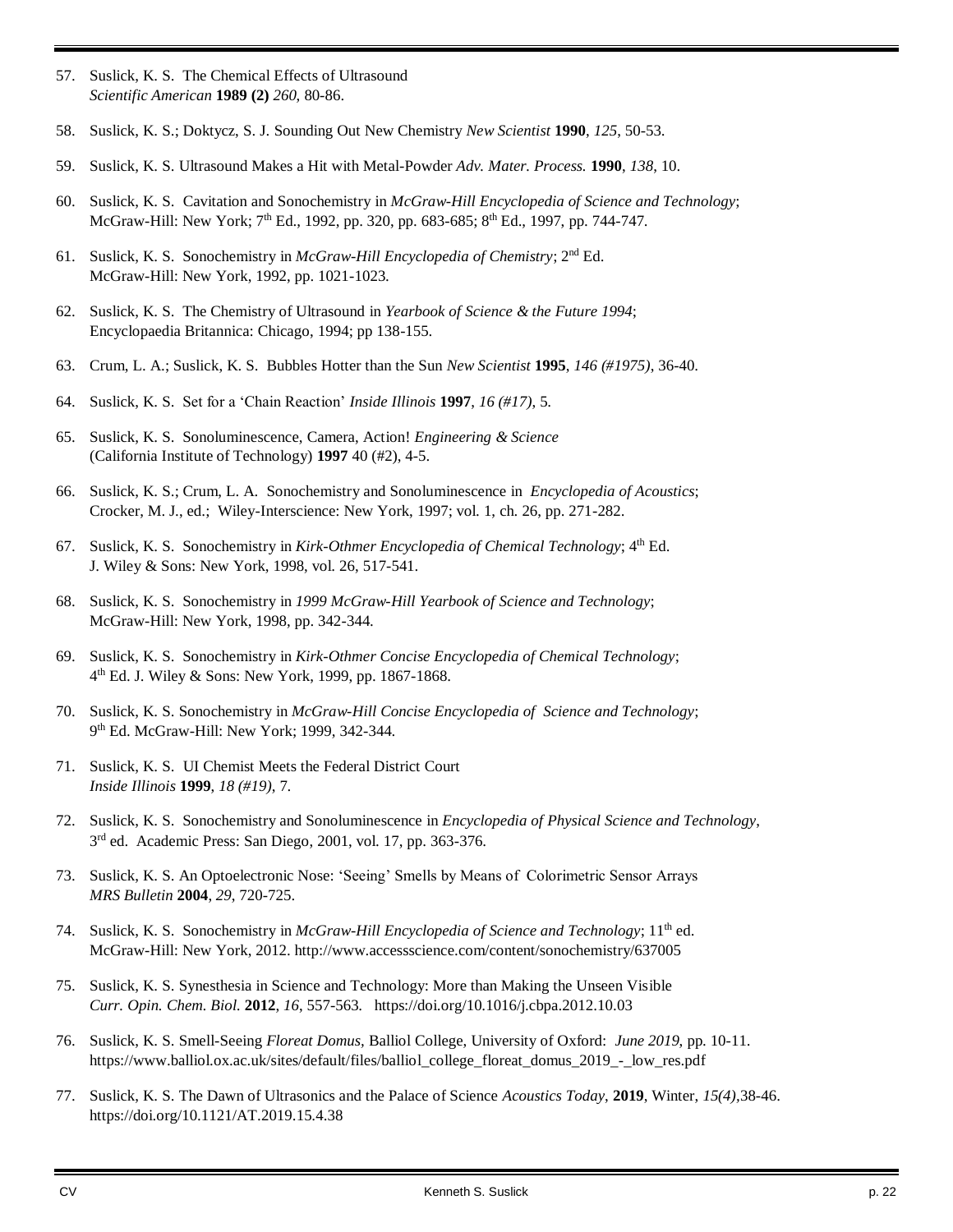- 57. Suslick, K. S. The Chemical Effects of Ultrasound *Scientific American* **1989 (2)** *260*, 80-86.
- 58. Suslick, K. S.; Doktycz, S. J. Sounding Out New Chemistry *New Scientist* **1990**, *125*, 50-53.
- 59. Suslick, K. S. Ultrasound Makes a Hit with Metal-Powder *Adv. Mater. Process.* **1990**, *138*, 10.
- 60. Suslick, K. S. Cavitation and Sonochemistry in *McGraw-Hill Encyclopedia of Science and Technology*; McGraw-Hill: New York;  $7<sup>th</sup>$  Ed., 1992, pp. 320, pp. 683-685;  $8<sup>th</sup>$  Ed., 1997, pp. 744-747.
- 61. Suslick, K. S. Sonochemistry in *McGraw-Hill Encyclopedia of Chemistry*; 2nd Ed. McGraw-Hill: New York, 1992, pp. 1021-1023.
- 62. Suslick, K. S. The Chemistry of Ultrasound in *Yearbook of Science & the Future 1994*; Encyclopaedia Britannica: Chicago, 1994; pp 138-155.
- 63. Crum, L. A.; Suslick, K. S. Bubbles Hotter than the Sun *New Scientist* **1995**, *146 (#1975)*, 36-40.
- 64. Suslick, K. S. Set for a 'Chain Reaction' *Inside Illinois* **1997**, *16 (#17)*, 5.
- 65. Suslick, K. S. Sonoluminescence, Camera, Action! *Engineering & Science* (California Institute of Technology) **1997** 40 (#2), 4-5.
- 66. Suslick, K. S.; Crum, L. A. Sonochemistry and Sonoluminescence in *Encyclopedia of Acoustics*; Crocker, M. J., ed.; Wiley-Interscience: New York, 1997; vol. 1, ch. 26, pp. 271-282.
- 67. Suslick, K. S. Sonochemistry in *Kirk-Othmer Encyclopedia of Chemical Technology*; 4th Ed. J. Wiley & Sons: New York, 1998, vol. 26, 517-541.
- 68. Suslick, K. S. Sonochemistry in *1999 McGraw-Hill Yearbook of Science and Technology*; McGraw-Hill: New York, 1998, pp. 342-344.
- 69. Suslick, K. S. Sonochemistry in *Kirk-Othmer Concise Encyclopedia of Chemical Technology*; 4 th Ed. J. Wiley & Sons: New York, 1999, pp. 1867-1868.
- 70. Suslick, K. S. Sonochemistry in *McGraw-Hill Concise Encyclopedia of Science and Technology*; 9 th Ed. McGraw-Hill: New York; 1999, 342-344.
- 71. Suslick, K. S. UI Chemist Meets the Federal District Court *Inside Illinois* **1999**, *18 (#19)*, 7.
- 72. Suslick, K. S. Sonochemistry and Sonoluminescence in *Encyclopedia of Physical Science and Technology*, 3<sup>rd</sup> ed. Academic Press: San Diego, 2001, vol. 17, pp. 363-376.
- 73. Suslick, K. S. An Optoelectronic Nose: 'Seeing' Smells by Means of Colorimetric Sensor Arrays *MRS Bulletin* **2004**, *29*, 720-725.
- 74. Suslick, K. S. Sonochemistry in *McGraw-Hill Encyclopedia of Science and Technology*; 11th ed. McGraw-Hill: New York, 2012. http://www.accessscience.com/content/sonochemistry/637005
- 75. Suslick, K. S. Synesthesia in Science and Technology: More than Making the Unseen Visible *Curr. Opin. Chem. Biol.* **2012**, *16*, 557-563. https://doi.org/10.1016/j.cbpa.2012.10.03
- 76. Suslick, K. S. Smell-Seeing *Floreat Domus,* Balliol College, University of Oxford: *June 2019*, pp. 10-11. https://www.balliol.ox.ac.uk/sites/default/files/balliol\_college\_floreat\_domus\_2019\_-\_low\_res.pdf
- 77. Suslick, K. S. The Dawn of Ultrasonics and the Palace of Science *Acoustics Today*, **2019**, Winter, *15(4),*38-46. https://doi.org/10.1121/AT.2019.15.4.38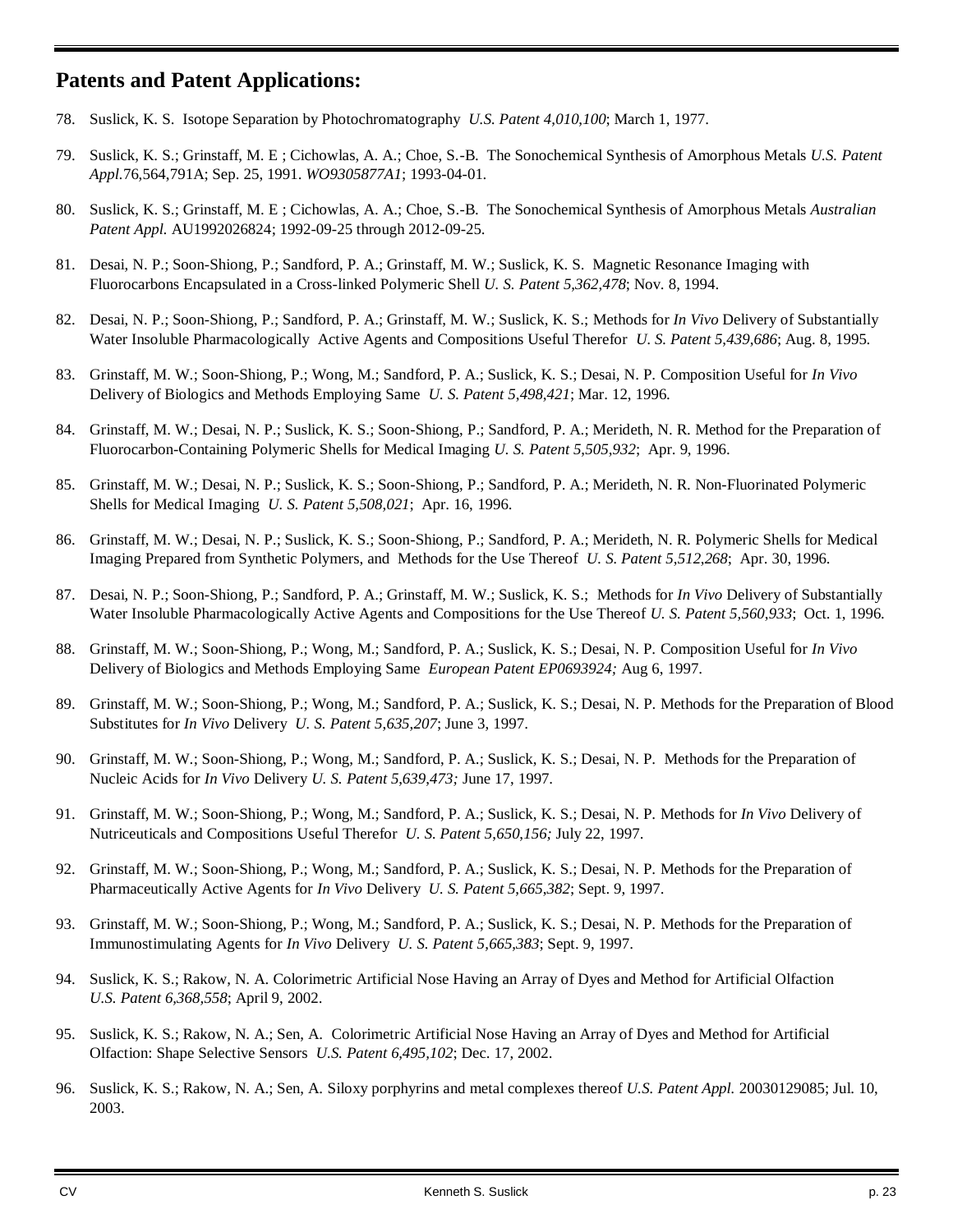## **Patents and Patent Applications:**

- 78. Suslick, K. S. Isotope Separation by Photochromatography *U.S. Patent 4*,*010*,*100*; March 1, 1977.
- 79. Suslick, K. S.; Grinstaff, M. E ; Cichowlas, A. A.; Choe, S.-B. The Sonochemical Synthesis of Amorphous Metals *U.S. Patent Appl.*76,564,791A; Sep. 25, 1991. *WO9305877A1*; 1993-04-01.
- 80. Suslick, K. S.; Grinstaff, M. E ; Cichowlas, A. A.; Choe, S.-B. The Sonochemical Synthesis of Amorphous Metals *Australian Patent Appl.* AU1992026824; 1992-09-25 through 2012-09-25.
- 81. Desai, N. P.; Soon-Shiong, P.; Sandford, P. A.; Grinstaff, M. W.; Suslick, K. S. Magnetic Resonance Imaging with Fluorocarbons Encapsulated in a Cross-linked Polymeric Shell *U. S. Patent 5*,*362*,*478*; Nov. 8, 1994.
- 82. Desai, N. P.; Soon-Shiong, P.; Sandford, P. A.; Grinstaff, M. W.; Suslick, K. S.; Methods for *In Vivo* Delivery of Substantially Water Insoluble Pharmacologically Active Agents and Compositions Useful Therefor *U. S. Patent 5*,*439*,*686*; Aug. 8, 1995.
- 83. Grinstaff, M. W.; Soon-Shiong, P.; Wong, M.; Sandford, P. A.; Suslick, K. S.; Desai, N. P. Composition Useful for *In Vivo* Delivery of Biologics and Methods Employing Same *U. S. Patent 5*,*498*,*421*; Mar. 12, 1996.
- 84. Grinstaff, M. W.; Desai, N. P.; Suslick, K. S.; Soon-Shiong, P.; Sandford, P. A.; Merideth, N. R. Method for the Preparation of Fluorocarbon-Containing Polymeric Shells for Medical Imaging *U. S. Patent 5*,*505*,*932*; Apr. 9, 1996.
- 85. Grinstaff, M. W.; Desai, N. P.; Suslick, K. S.; Soon-Shiong, P.; Sandford, P. A.; Merideth, N. R. Non-Fluorinated Polymeric Shells for Medical Imaging *U. S. Patent 5*,*508*,*021*; Apr. 16, 1996.
- 86. Grinstaff, M. W.; Desai, N. P.; Suslick, K. S.; Soon-Shiong, P.; Sandford, P. A.; Merideth, N. R. Polymeric Shells for Medical Imaging Prepared from Synthetic Polymers, and Methods for the Use Thereof *U. S. Patent 5*,*512*,*268*; Apr. 30, 1996.
- 87. Desai, N. P.; Soon-Shiong, P.; Sandford, P. A.; Grinstaff, M. W.; Suslick, K. S.; Methods for *In Vivo* Delivery of Substantially Water Insoluble Pharmacologically Active Agents and Compositions for the Use Thereof *U. S. Patent 5*,*560*,*933*; Oct. 1, 1996.
- 88. Grinstaff, M. W.; Soon-Shiong, P.; Wong, M.; Sandford, P. A.; Suslick, K. S.; Desai, N. P. Composition Useful for *In Vivo* Delivery of Biologics and Methods Employing Same *European Patent EP0693924;* Aug 6, 1997.
- 89. Grinstaff, M. W.; Soon-Shiong, P.; Wong, M.; Sandford, P. A.; Suslick, K. S.; Desai, N. P. Methods for the Preparation of Blood Substitutes for *In Vivo* Delivery *U. S. Patent 5*,*635*,*207*; June 3, 1997.
- 90. Grinstaff, M. W.; Soon-Shiong, P.; Wong, M.; Sandford, P. A.; Suslick, K. S.; Desai, N. P. Methods for the Preparation of Nucleic Acids for *In Vivo* Delivery *U. S. Patent 5*,*639*,*473;* June 17, 1997.
- 91. Grinstaff, M. W.; Soon-Shiong, P.; Wong, M.; Sandford, P. A.; Suslick, K. S.; Desai, N. P. Methods for *In Vivo* Delivery of Nutriceuticals and Compositions Useful Therefor *U. S. Patent 5*,*650*,*156;* July 22, 1997.
- 92. Grinstaff, M. W.; Soon-Shiong, P.; Wong, M.; Sandford, P. A.; Suslick, K. S.; Desai, N. P. Methods for the Preparation of Pharmaceutically Active Agents for *In Vivo* Delivery *U. S. Patent 5*,*665*,*382*; Sept. 9, 1997.
- 93. Grinstaff, M. W.; Soon-Shiong, P.; Wong, M.; Sandford, P. A.; Suslick, K. S.; Desai, N. P. Methods for the Preparation of Immunostimulating Agents for *In Vivo* Delivery *U. S. Patent 5*,*665*,*383*; Sept. 9, 1997.
- 94. Suslick, K. S.; Rakow, N. A. Colorimetric Artificial Nose Having an Array of Dyes and Method for Artificial Olfaction *U.S. Patent 6,368,558*; April 9, 2002.
- 95. Suslick, K. S.; Rakow, N. A.; Sen, A. Colorimetric Artificial Nose Having an Array of Dyes and Method for Artificial Olfaction: Shape Selective Sensors *U.S. Patent 6,495,102*; Dec. 17, 2002.
- 96. Suslick, K. S.; Rakow, N. A.; Sen, A. Siloxy porphyrins and metal complexes thereof *U.S. Patent Appl.* 20030129085; Jul. 10, 2003.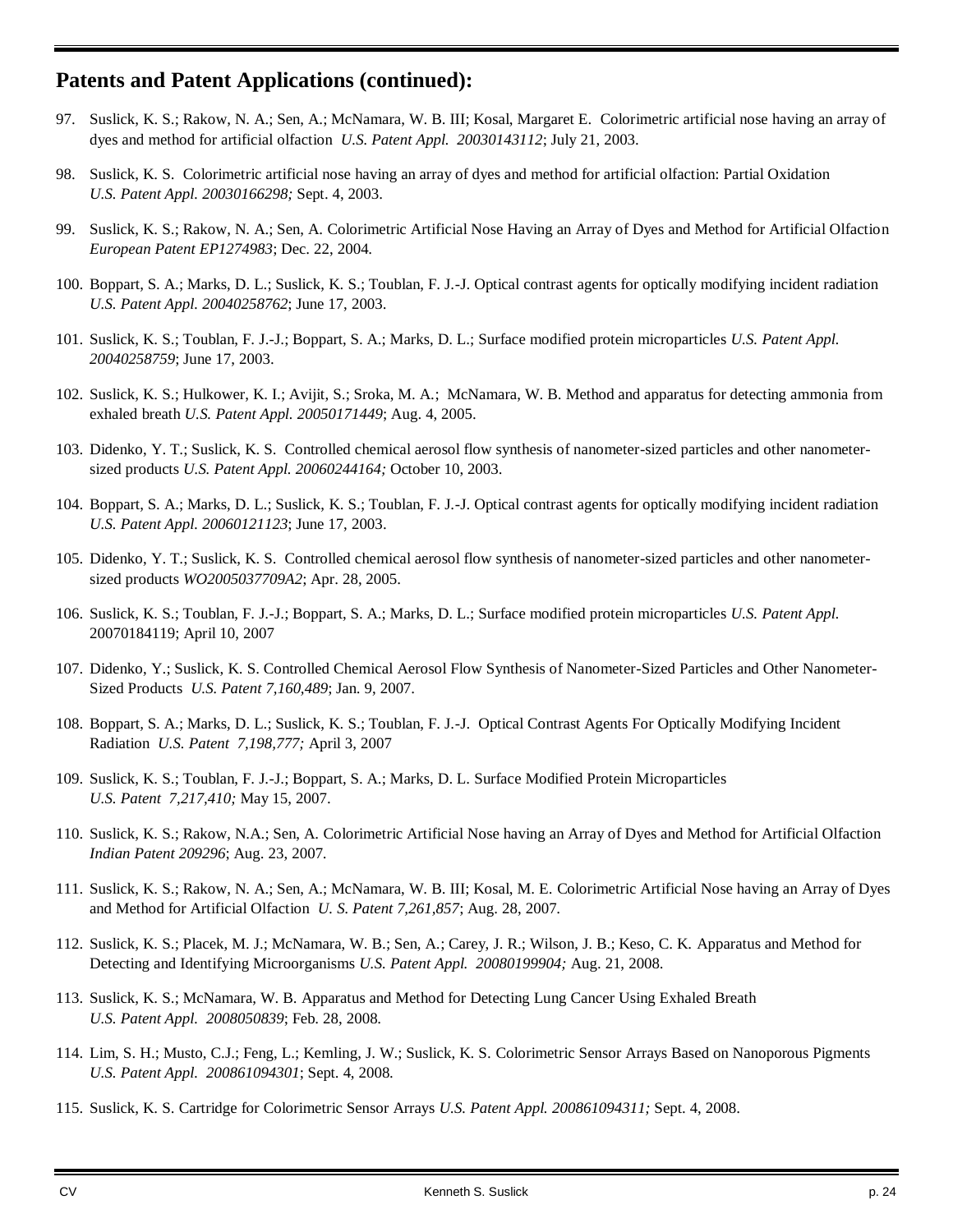## **Patents and Patent Applications (continued):**

- 97. Suslick, K. S.; Rakow, N. A.; Sen, A.; McNamara, W. B. III; Kosal, Margaret E. Colorimetric artificial nose having an array of dyes and method for artificial olfaction *U.S. Patent Appl. 20030143112*; July 21, 2003.
- 98. Suslick, K. S. Colorimetric artificial nose having an array of dyes and method for artificial olfaction: Partial Oxidation *U.S. Patent Appl. 20030166298;* Sept. 4, 2003.
- 99. Suslick, K. S.; Rakow, N. A.; Sen, A. Colorimetric Artificial Nose Having an Array of Dyes and Method for Artificial Olfaction *European Patent EP1274983*; Dec. 22, 2004.
- 100. Boppart, S. A.; Marks, D. L.; Suslick, K. S.; Toublan, F. J.-J. Optical contrast agents for optically modifying incident radiation *U.S. Patent Appl. 20040258762*; June 17, 2003.
- 101. Suslick, K. S.; Toublan, F. J.-J.; Boppart, S. A.; Marks, D. L.; Surface modified protein microparticles *U.S. Patent Appl. 20040258759*; June 17, 2003.
- 102. Suslick, K. S.; Hulkower, K. I.; Avijit, S.; Sroka, M. A.; McNamara, W. B. Method and apparatus for detecting ammonia from exhaled breath *U.S. Patent Appl. 20050171449*; Aug. 4, 2005.
- 103. Didenko, Y. T.; Suslick, K. S. Controlled chemical aerosol flow synthesis of nanometer-sized particles and other nanometersized products *U.S. Patent Appl. 20060244164;* October 10, 2003.
- 104. Boppart, S. A.; Marks, D. L.; Suslick, K. S.; Toublan, F. J.-J. Optical contrast agents for optically modifying incident radiation *U.S. Patent Appl. 20060121123*; June 17, 2003.
- 105. Didenko, Y. T.; Suslick, K. S. Controlled chemical aerosol flow synthesis of nanometer-sized particles and other nanometersized products *WO2005037709A2*; Apr. 28, 2005.
- 106. Suslick, K. S.; Toublan, F. J.-J.; Boppart, S. A.; Marks, D. L.; Surface modified protein microparticles *U.S. Patent Appl.*  20070184119; April 10, 2007
- 107. Didenko, Y.; Suslick, K. S. Controlled Chemical Aerosol Flow Synthesis of Nanometer-Sized Particles and Other Nanometer-Sized Products *U.S. Patent 7,160,489*; Jan. 9, 2007.
- 108. Boppart, S. A.; Marks, D. L.; Suslick, K. S.; Toublan, F. J.-J. Optical Contrast Agents For Optically Modifying Incident Radiation *U.S. Patent 7,198,777;* April 3, 2007
- 109. Suslick, K. S.; Toublan, F. J.-J.; Boppart, S. A.; Marks, D. L. Surface Modified Protein Microparticles *U.S. Patent 7,217,410;* May 15, 2007.
- 110. Suslick, K. S.; Rakow, N.A.; Sen, A. Colorimetric Artificial Nose having an Array of Dyes and Method for Artificial Olfaction *Indian Patent 209296*; Aug. 23, 2007.
- 111. Suslick, K. S.; Rakow, N. A.; Sen, A.; McNamara, W. B. III; Kosal, M. E. Colorimetric Artificial Nose having an Array of Dyes and Method for Artificial Olfaction *U. S. Patent 7,261,857*; Aug. 28, 2007.
- 112. Suslick, K. S.; Placek, M. J.; McNamara, W. B.; Sen, A.; Carey, J. R.; Wilson, J. B.; Keso, C. K. Apparatus and Method for Detecting and Identifying Microorganisms *U.S. Patent Appl. 20080199904;* Aug. 21, 2008.
- 113. Suslick, K. S.; McNamara, W. B. Apparatus and Method for Detecting Lung Cancer Using Exhaled Breath *U.S. Patent Appl. 2008050839*; Feb. 28, 2008.
- 114. Lim, S. H.; Musto, C.J.; Feng, L.; Kemling, J. W.; Suslick, K. S. Colorimetric Sensor Arrays Based on Nanoporous Pigments *U.S. Patent Appl. 200861094301*; Sept. 4, 2008.
- 115. Suslick, K. S. Cartridge for Colorimetric Sensor Arrays *U.S. Patent Appl. 200861094311;* Sept. 4, 2008.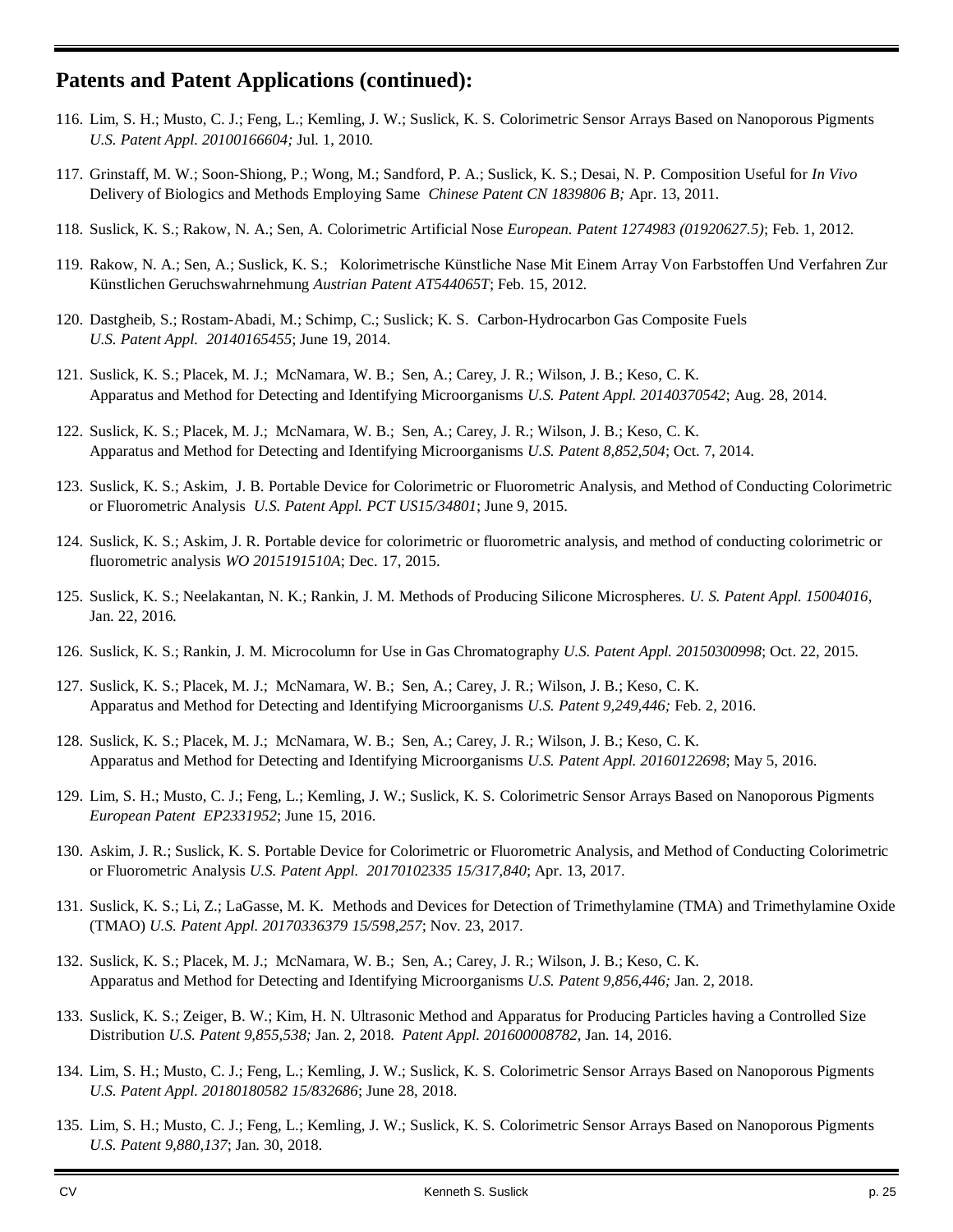## **Patents and Patent Applications (continued):**

- 116. Lim, S. H.; Musto, C. J.; Feng, L.; Kemling, J. W.; Suslick, K. S. Colorimetric Sensor Arrays Based on Nanoporous Pigments *U.S. Patent Appl. 20100166604;* Jul. 1, 2010*.*
- 117. Grinstaff, M. W.; Soon-Shiong, P.; Wong, M.; Sandford, P. A.; Suslick, K. S.; Desai, N. P. Composition Useful for *In Vivo* Delivery of Biologics and Methods Employing Same *Chinese Patent CN 1839806 B;* Apr. 13, 2011.
- 118. Suslick, K. S.; Rakow, N. A.; Sen, A. Colorimetric Artificial Nose *European. Patent 1274983 (01920627.5)*; Feb. 1, 2012.
- 119. Rakow, N. A.; Sen, A.; Suslick, K. S.; Kolorimetrische Künstliche Nase Mit Einem Array Von Farbstoffen Und Verfahren Zur Künstlichen Geruchswahrnehmung *Austrian Patent AT544065T*; Feb. 15, 2012.
- 120. Dastgheib, S.; Rostam-Abadi, M.; Schimp, C.; Suslick; K. S. Carbon-Hydrocarbon Gas Composite Fuels *U.S. Patent Appl. 20140165455*; June 19, 2014.
- 121. Suslick, K. S.; Placek, M. J.; McNamara, W. B.; Sen, A.; Carey, J. R.; Wilson, J. B.; Keso, C. K. Apparatus and Method for Detecting and Identifying Microorganisms *U.S. Patent Appl. 20140370542*; Aug. 28, 2014.
- 122. Suslick, K. S.; Placek, M. J.; McNamara, W. B.; Sen, A.; Carey, J. R.; Wilson, J. B.; Keso, C. K. Apparatus and Method for Detecting and Identifying Microorganisms *U.S. Patent 8,852,504*; Oct. 7, 2014.
- 123. Suslick, K. S.; Askim, J. B. Portable Device for Colorimetric or Fluorometric Analysis, and Method of Conducting Colorimetric or Fluorometric Analysis *U.S. Patent Appl. PCT US15/34801*; June 9, 2015.
- 124. Suslick, K. S.; Askim, J. R. Portable device for colorimetric or fluorometric analysis, and method of conducting colorimetric or fluorometric analysis *WO 2015191510A*; Dec. 17, 2015.
- 125. Suslick, K. S.; Neelakantan, N. K.; Rankin, J. M. Methods of Producing Silicone Microspheres. *U. S. Patent Appl. 15004016*, Jan. 22, 2016.
- 126. Suslick, K. S.; Rankin, J. M. Microcolumn for Use in Gas Chromatography *U.S. Patent Appl. 20150300998*; Oct. 22, 2015.
- 127. Suslick, K. S.; Placek, M. J.; McNamara, W. B.; Sen, A.; Carey, J. R.; Wilson, J. B.; Keso, C. K. Apparatus and Method for Detecting and Identifying Microorganisms *U.S. Patent 9,249,446;* Feb. 2, 2016.
- 128. Suslick, K. S.; Placek, M. J.; McNamara, W. B.; Sen, A.; Carey, J. R.; Wilson, J. B.; Keso, C. K. Apparatus and Method for Detecting and Identifying Microorganisms *U.S. Patent Appl. 20160122698*; May 5, 2016.
- 129. Lim, S. H.; Musto, C. J.; Feng, L.; Kemling, J. W.; Suslick, K. S. Colorimetric Sensor Arrays Based on Nanoporous Pigments *European Patent EP2331952*; June 15, 2016.
- 130. Askim, J. R.; Suslick, K. S. Portable Device for Colorimetric or Fluorometric Analysis, and Method of Conducting Colorimetric or Fluorometric Analysis *U.S. Patent Appl. 20170102335 15/317,840*; Apr. 13, 2017.
- 131. Suslick, K. S.; Li, Z.; LaGasse, M. K. Methods and Devices for Detection of Trimethylamine (TMA) and Trimethylamine Oxide (TMAO) *U.S. Patent Appl. 20170336379 15/598,257*; Nov. 23, 2017.
- 132. Suslick, K. S.; Placek, M. J.; McNamara, W. B.; Sen, A.; Carey, J. R.; Wilson, J. B.; Keso, C. K. Apparatus and Method for Detecting and Identifying Microorganisms *U.S. Patent 9,856,446;* Jan. 2, 2018.
- 133. Suslick, K. S.; Zeiger, B. W.; Kim, H. N. Ultrasonic Method and Apparatus for Producing Particles having a Controlled Size Distribution *U.S. Patent 9,855,538;* Jan. 2, 2018. *Patent Appl. 201600008782*, Jan. 14, 2016.
- 134. Lim, S. H.; Musto, C. J.; Feng, L.; Kemling, J. W.; Suslick, K. S. Colorimetric Sensor Arrays Based on Nanoporous Pigments *U.S. Patent Appl. 20180180582 15/832686*; June 28, 2018.
- 135. Lim, S. H.; Musto, C. J.; Feng, L.; Kemling, J. W.; Suslick, K. S. Colorimetric Sensor Arrays Based on Nanoporous Pigments *U.S. Patent 9,880,137*; Jan. 30, 2018.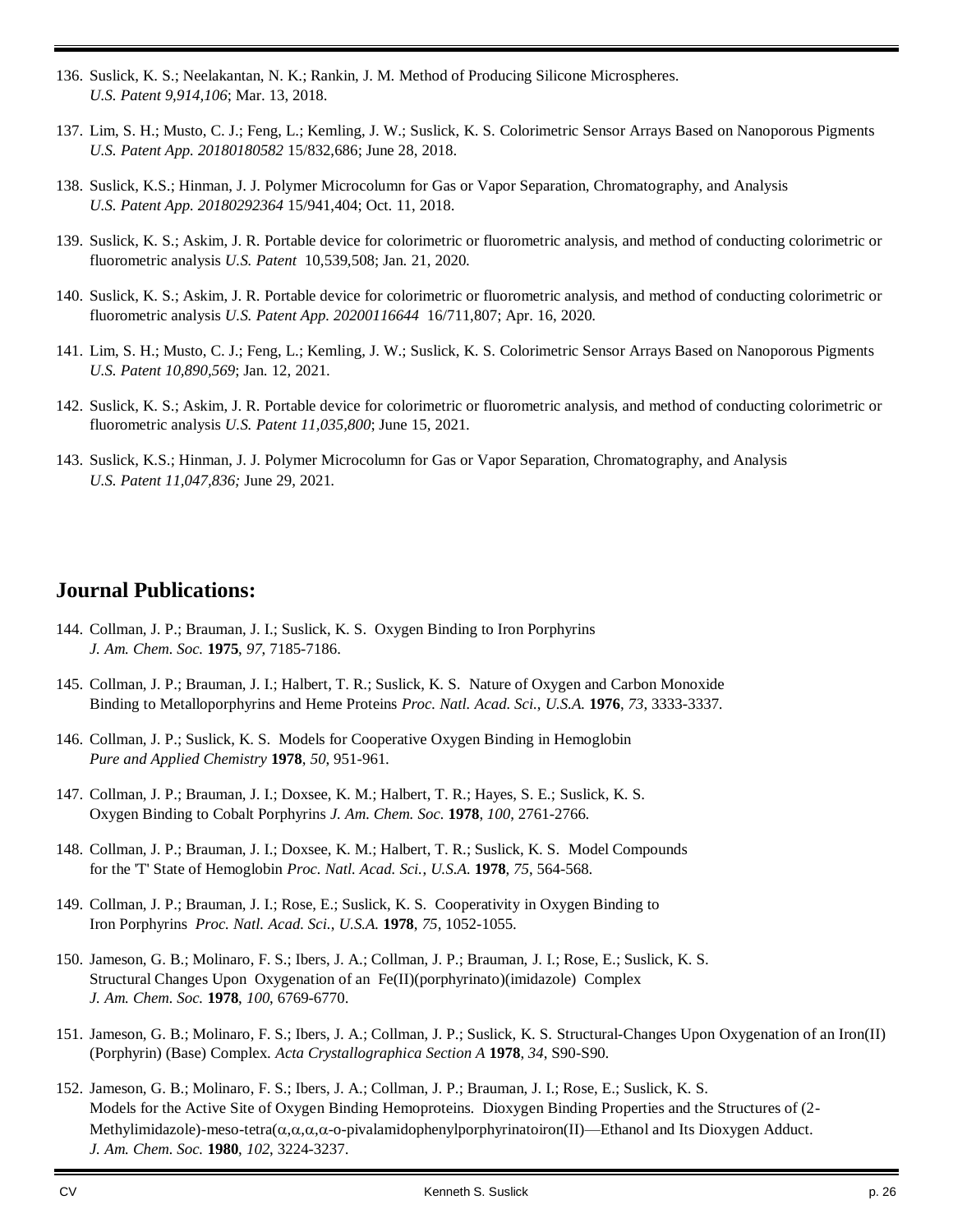- 136. Suslick, K. S.; Neelakantan, N. K.; Rankin, J. M. Method of Producing Silicone Microspheres. *U.S. Patent 9,914,106*; Mar. 13, 2018.
- 137. Lim, S. H.; Musto, C. J.; Feng, L.; Kemling, J. W.; Suslick, K. S. Colorimetric Sensor Arrays Based on Nanoporous Pigments *U.S. Patent App. 20180180582* 15/832,686; June 28, 2018.
- 138. Suslick, K.S.; Hinman, J. J. Polymer Microcolumn for Gas or Vapor Separation, Chromatography, and Analysis *U.S. Patent App. 20180292364* 15/941,404; Oct. 11, 2018.
- 139. Suslick, K. S.; Askim, J. R. Portable device for colorimetric or fluorometric analysis, and method of conducting colorimetric or fluorometric analysis *U.S. Patent* 10,539,508; Jan. 21, 2020.
- 140. Suslick, K. S.; Askim, J. R. Portable device for colorimetric or fluorometric analysis, and method of conducting colorimetric or fluorometric analysis *U.S. Patent App. 20200116644* 16/711,807; Apr. 16, 2020.
- 141. Lim, S. H.; Musto, C. J.; Feng, L.; Kemling, J. W.; Suslick, K. S. Colorimetric Sensor Arrays Based on Nanoporous Pigments *U.S. Patent 10,890,569*; Jan. 12, 2021.
- 142. Suslick, K. S.; Askim, J. R. Portable device for colorimetric or fluorometric analysis, and method of conducting colorimetric or fluorometric analysis *U.S. Patent 11,035,800*; June 15, 2021.
- 143. Suslick, K.S.; Hinman, J. J. Polymer Microcolumn for Gas or Vapor Separation, Chromatography, and Analysis *U.S. Patent 11,047,836;* June 29, 2021*.*

## **Journal Publications:**

- 144. Collman, J. P.; Brauman, J. I.; Suslick, K. S. Oxygen Binding to Iron Porphyrins *J. Am. Chem. Soc.* **1975**, *97*, 7185-7186.
- 145. Collman, J. P.; Brauman, J. I.; Halbert, T. R.; Suslick, K. S. Nature of Oxygen and Carbon Monoxide Binding to Metalloporphyrins and Heme Proteins *Proc. Natl. Acad. Sci.*, *U.S.A.* **1976**, *73*, 3333-3337.
- 146. Collman, J. P.; Suslick, K. S. Models for Cooperative Oxygen Binding in Hemoglobin *Pure and Applied Chemistry* **1978**, *50*, 951-961.
- 147. Collman, J. P.; Brauman, J. I.; Doxsee, K. M.; Halbert, T. R.; Hayes, S. E.; Suslick, K. S. Oxygen Binding to Cobalt Porphyrins *J. Am. Chem. Soc.* **1978**, *100*, 2761-2766.
- 148. Collman, J. P.; Brauman, J. I.; Doxsee, K. M.; Halbert, T. R.; Suslick, K. S. Model Compounds for the 'T' State of Hemoglobin *Proc. Natl. Acad. Sci.*, *U.S.A.* **1978**, *75*, 564-568.
- 149. Collman, J. P.; Brauman, J. I.; Rose, E.; Suslick, K. S. Cooperativity in Oxygen Binding to Iron Porphyrins *Proc. Natl. Acad. Sci.*, *U.S.A.* **1978**, *75*, 1052-1055.
- 150. Jameson, G. B.; Molinaro, F. S.; Ibers, J. A.; Collman, J. P.; Brauman, J. I.; Rose, E.; Suslick, K. S. Structural Changes Upon Oxygenation of an Fe(II)(porphyrinato)(imidazole) Complex *J. Am. Chem. Soc.* **1978**, *100*, 6769-6770.
- 151. Jameson, G. B.; Molinaro, F. S.; Ibers, J. A.; Collman, J. P.; Suslick, K. S. Structural-Changes Upon Oxygenation of an Iron(II) (Porphyrin) (Base) Complex. *Acta Crystallographica Section A* **1978**, *34*, S90-S90.
- 152. Jameson, G. B.; Molinaro, F. S.; Ibers, J. A.; Collman, J. P.; Brauman, J. I.; Rose, E.; Suslick, K. S. Models for the Active Site of Oxygen Binding Hemoproteins. Dioxygen Binding Properties and the Structures of (2- Methylimidazole)-meso-tetra( $\alpha, \alpha, \alpha$ -o-pivalamidophenylporphyrinatoiron(II)—Ethanol and Its Dioxygen Adduct. *J. Am. Chem. Soc.* **1980**, *102*, 3224-3237.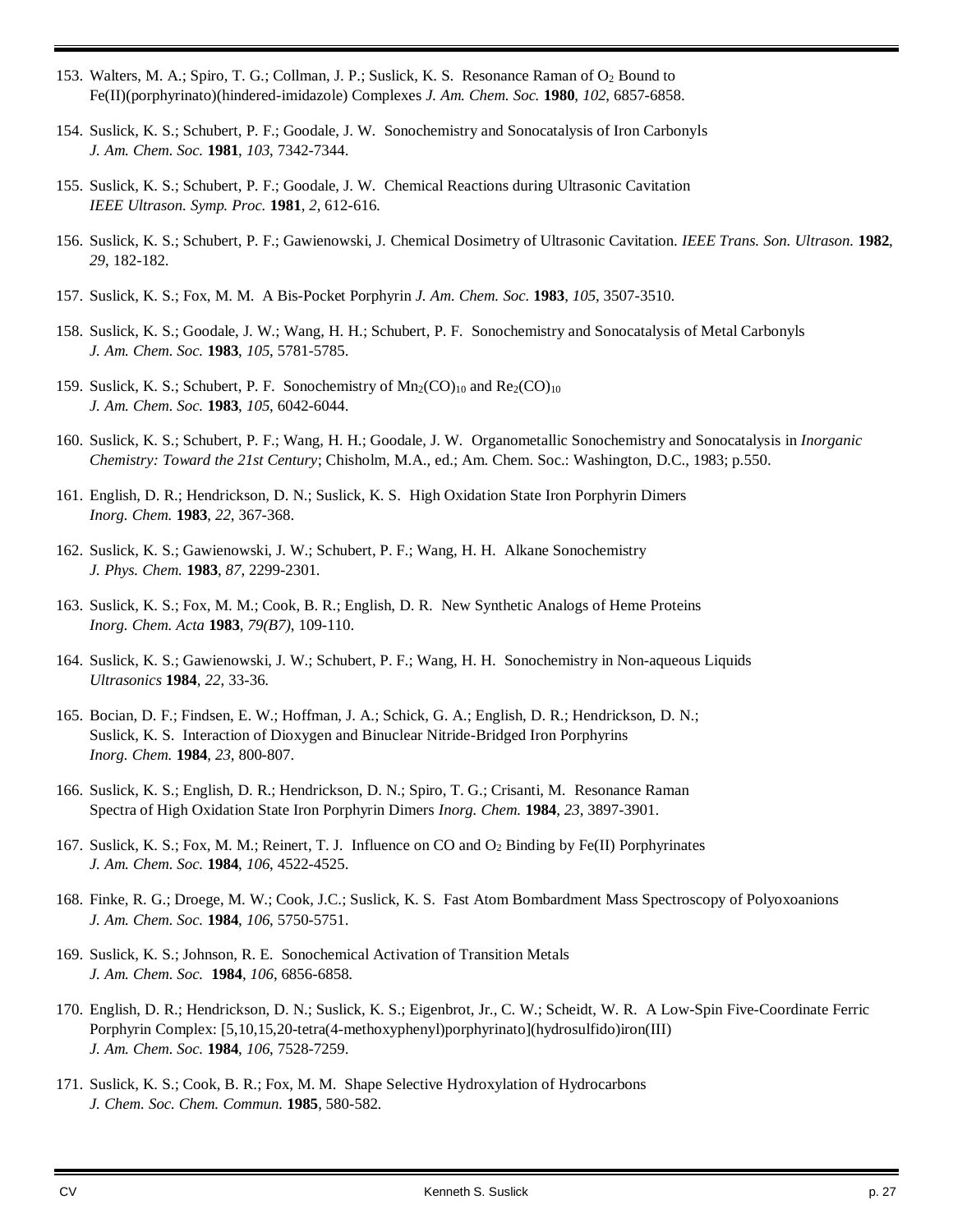- 153. Walters, M. A.; Spiro, T. G.; Collman, J. P.; Suslick, K. S. Resonance Raman of O<sub>2</sub> Bound to Fe(II)(porphyrinato)(hindered-imidazole) Complexes *J. Am. Chem. Soc.* **1980**, *102*, 6857-6858.
- 154. Suslick, K. S.; Schubert, P. F.; Goodale, J. W. Sonochemistry and Sonocatalysis of Iron Carbonyls *J. Am. Chem. Soc.* **1981**, *103*, 7342-7344.
- 155. Suslick, K. S.; Schubert, P. F.; Goodale, J. W. Chemical Reactions during Ultrasonic Cavitation *IEEE Ultrason. Symp. Proc.* **1981**, *2*, 612-616.
- 156. Suslick, K. S.; Schubert, P. F.; Gawienowski, J. Chemical Dosimetry of Ultrasonic Cavitation. *IEEE Trans. Son. Ultrason.* **1982**, *29*, 182-182.
- 157. Suslick, K. S.; Fox, M. M. A Bis-Pocket Porphyrin *J. Am. Chem. Soc.* **1983**, *105*, 3507-3510.
- 158. Suslick, K. S.; Goodale, J. W.; Wang, H. H.; Schubert, P. F. Sonochemistry and Sonocatalysis of Metal Carbonyls *J. Am. Chem. Soc.* **1983**, *105*, 5781-5785.
- 159. Suslick, K. S.; Schubert, P. F. Sonochemistry of  $Mn_2(CO)_{10}$  and  $Re_2(CO)_{10}$ *J. Am. Chem. Soc.* **1983**, *105*, 6042-6044.
- 160. Suslick, K. S.; Schubert, P. F.; Wang, H. H.; Goodale, J. W. Organometallic Sonochemistry and Sonocatalysis in *Inorganic Chemistry: Toward the 21st Century*; Chisholm, M.A., ed.; Am. Chem. Soc.: Washington, D.C., 1983; p.550.
- 161. English, D. R.; Hendrickson, D. N.; Suslick, K. S. High Oxidation State Iron Porphyrin Dimers *Inorg. Chem.* **1983**, *22*, 367-368.
- 162. Suslick, K. S.; Gawienowski, J. W.; Schubert, P. F.; Wang, H. H. Alkane Sonochemistry *J. Phys. Chem.* **1983**, *87*, 2299-2301.
- 163. Suslick, K. S.; Fox, M. M.; Cook, B. R.; English, D. R. New Synthetic Analogs of Heme Proteins *Inorg. Chem. Acta* **1983**, *79(B7)*, 109-110.
- 164. Suslick, K. S.; Gawienowski, J. W.; Schubert, P. F.; Wang, H. H. Sonochemistry in Non-aqueous Liquids *Ultrasonics* **1984**, *22*, 33-36.
- 165. Bocian, D. F.; Findsen, E. W.; Hoffman, J. A.; Schick, G. A.; English, D. R.; Hendrickson, D. N.; Suslick, K. S. Interaction of Dioxygen and Binuclear Nitride-Bridged Iron Porphyrins *Inorg. Chem.* **1984**, *23*, 800-807.
- 166. Suslick, K. S.; English, D. R.; Hendrickson, D. N.; Spiro, T. G.; Crisanti, M. Resonance Raman Spectra of High Oxidation State Iron Porphyrin Dimers *Inorg. Chem.* **1984**, *23*, 3897-3901.
- 167. Suslick, K. S.; Fox, M. M.; Reinert, T. J. Influence on CO and O<sub>2</sub> Binding by Fe(II) Porphyrinates *J. Am. Chem. Soc.* **1984**, *106*, 4522-4525.
- 168. Finke, R. G.; Droege, M. W.; Cook, J.C.; Suslick, K. S. Fast Atom Bombardment Mass Spectroscopy of Polyoxoanions *J. Am. Chem. Soc.* **1984**, *106*, 5750-5751.
- 169. Suslick, K. S.; Johnson, R. E. Sonochemical Activation of Transition Metals *J. Am. Chem. Soc.* **1984**, *106*, 6856-6858.
- 170. English, D. R.; Hendrickson, D. N.; Suslick, K. S.; Eigenbrot, Jr., C. W.; Scheidt, W. R. A Low-Spin Five-Coordinate Ferric Porphyrin Complex: [5,10,15,20-tetra(4-methoxyphenyl)porphyrinato](hydrosulfido)iron(III) *J. Am. Chem. Soc.* **1984**, *106*, 7528-7259.
- 171. Suslick, K. S.; Cook, B. R.; Fox, M. M. Shape Selective Hydroxylation of Hydrocarbons *J. Chem. Soc. Chem. Commun.* **1985**, 580-582.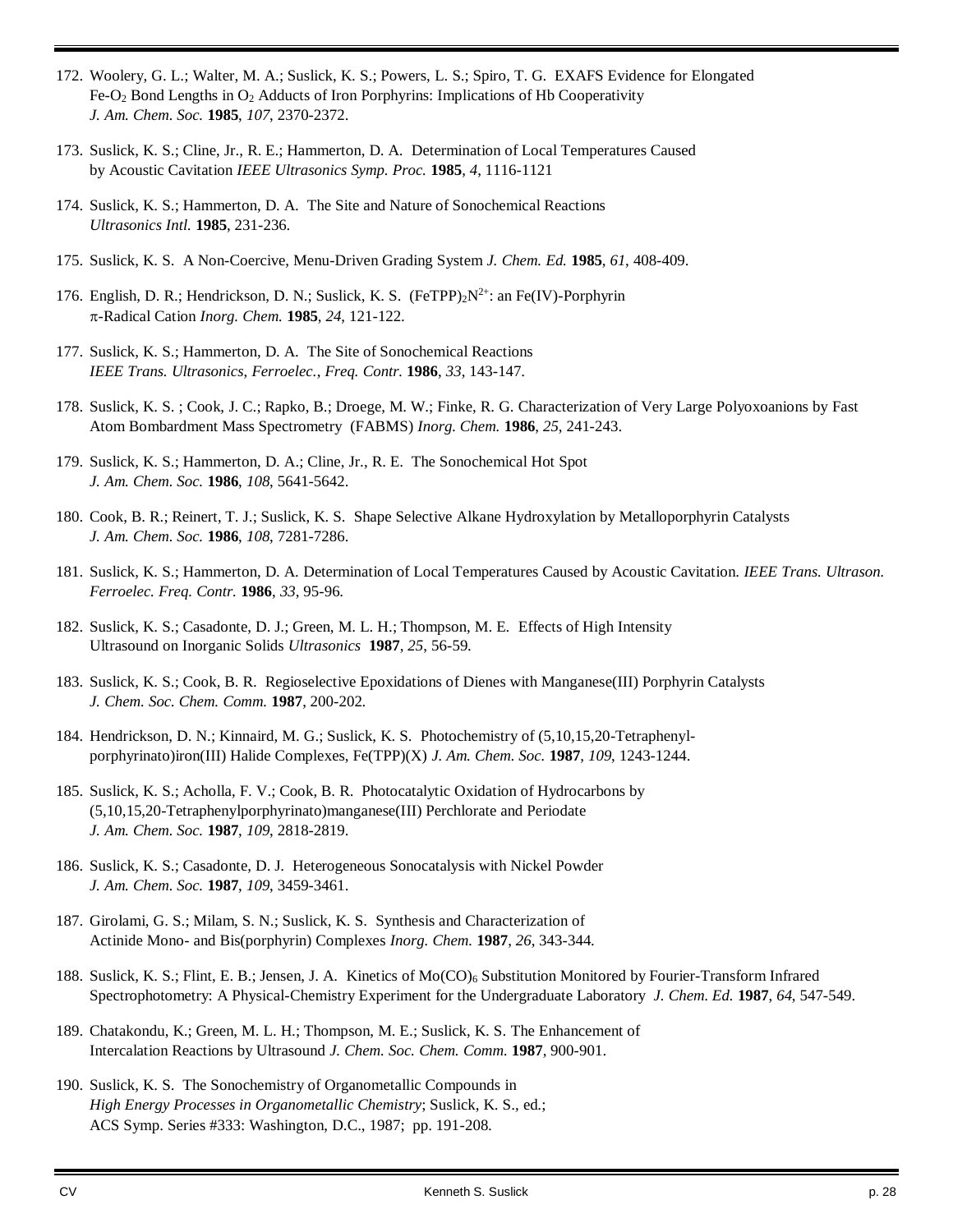- 172. Woolery, G. L.; Walter, M. A.; Suslick, K. S.; Powers, L. S.; Spiro, T. G. EXAFS Evidence for Elongated Fe-O<sup>2</sup> Bond Lengths in O<sup>2</sup> Adducts of Iron Porphyrins: Implications of Hb Cooperativity *J. Am. Chem. Soc.* **1985**, *107*, 2370-2372.
- 173. Suslick, K. S.; Cline, Jr., R. E.; Hammerton, D. A. Determination of Local Temperatures Caused by Acoustic Cavitation *IEEE Ultrasonics Symp. Proc.* **1985**, *4*, 1116-1121
- 174. Suslick, K. S.; Hammerton, D. A. The Site and Nature of Sonochemical Reactions *Ultrasonics Intl.* **1985**, 231-236.
- 175. Suslick, K. S. A Non-Coercive, Menu-Driven Grading System *J. Chem. Ed.* **1985**, *61*, 408-409.
- 176. English, D. R.; Hendrickson, D. N.; Suslick, K. S. (FeTPP) $2N^{2+}$ : an Fe(IV)-Porphyrin -Radical Cation *Inorg. Chem.* **1985**, *24*, 121-122.
- 177. Suslick, K. S.; Hammerton, D. A. The Site of Sonochemical Reactions *IEEE Trans. Ultrasonics*, *Ferroelec.*, *Freq. Contr.* **1986**, *33*, 143-147.
- 178. Suslick, K. S. ; Cook, J. C.; Rapko, B.; Droege, M. W.; Finke, R. G. Characterization of Very Large Polyoxoanions by Fast Atom Bombardment Mass Spectrometry (FABMS) *Inorg. Chem.* **1986**, *25*, 241-243.
- 179. Suslick, K. S.; Hammerton, D. A.; Cline, Jr., R. E. The Sonochemical Hot Spot *J. Am. Chem. Soc.* **1986**, *108*, 5641-5642.
- 180. Cook, B. R.; Reinert, T. J.; Suslick, K. S. Shape Selective Alkane Hydroxylation by Metalloporphyrin Catalysts *J. Am. Chem. Soc.* **1986**, *108*, 7281-7286.
- 181. Suslick, K. S.; Hammerton, D. A. Determination of Local Temperatures Caused by Acoustic Cavitation. *IEEE Trans. Ultrason. Ferroelec. Freq. Contr.* **1986**, *33*, 95-96.
- 182. Suslick, K. S.; Casadonte, D. J.; Green, M. L. H.; Thompson, M. E. Effects of High Intensity Ultrasound on Inorganic Solids *Ultrasonics* **1987**, *25*, 56-59.
- 183. Suslick, K. S.; Cook, B. R. Regioselective Epoxidations of Dienes with Manganese(III) Porphyrin Catalysts *J. Chem. Soc. Chem. Comm.* **1987**, 200-202.
- 184. Hendrickson, D. N.; Kinnaird, M. G.; Suslick, K. S. Photochemistry of (5,10,15,20-Tetraphenylporphyrinato)iron(III) Halide Complexes, Fe(TPP)(X) *J. Am. Chem. Soc.* **1987**, *109*, 1243-1244.
- 185. Suslick, K. S.; Acholla, F. V.; Cook, B. R. Photocatalytic Oxidation of Hydrocarbons by (5,10,15,20-Tetraphenylporphyrinato)manganese(III) Perchlorate and Periodate *J. Am. Chem. Soc.* **1987**, *109*, 2818-2819.
- 186. Suslick, K. S.; Casadonte, D. J. Heterogeneous Sonocatalysis with Nickel Powder *J. Am. Chem. Soc.* **1987**, *109*, 3459-3461.
- 187. Girolami, G. S.; Milam, S. N.; Suslick, K. S. Synthesis and Characterization of Actinide Mono- and Bis(porphyrin) Complexes *Inorg. Chem.* **1987**, *26*, 343-344.
- 188. Suslick, K. S.; Flint, E. B.; Jensen, J. A. Kinetics of Mo(CO)<sub>6</sub> Substitution Monitored by Fourier-Transform Infrared Spectrophotometry: A Physical-Chemistry Experiment for the Undergraduate Laboratory *J. Chem. Ed.* **1987**, *64*, 547-549.
- 189. Chatakondu, K.; Green, M. L. H.; Thompson, M. E.; Suslick, K. S. The Enhancement of Intercalation Reactions by Ultrasound *J. Chem. Soc. Chem. Comm.* **1987**, 900-901.
- 190. Suslick, K. S. The Sonochemistry of Organometallic Compounds in *High Energy Processes in Organometallic Chemistry*; Suslick, K. S., ed.; ACS Symp. Series #333: Washington, D.C., 1987; pp. 191-208.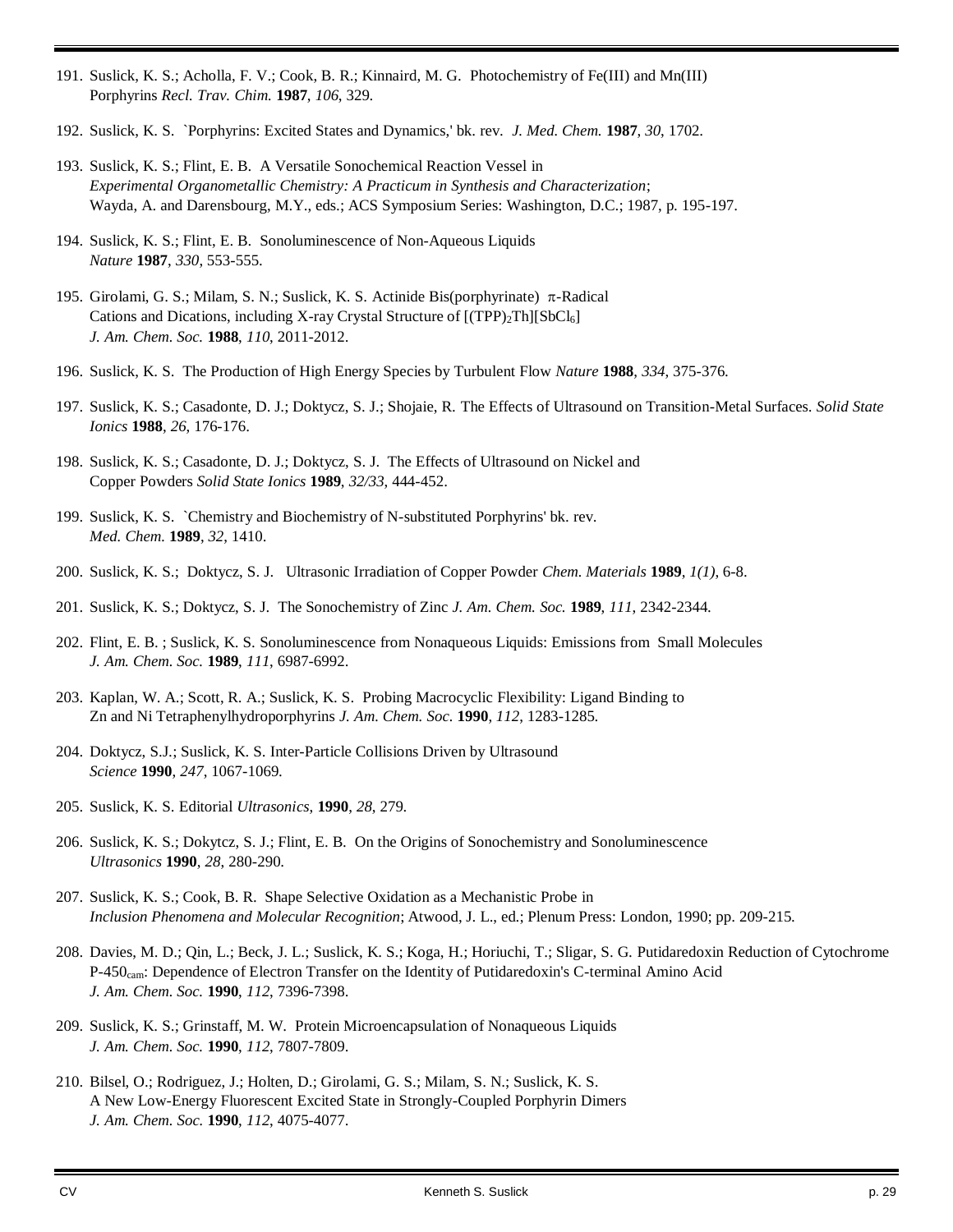- 191. Suslick, K. S.; Acholla, F. V.; Cook, B. R.; Kinnaird, M. G. Photochemistry of Fe(III) and Mn(III) Porphyrins *Recl. Trav. Chim.* **1987**, *106*, 329.
- 192. Suslick, K. S. `Porphyrins: Excited States and Dynamics,' bk. rev. *J. Med. Chem.* **1987**, *30*, 1702.
- 193. Suslick, K. S.; Flint, E. B. A Versatile Sonochemical Reaction Vessel in *Experimental Organometallic Chemistry: A Practicum in Synthesis and Characterization*; Wayda, A. and Darensbourg, M.Y., eds.; ACS Symposium Series: Washington, D.C.; 1987, p. 195-197.
- 194. Suslick, K. S.; Flint, E. B. Sonoluminescence of Non-Aqueous Liquids *Nature* **1987**, *330*, 553-555.
- 195. Girolami, G. S.; Milam, S. N.; Suslick, K. S. Actinide Bis(porphyrinate)  $\pi$ -Radical Cations and Dications, including X-ray Crystal Structure of [(TPP)<sub>2</sub>Th][SbCl<sub>6</sub>] *J. Am. Chem. Soc.* **1988**, *110*, 2011-2012.
- 196. Suslick, K. S. The Production of High Energy Species by Turbulent Flow *Nature* **1988**, *334*, 375-376.
- 197. Suslick, K. S.; Casadonte, D. J.; Doktycz, S. J.; Shojaie, R. The Effects of Ultrasound on Transition-Metal Surfaces. *Solid State Ionics* **1988**, *26*, 176-176.
- 198. Suslick, K. S.; Casadonte, D. J.; Doktycz, S. J. The Effects of Ultrasound on Nickel and Copper Powders *Solid State Ionics* **1989**, *32/33*, 444-452.
- 199. Suslick, K. S. `Chemistry and Biochemistry of N-substituted Porphyrins' bk. rev. *Med. Chem.* **1989**, *32*, 1410.
- 200. Suslick, K. S.; Doktycz, S. J. Ultrasonic Irradiation of Copper Powder *Chem. Materials* **1989**, *1(1)*, 6-8.
- 201. Suslick, K. S.; Doktycz, S. J. The Sonochemistry of Zinc *J. Am. Chem. Soc.* **1989**, *111*, 2342-2344.
- 202. Flint, E. B. ; Suslick, K. S. Sonoluminescence from Nonaqueous Liquids: Emissions from Small Molecules *J. Am. Chem. Soc.* **1989**, *111*, 6987-6992.
- 203. Kaplan, W. A.; Scott, R. A.; Suslick, K. S. Probing Macrocyclic Flexibility: Ligand Binding to Zn and Ni Tetraphenylhydroporphyrins *J. Am. Chem. Soc.* **1990**, *112*, 1283-1285.
- 204. Doktycz, S.J.; Suslick, K. S. Inter-Particle Collisions Driven by Ultrasound *Science* **1990**, *247*, 1067-1069.
- 205. Suslick, K. S. Editorial *Ultrasonics*, **1990**, *28*, 279.
- 206. Suslick, K. S.; Dokytcz, S. J.; Flint, E. B. On the Origins of Sonochemistry and Sonoluminescence *Ultrasonics* **1990**, *28*, 280-290.
- 207. Suslick, K. S.; Cook, B. R. Shape Selective Oxidation as a Mechanistic Probe in *Inclusion Phenomena and Molecular Recognition*; Atwood, J. L., ed.; Plenum Press: London, 1990; pp. 209-215.
- 208. Davies, M. D.; Qin, L.; Beck, J. L.; Suslick, K. S.; Koga, H.; Horiuchi, T.; Sligar, S. G. Putidaredoxin Reduction of Cytochrome P-450cam: Dependence of Electron Transfer on the Identity of Putidaredoxin's C-terminal Amino Acid *J. Am. Chem. Soc.* **1990**, *112*, 7396-7398.
- 209. Suslick, K. S.; Grinstaff, M. W. Protein Microencapsulation of Nonaqueous Liquids *J. Am. Chem. Soc.* **1990**, *112*, 7807-7809.
- 210. Bilsel, O.; Rodriguez, J.; Holten, D.; Girolami, G. S.; Milam, S. N.; Suslick, K. S. A New Low-Energy Fluorescent Excited State in Strongly-Coupled Porphyrin Dimers *J. Am. Chem. Soc.* **1990**, *112*, 4075-4077.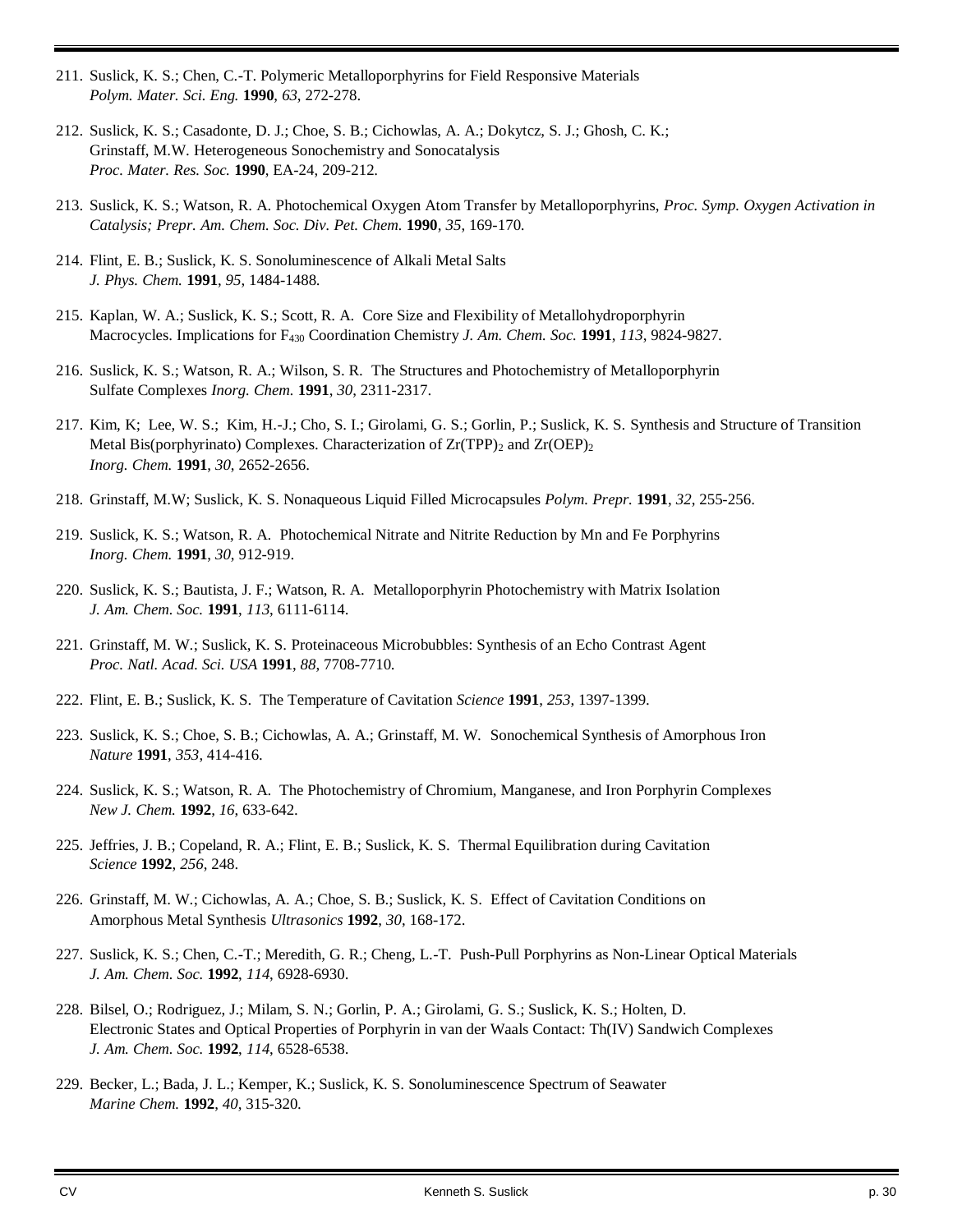- 211. Suslick, K. S.; Chen, C.-T. Polymeric Metalloporphyrins for Field Responsive Materials *Polym. Mater. Sci. Eng.* **1990**, *63*, 272-278.
- 212. Suslick, K. S.; Casadonte, D. J.; Choe, S. B.; Cichowlas, A. A.; Dokytcz, S. J.; Ghosh, C. K.; Grinstaff, M.W. Heterogeneous Sonochemistry and Sonocatalysis *Proc. Mater. Res. Soc.* **1990**, EA-24, 209-212.
- 213. Suslick, K. S.; Watson, R. A. Photochemical Oxygen Atom Transfer by Metalloporphyrins, *Proc. Symp. Oxygen Activation in Catalysis; Prepr. Am. Chem. Soc. Div. Pet. Chem.* **1990**, *35*, 169-170.
- 214. Flint, E. B.; Suslick, K. S. Sonoluminescence of Alkali Metal Salts *J. Phys. Chem.* **1991**, *95*, 1484-1488.
- 215. Kaplan, W. A.; Suslick, K. S.; Scott, R. A. Core Size and Flexibility of Metallohydroporphyrin Macrocycles. Implications for F<sup>430</sup> Coordination Chemistry *J. Am. Chem. Soc.* **1991**, *113*, 9824-9827.
- 216. Suslick, K. S.; Watson, R. A.; Wilson, S. R. The Structures and Photochemistry of Metalloporphyrin Sulfate Complexes *Inorg. Chem.* **1991**, *30*, 2311-2317.
- 217. Kim, K; Lee, W. S.; Kim, H.-J.; Cho, S. I.; Girolami, G. S.; Gorlin, P.; Suslick, K. S. Synthesis and Structure of Transition Metal Bis(porphyrinato) Complexes. Characterization of  $Zr(TPP)_2$  and  $Zr(OEP)_2$ *Inorg. Chem.* **1991**, *30*, 2652-2656.
- 218. Grinstaff, M.W; Suslick, K. S. Nonaqueous Liquid Filled Microcapsules *Polym. Prepr.* **1991**, *32*, 255-256.
- 219. Suslick, K. S.; Watson, R. A. Photochemical Nitrate and Nitrite Reduction by Mn and Fe Porphyrins *Inorg. Chem.* **1991**, *30*, 912-919.
- 220. Suslick, K. S.; Bautista, J. F.; Watson, R. A. Metalloporphyrin Photochemistry with Matrix Isolation *J. Am. Chem. Soc.* **1991**, *113*, 6111-6114.
- 221. Grinstaff, M. W.; Suslick, K. S. Proteinaceous Microbubbles: Synthesis of an Echo Contrast Agent *Proc. Natl. Acad. Sci. USA* **1991**, *88*, 7708-7710.
- 222. Flint, E. B.; Suslick, K. S. The Temperature of Cavitation *Science* **1991**, *253*, 1397-1399.
- 223. Suslick, K. S.; Choe, S. B.; Cichowlas, A. A.; Grinstaff, M. W. Sonochemical Synthesis of Amorphous Iron *Nature* **1991**, *353*, 414-416.
- 224. Suslick, K. S.; Watson, R. A. The Photochemistry of Chromium, Manganese, and Iron Porphyrin Complexes *New J. Chem.* **1992**, *16*, 633-642.
- 225. Jeffries, J. B.; Copeland, R. A.; Flint, E. B.; Suslick, K. S. Thermal Equilibration during Cavitation *Science* **1992**, *256*, 248.
- 226. Grinstaff, M. W.; Cichowlas, A. A.; Choe, S. B.; Suslick, K. S. Effect of Cavitation Conditions on Amorphous Metal Synthesis *Ultrasonics* **1992**, *30*, 168-172.
- 227. Suslick, K. S.; Chen, C.-T.; Meredith, G. R.; Cheng, L.-T. Push-Pull Porphyrins as Non-Linear Optical Materials *J. Am. Chem. Soc.* **1992**, *114*, 6928-6930.
- 228. Bilsel, O.; Rodriguez, J.; Milam, S. N.; Gorlin, P. A.; Girolami, G. S.; Suslick, K. S.; Holten, D. Electronic States and Optical Properties of Porphyrin in van der Waals Contact: Th(IV) Sandwich Complexes *J. Am. Chem. Soc.* **1992**, *114*, 6528-6538.
- 229. Becker, L.; Bada, J. L.; Kemper, K.; Suslick, K. S. Sonoluminescence Spectrum of Seawater *Marine Chem.* **1992**, *40*, 315-320.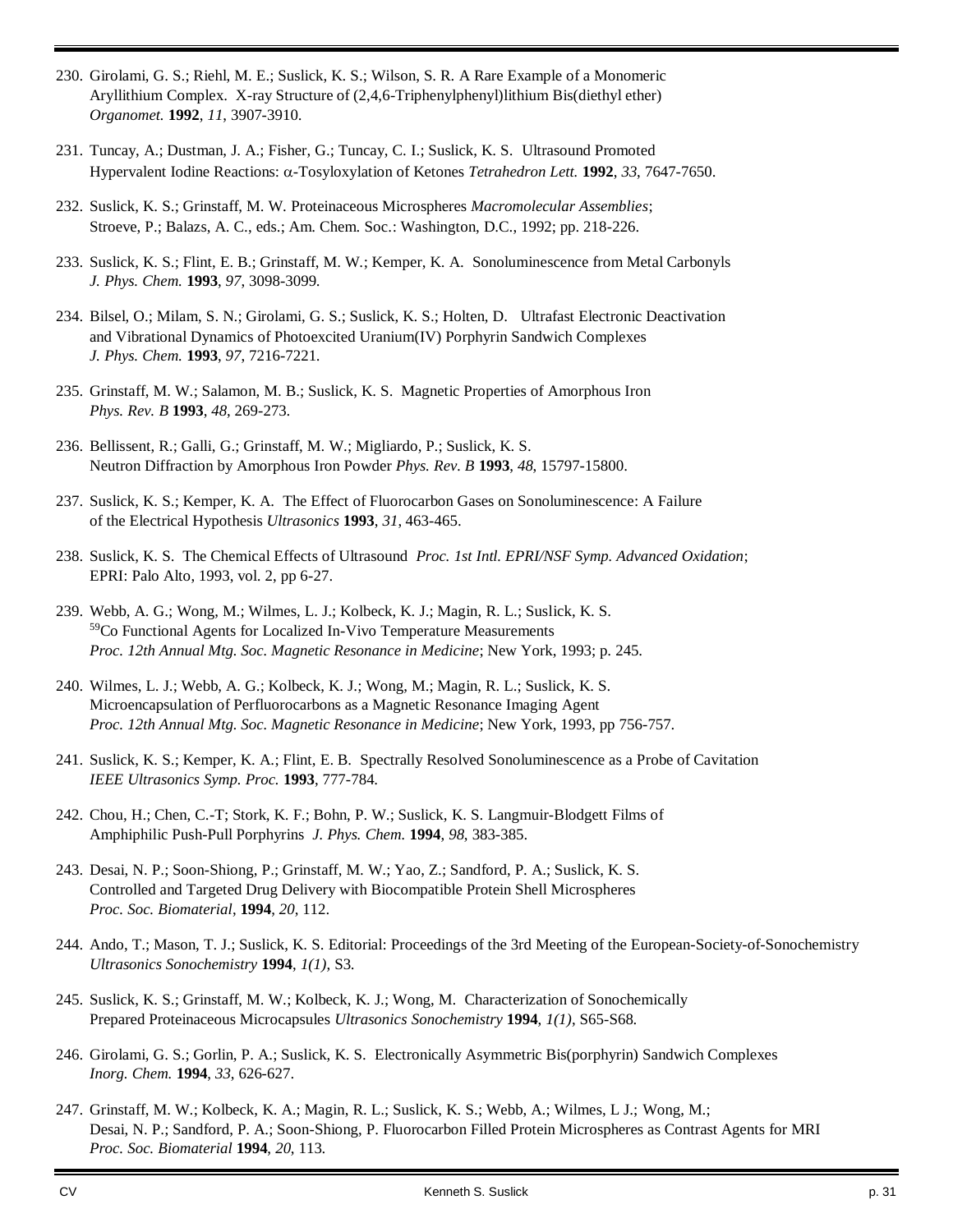- 230. Girolami, G. S.; Riehl, M. E.; Suslick, K. S.; Wilson, S. R. A Rare Example of a Monomeric Aryllithium Complex. X-ray Structure of (2,4,6-Triphenylphenyl)lithium Bis(diethyl ether) *Organomet.* **1992**, *11*, 3907-3910.
- 231. Tuncay, A.; Dustman, J. A.; Fisher, G.; Tuncay, C. I.; Suslick, K. S. Ultrasound Promoted Hypervalent Iodine Reactions: α-Tosyloxylation of Ketones *Tetrahedron Lett*. **1992**, 33, 7647-7650.
- 232. Suslick, K. S.; Grinstaff, M. W. Proteinaceous Microspheres *Macromolecular Assemblies*; Stroeve, P.; Balazs, A. C., eds.; Am. Chem. Soc.: Washington, D.C., 1992; pp. 218-226.
- 233. Suslick, K. S.; Flint, E. B.; Grinstaff, M. W.; Kemper, K. A. Sonoluminescence from Metal Carbonyls *J. Phys. Chem.* **1993**, *97*, 3098-3099.
- 234. Bilsel, O.; Milam, S. N.; Girolami, G. S.; Suslick, K. S.; Holten, D. Ultrafast Electronic Deactivation and Vibrational Dynamics of Photoexcited Uranium(IV) Porphyrin Sandwich Complexes *J. Phys. Chem.* **1993**, *97*, 7216-7221.
- 235. Grinstaff, M. W.; Salamon, M. B.; Suslick, K. S. Magnetic Properties of Amorphous Iron *Phys. Rev. B* **1993**, *48*, 269-273.
- 236. Bellissent, R.; Galli, G.; Grinstaff, M. W.; Migliardo, P.; Suslick, K. S. Neutron Diffraction by Amorphous Iron Powder *Phys. Rev. B* **1993**, *48*, 15797-15800.
- 237. Suslick, K. S.; Kemper, K. A. The Effect of Fluorocarbon Gases on Sonoluminescence: A Failure of the Electrical Hypothesis *Ultrasonics* **1993**, *31*, 463-465.
- 238. Suslick, K. S. The Chemical Effects of Ultrasound *Proc. 1st Intl. EPRI/NSF Symp. Advanced Oxidation*; EPRI: Palo Alto, 1993, vol. 2, pp 6-27.
- 239. Webb, A. G.; Wong, M.; Wilmes, L. J.; Kolbeck, K. J.; Magin, R. L.; Suslick, K. S. <sup>59</sup>Co Functional Agents for Localized In-Vivo Temperature Measurements *Proc. 12th Annual Mtg. Soc. Magnetic Resonance in Medicine*; New York, 1993; p. 245.
- 240. Wilmes, L. J.; Webb, A. G.; Kolbeck, K. J.; Wong, M.; Magin, R. L.; Suslick, K. S. Microencapsulation of Perfluorocarbons as a Magnetic Resonance Imaging Agent *Proc. 12th Annual Mtg. Soc. Magnetic Resonance in Medicine*; New York, 1993, pp 756-757.
- 241. Suslick, K. S.; Kemper, K. A.; Flint, E. B. Spectrally Resolved Sonoluminescence as a Probe of Cavitation *IEEE Ultrasonics Symp. Proc.* **1993**, 777-784.
- 242. Chou, H.; Chen, C.-T; Stork, K. F.; Bohn, P. W.; Suslick, K. S. Langmuir-Blodgett Films of Amphiphilic Push-Pull Porphyrins *J. Phys. Chem.* **1994**, *98*, 383-385.
- 243. Desai, N. P.; Soon-Shiong, P.; Grinstaff, M. W.; Yao, Z.; Sandford, P. A.; Suslick, K. S. Controlled and Targeted Drug Delivery with Biocompatible Protein Shell Microspheres *Proc. Soc. Biomaterial*, **1994**, *20*, 112.
- 244. Ando, T.; Mason, T. J.; Suslick, K. S. Editorial: Proceedings of the 3rd Meeting of the European-Society-of-Sonochemistry *Ultrasonics Sonochemistry* **1994**, *1(1)*, S3.
- 245. Suslick, K. S.; Grinstaff, M. W.; Kolbeck, K. J.; Wong, M. Characterization of Sonochemically Prepared Proteinaceous Microcapsules *Ultrasonics Sonochemistry* **1994**, *1(1)*, S65-S68.
- 246. Girolami, G. S.; Gorlin, P. A.; Suslick, K. S. Electronically Asymmetric Bis(porphyrin) Sandwich Complexes *Inorg. Chem.* **1994**, *33*, 626-627.
- 247. Grinstaff, M. W.; Kolbeck, K. A.; Magin, R. L.; Suslick, K. S.; Webb, A.; Wilmes, L J.; Wong, M.; Desai, N. P.; Sandford, P. A.; Soon-Shiong, P. Fluorocarbon Filled Protein Microspheres as Contrast Agents for MRI *Proc. Soc. Biomaterial* **1994**, *20*, 113.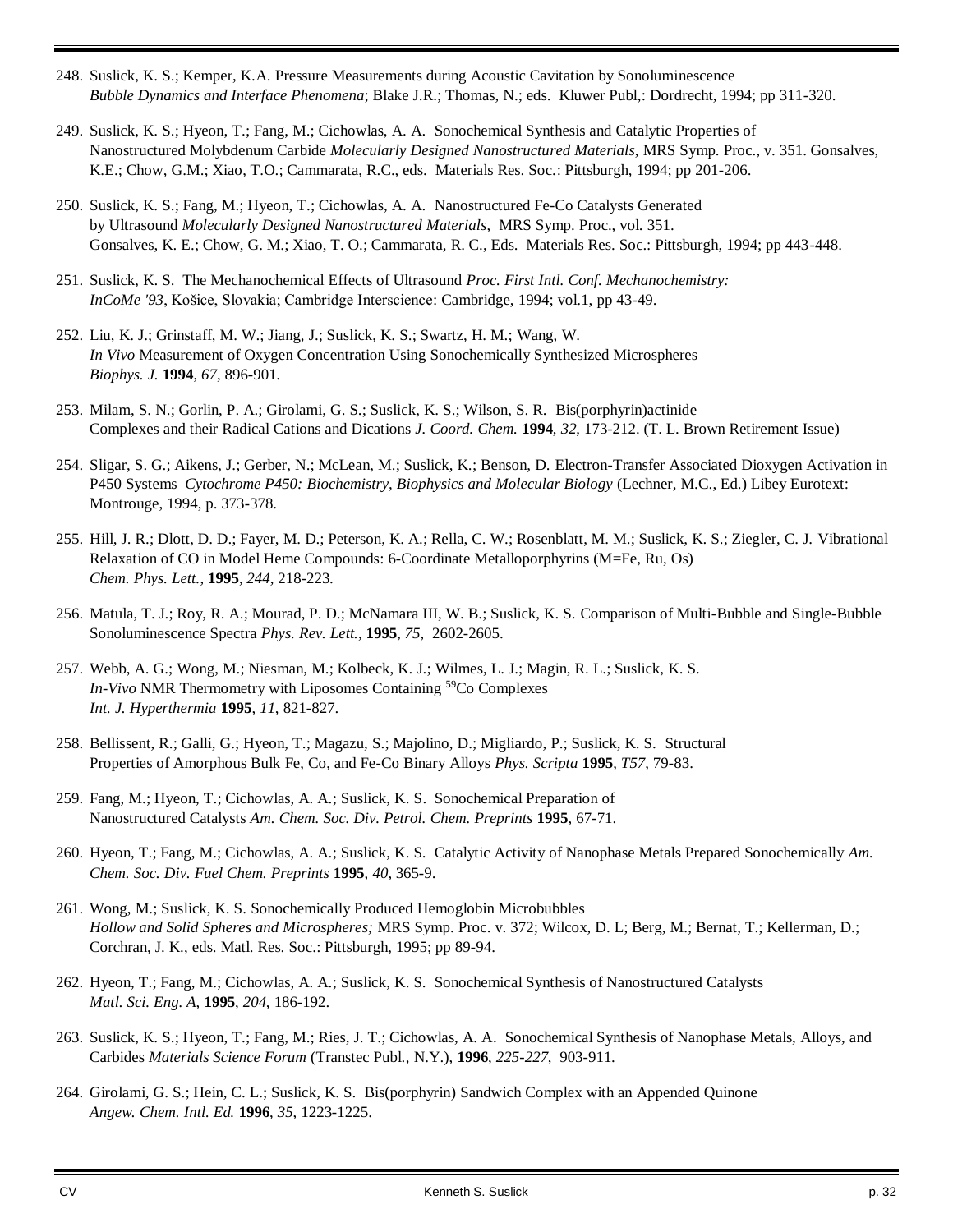- 248. Suslick, K. S.; Kemper, K.A. Pressure Measurements during Acoustic Cavitation by Sonoluminescence *Bubble Dynamics and Interface Phenomena*; Blake J.R.; Thomas, N.; eds. Kluwer Publ,: Dordrecht, 1994; pp 311-320.
- 249. Suslick, K. S.; Hyeon, T.; Fang, M.; Cichowlas, A. A. Sonochemical Synthesis and Catalytic Properties of Nanostructured Molybdenum Carbide *Molecularly Designed Nanostructured Materials*, MRS Symp. Proc., v. 351. Gonsalves, K.E.; Chow, G.M.; Xiao, T.O.; Cammarata, R.C., eds. Materials Res. Soc.: Pittsburgh, 1994; pp 201-206.
- 250. Suslick, K. S.; Fang, M.; Hyeon, T.; Cichowlas, A. A. Nanostructured Fe-Co Catalysts Generated by Ultrasound *Molecularly Designed Nanostructured Materials*, MRS Symp. Proc., vol. 351. Gonsalves, K. E.; Chow, G. M.; Xiao, T. O.; Cammarata, R. C., Eds. Materials Res. Soc.: Pittsburgh, 1994; pp 443-448.
- 251. Suslick, K. S. The Mechanochemical Effects of Ultrasound *Proc. First Intl. Conf. Mechanochemistry: InCoMe '93*, Košice, Slovakia; Cambridge Interscience: Cambridge, 1994; vol.1, pp 43-49.
- 252. Liu, K. J.; Grinstaff, M. W.; Jiang, J.; Suslick, K. S.; Swartz, H. M.; Wang, W. *In Vivo* Measurement of Oxygen Concentration Using Sonochemically Synthesized Microspheres *Biophys. J.* **1994**, *67*, 896-901.
- 253. Milam, S. N.; Gorlin, P. A.; Girolami, G. S.; Suslick, K. S.; Wilson, S. R. Bis(porphyrin)actinide Complexes and their Radical Cations and Dications *J. Coord. Chem.* **1994**, *32*, 173-212. (T. L. Brown Retirement Issue)
- 254. Sligar, S. G.; Aikens, J.; Gerber, N.; McLean, M.; Suslick, K.; Benson, D. Electron-Transfer Associated Dioxygen Activation in P450 Systems *Cytochrome P450: Biochemistry, Biophysics and Molecular Biology* (Lechner, M.C., Ed.) Libey Eurotext: Montrouge, 1994, p. 373-378.
- 255. Hill, J. R.; Dlott, D. D.; Fayer, M. D.; Peterson, K. A.; Rella, C. W.; Rosenblatt, M. M.; Suslick, K. S.; Ziegler, C. J. Vibrational Relaxation of CO in Model Heme Compounds: 6-Coordinate Metalloporphyrins (M=Fe, Ru, Os) *Chem. Phys. Lett.*, **1995**, *244*, 218-223.
- 256. Matula, T. J.; Roy, R. A.; Mourad, P. D.; McNamara III, W. B.; Suslick, K. S. Comparison of Multi-Bubble and Single-Bubble Sonoluminescence Spectra *Phys. Rev. Lett.*, **1995**, *75*, 2602-2605.
- 257. Webb, A. G.; Wong, M.; Niesman, M.; Kolbeck, K. J.; Wilmes, L. J.; Magin, R. L.; Suslick, K. S. *In-Vivo* NMR Thermometry with Liposomes Containing <sup>59</sup>Co Complexes *Int. J. Hyperthermia* **1995**, *11*, 821-827.
- 258. Bellissent, R.; Galli, G.; Hyeon, T.; Magazu, S.; Majolino, D.; Migliardo, P.; Suslick, K. S. Structural Properties of Amorphous Bulk Fe, Co, and Fe-Co Binary Alloys *Phys. Scripta* **1995**, *T57*, 79-83.
- 259. Fang, M.; Hyeon, T.; Cichowlas, A. A.; Suslick, K. S. Sonochemical Preparation of Nanostructured Catalysts *Am. Chem. Soc. Div. Petrol. Chem. Preprints* **1995**, 67-71.
- 260. Hyeon, T.; Fang, M.; Cichowlas, A. A.; Suslick, K. S. Catalytic Activity of Nanophase Metals Prepared Sonochemically *Am. Chem. Soc. Div. Fuel Chem. Preprints* **1995**, *40*, 365-9.
- 261. Wong, M.; Suslick, K. S. Sonochemically Produced Hemoglobin Microbubbles *Hollow and Solid Spheres and Microspheres;* MRS Symp. Proc. v. 372; Wilcox, D. L; Berg, M.; Bernat, T.; Kellerman, D.; Corchran, J. K., eds. Matl. Res. Soc.: Pittsburgh, 1995; pp 89-94.
- 262. Hyeon, T.; Fang, M.; Cichowlas, A. A.; Suslick, K. S. Sonochemical Synthesis of Nanostructured Catalysts *Matl. Sci. Eng. A*, **1995**, *204*, 186-192.
- 263. Suslick, K. S.; Hyeon, T.; Fang, M.; Ries, J. T.; Cichowlas, A. A. Sonochemical Synthesis of Nanophase Metals, Alloys, and Carbides *Materials Science Forum* (Transtec Publ., N.Y.), **1996**, *225-227*, 903-911.
- 264. Girolami, G. S.; Hein, C. L.; Suslick, K. S. Bis(porphyrin) Sandwich Complex with an Appended Quinone *Angew. Chem. Intl. Ed.* **1996**, *35*, 1223-1225.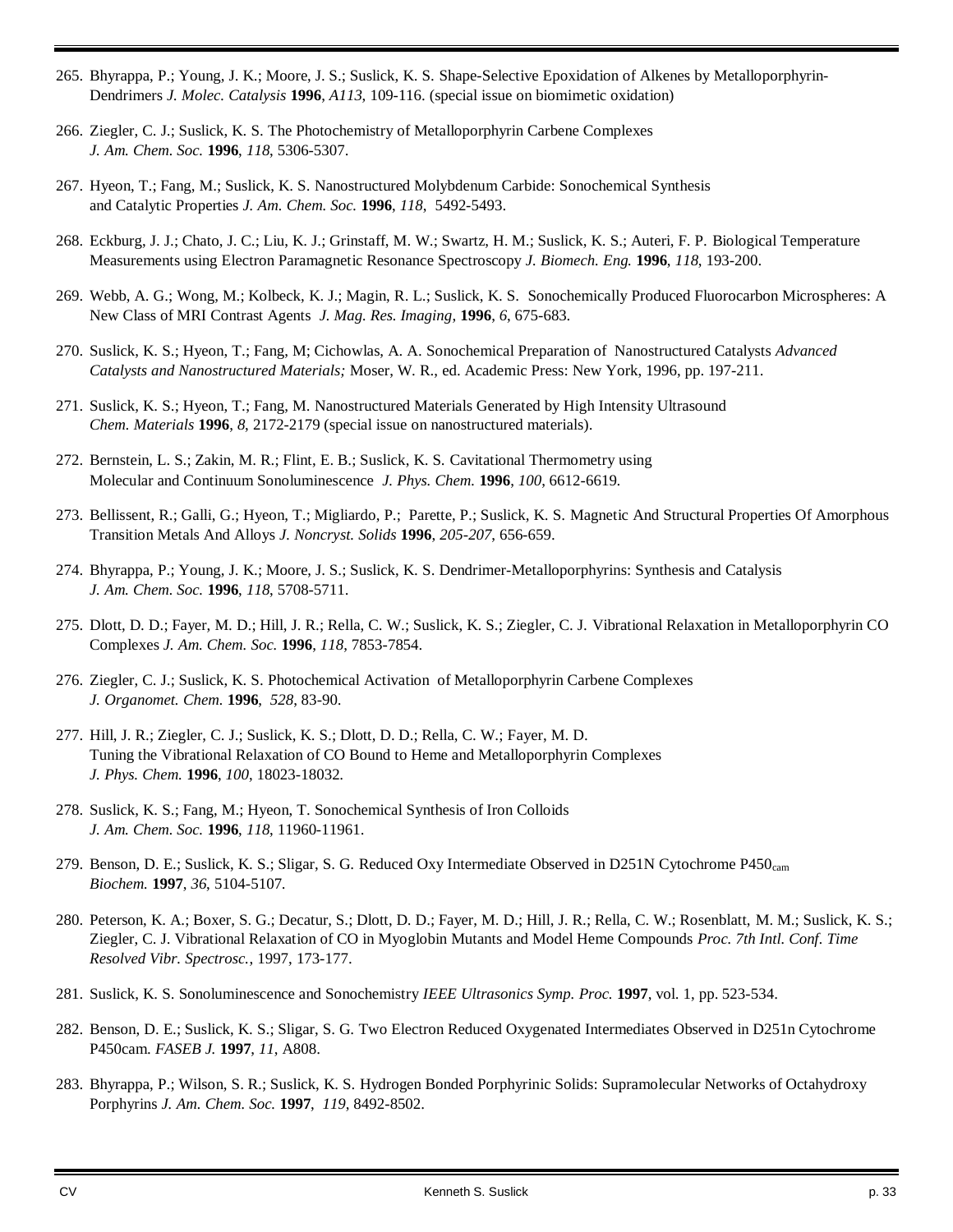- 265. Bhyrappa, P.; Young, J. K.; Moore, J. S.; Suslick, K. S. Shape-Selective Epoxidation of Alkenes by Metalloporphyrin-Dendrimers *J. Molec. Catalysis* **1996**, *A113*, 109-116. (special issue on biomimetic oxidation)
- 266. Ziegler, C. J.; Suslick, K. S. The Photochemistry of Metalloporphyrin Carbene Complexes *J. Am. Chem. Soc.* **1996**, *118*, 5306-5307.
- 267. Hyeon, T.; Fang, M.; Suslick, K. S. Nanostructured Molybdenum Carbide: Sonochemical Synthesis and Catalytic Properties *J. Am. Chem. Soc.* **1996**, *118*, 5492-5493.
- 268. Eckburg, J. J.; Chato, J. C.; Liu, K. J.; Grinstaff, M. W.; Swartz, H. M.; Suslick, K. S.; Auteri, F. P. Biological Temperature Measurements using Electron Paramagnetic Resonance Spectroscopy *J. Biomech. Eng.* **1996**, *118*, 193-200.
- 269. Webb, A. G.; Wong, M.; Kolbeck, K. J.; Magin, R. L.; Suslick, K. S. Sonochemically Produced Fluorocarbon Microspheres: A New Class of MRI Contrast Agents *J. Mag. Res. Imaging*, **1996**, *6*, 675-683.
- 270. Suslick, K. S.; Hyeon, T.; Fang, M; Cichowlas, A. A. Sonochemical Preparation of Nanostructured Catalysts *Advanced Catalysts and Nanostructured Materials;* Moser, W. R., ed. Academic Press: New York, 1996, pp. 197-211.
- 271. Suslick, K. S.; Hyeon, T.; Fang, M. Nanostructured Materials Generated by High Intensity Ultrasound *Chem. Materials* **1996**, *8*, 2172-2179 (special issue on nanostructured materials).
- 272. Bernstein, L. S.; Zakin, M. R.; Flint, E. B.; Suslick, K. S. Cavitational Thermometry using Molecular and Continuum Sonoluminescence *J. Phys. Chem.* **1996**, *100*, 6612-6619.
- 273. Bellissent, R.; Galli, G.; Hyeon, T.; Migliardo, P.; Parette, P.; Suslick, K. S. Magnetic And Structural Properties Of Amorphous Transition Metals And Alloys *J. Noncryst. Solids* **1996**, *205*-*207*, 656-659.
- 274. Bhyrappa, P.; Young, J. K.; Moore, J. S.; Suslick, K. S. Dendrimer-Metalloporphyrins: Synthesis and Catalysis *J. Am. Chem. Soc.* **1996**, *118*, 5708-5711.
- 275. Dlott, D. D.; Fayer, M. D.; Hill, J. R.; Rella, C. W.; Suslick, K. S.; Ziegler, C. J. Vibrational Relaxation in Metalloporphyrin CO Complexes *J. Am. Chem. Soc.* **1996**, *118*, 7853-7854.
- 276. Ziegler, C. J.; Suslick, K. S. Photochemical Activation of Metalloporphyrin Carbene Complexes *J. Organomet. Chem.* **1996**, *528*, 83-90.
- 277. Hill, J. R.; Ziegler, C. J.; Suslick, K. S.; Dlott, D. D.; Rella, C. W.; Fayer, M. D. Tuning the Vibrational Relaxation of CO Bound to Heme and Metalloporphyrin Complexes *J. Phys. Chem.* **1996**, *100*, 18023-18032.
- 278. Suslick, K. S.; Fang, M.; Hyeon, T. Sonochemical Synthesis of Iron Colloids *J. Am. Chem. Soc.* **1996**, *118*, 11960-11961.
- 279. Benson, D. E.; Suslick, K. S.; Sligar, S. G. Reduced Oxy Intermediate Observed in D251N Cytochrome P450<sub>cam</sub> *Biochem.* **1997**, *36*, 5104-5107.
- 280. Peterson, K. A.; Boxer, S. G.; Decatur, S.; Dlott, D. D.; Fayer, M. D.; Hill, J. R.; Rella, C. W.; Rosenblatt, M. M.; Suslick, K. S.; Ziegler, C. J. Vibrational Relaxation of CO in Myoglobin Mutants and Model Heme Compounds *Proc. 7th Intl. Conf. Time Resolved Vibr. Spectrosc.*, 1997, 173-177.
- 281. Suslick, K. S. Sonoluminescence and Sonochemistry *IEEE Ultrasonics Symp. Proc.* **1997**, vol. 1, pp. 523-534.
- 282. Benson, D. E.; Suslick, K. S.; Sligar, S. G. Two Electron Reduced Oxygenated Intermediates Observed in D251n Cytochrome P450cam. *FASEB J.* **1997**, *11*, A808.
- 283. Bhyrappa, P.; Wilson, S. R.; Suslick, K. S. Hydrogen Bonded Porphyrinic Solids: Supramolecular Networks of Octahydroxy Porphyrins *J. Am. Chem. Soc.* **1997**, *119*, 8492-8502.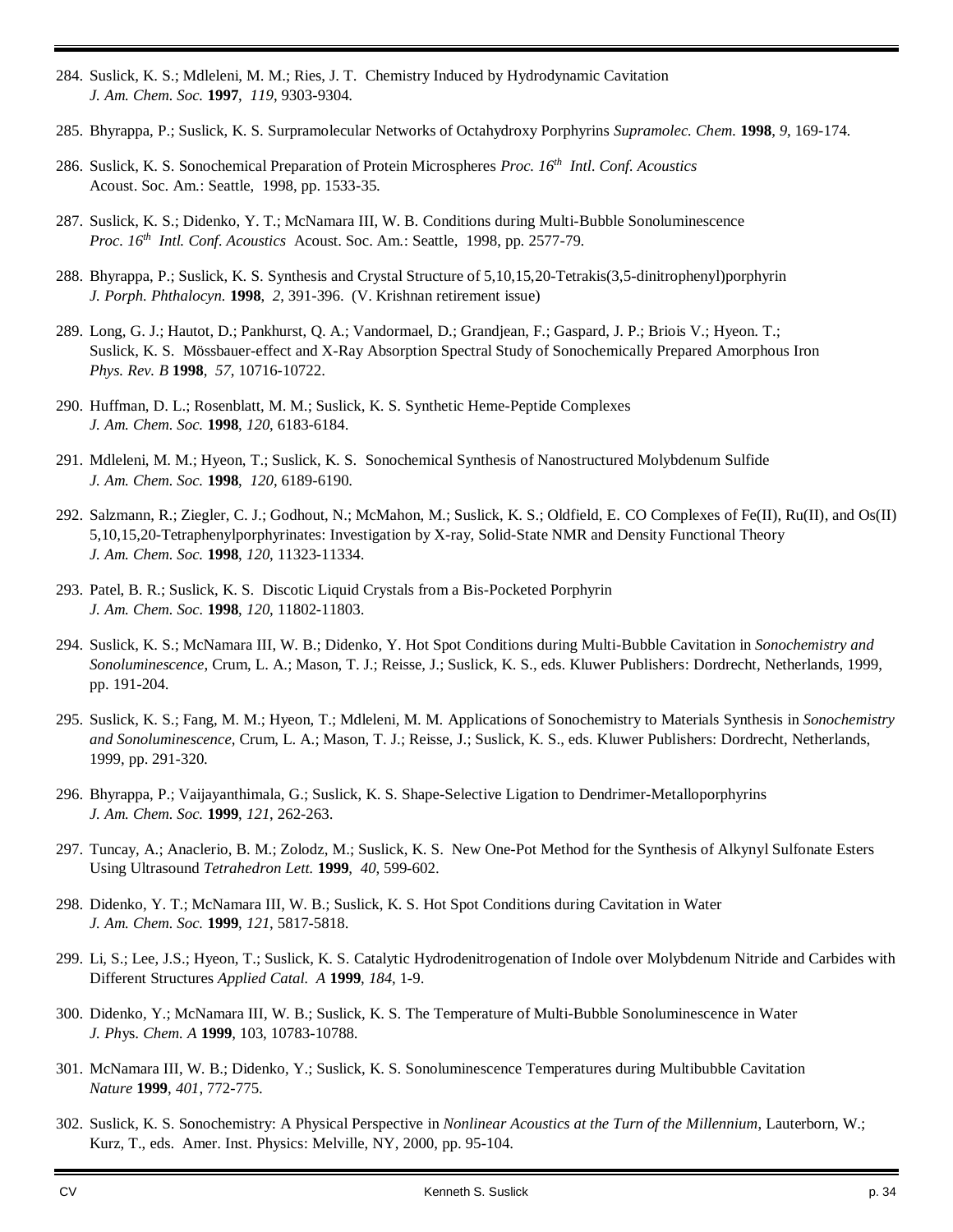- 284. Suslick, K. S.; Mdleleni, M. M.; Ries, J. T. Chemistry Induced by Hydrodynamic Cavitation *J. Am. Chem. Soc.* **1997**, *119*, 9303-9304.
- 285. Bhyrappa, P.; Suslick, K. S. Surpramolecular Networks of Octahydroxy Porphyrins *Supramolec. Chem.* **1998**, *9*, 169-174.
- 286. Suslick, K. S. Sonochemical Preparation of Protein Microspheres Proc. 16<sup>th</sup> Intl. Conf. Acoustics Acoust. Soc. Am.: Seattle, 1998, pp. 1533-35.
- 287. Suslick, K. S.; Didenko, Y. T.; McNamara III, W. B. Conditions during Multi-Bubble Sonoluminescence *Proc. 16th Intl. Conf. Acoustics* Acoust. Soc. Am.: Seattle, 1998, pp. 2577-79.
- 288. Bhyrappa, P.; Suslick, K. S. Synthesis and Crystal Structure of 5,10,15,20-Tetrakis(3,5-dinitrophenyl)porphyrin *J. Porph. Phthalocyn.* **1998**, *2*, 391-396. (V. Krishnan retirement issue)
- 289. Long, G. J.; Hautot, D.; Pankhurst, Q. A.; Vandormael, D.; Grandjean, F.; Gaspard, J. P.; Briois V.; Hyeon. T.; Suslick, K. S. Mössbauer-effect and X-Ray Absorption Spectral Study of Sonochemically Prepared Amorphous Iron *Phys. Rev. B* **1998**, *57*, 10716-10722.
- 290. Huffman, D. L.; Rosenblatt, M. M.; Suslick, K. S. Synthetic Heme-Peptide Complexes *J. Am. Chem. Soc.* **1998**, *120*, 6183-6184.
- 291. Mdleleni, M. M.; Hyeon, T.; Suslick, K. S. Sonochemical Synthesis of Nanostructured Molybdenum Sulfide *J. Am. Chem. Soc.* **1998**, *120*, 6189-6190.
- 292. Salzmann, R.; Ziegler, C. J.; Godhout, N.; McMahon, M.; Suslick, K. S.; Oldfield, E. CO Complexes of Fe(II), Ru(II), and Os(II) 5,10,15,20-Tetraphenylporphyrinates: Investigation by X-ray, Solid-State NMR and Density Functional Theory *J. Am. Chem. Soc.* **1998**, *120*, 11323-11334.
- 293. Patel, B. R.; Suslick, K. S. Discotic Liquid Crystals from a Bis-Pocketed Porphyrin *J. Am. Chem. Soc.* **1998**, *120*, 11802-11803.
- 294. Suslick, K. S.; McNamara III, W. B.; Didenko, Y. Hot Spot Conditions during Multi-Bubble Cavitation in *Sonochemistry and Sonoluminescence*, Crum, L. A.; Mason, T. J.; Reisse, J.; Suslick, K. S., eds. Kluwer Publishers: Dordrecht, Netherlands, 1999, pp. 191-204.
- 295. Suslick, K. S.; Fang, M. M.; Hyeon, T.; Mdleleni, M. M. Applications of Sonochemistry to Materials Synthesis in *Sonochemistry and Sonoluminescence*, Crum, L. A.; Mason, T. J.; Reisse, J.; Suslick, K. S., eds. Kluwer Publishers: Dordrecht, Netherlands, 1999, pp. 291-320.
- 296. Bhyrappa, P.; Vaijayanthimala, G.; Suslick, K. S. Shape-Selective Ligation to Dendrimer-Metalloporphyrins *J. Am. Chem. Soc.* **1999**, *121*, 262-263.
- 297. Tuncay, A.; Anaclerio, B. M.; Zolodz, M.; Suslick, K. S. New One-Pot Method for the Synthesis of Alkynyl Sulfonate Esters Using Ultrasound *Tetrahedron Lett.* **1999**, *40*, 599-602.
- 298. Didenko, Y. T.; McNamara III, W. B.; Suslick, K. S. Hot Spot Conditions during Cavitation in Water *J. Am. Chem. Soc.* **1999**, *121*, 5817-5818.
- 299. Li, S.; Lee, J.S.; Hyeon, T.; Suslick, K. S. Catalytic Hydrodenitrogenation of Indole over Molybdenum Nitride and Carbides with Different Structures *Applied Catal. A* **1999**, *184*, 1-9.
- 300. Didenko, Y.; McNamara III, W. B.; Suslick, K. S. The Temperature of Multi-Bubble Sonoluminescence in Water *J. Ph*ys. *Chem. A* **1999**, 103, 10783-10788.
- 301. McNamara III, W. B.; Didenko, Y.; Suslick, K. S. Sonoluminescence Temperatures during Multibubble Cavitation *Nature* **1999**, *401*, 772-775.
- 302. Suslick, K. S. Sonochemistry: A Physical Perspective in *Nonlinear Acoustics at the Turn of the Millennium*, Lauterborn, W.; Kurz, T., eds. Amer. Inst. Physics: Melville, NY, 2000, pp. 95-104.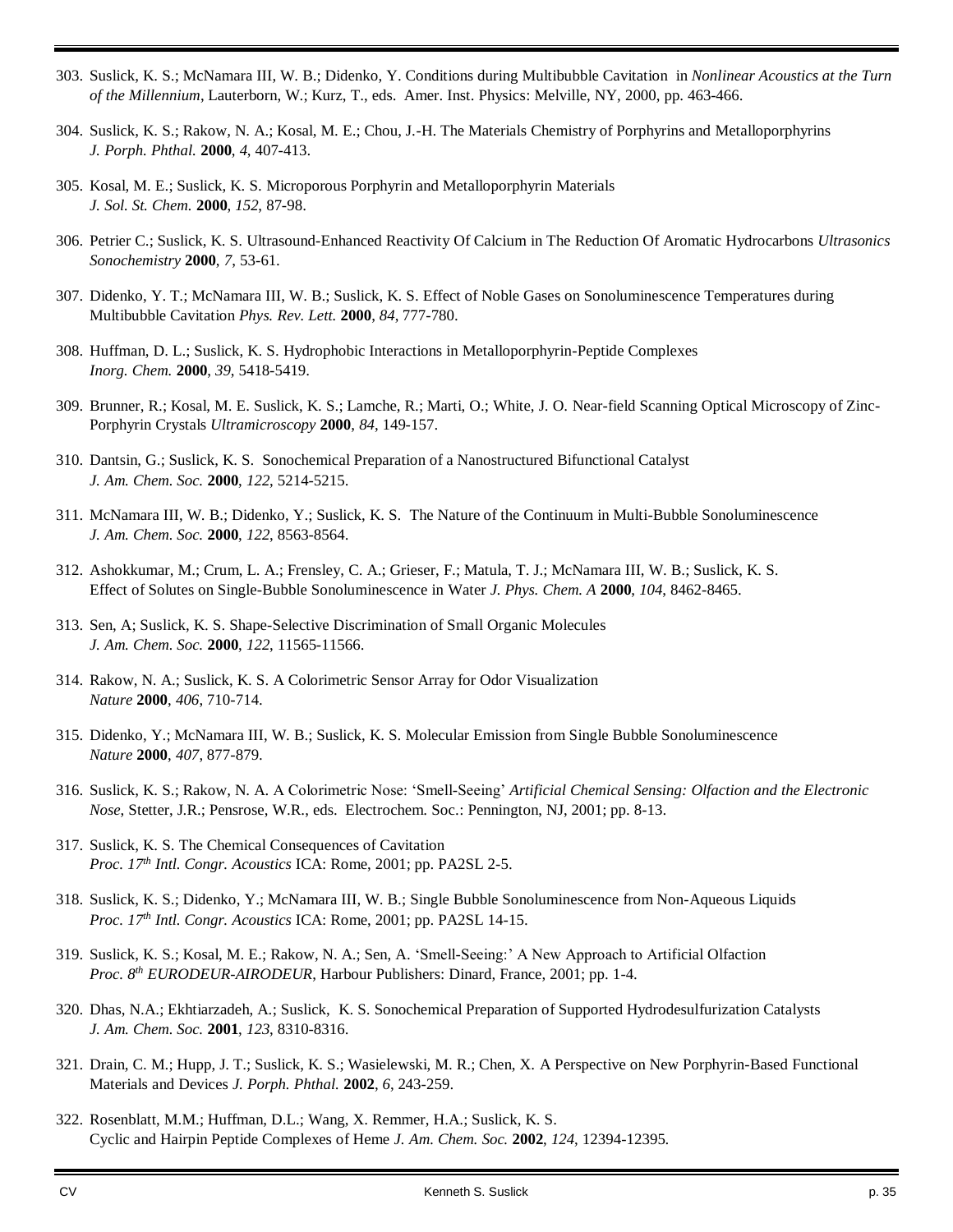- 303. Suslick, K. S.; McNamara III, W. B.; Didenko, Y. Conditions during Multibubble Cavitation in *Nonlinear Acoustics at the Turn of the Millennium*, Lauterborn, W.; Kurz, T., eds. Amer. Inst. Physics: Melville, NY, 2000, pp. 463-466.
- 304. Suslick, K. S.; Rakow, N. A.; Kosal, M. E.; Chou, J.-H. The Materials Chemistry of Porphyrins and Metalloporphyrins *J. Porph. Phthal.* **2000**, *4*, 407-413.
- 305. Kosal, M. E.; Suslick, K. S. Microporous Porphyrin and Metalloporphyrin Materials *J. Sol. St. Chem.* **2000**, *152*, 87-98.
- 306. Petrier C.; Suslick, K. S. Ultrasound-Enhanced Reactivity Of Calcium in The Reduction Of Aromatic Hydrocarbons *Ultrasonics Sonochemistry* **2000**, *7*, 53-61.
- 307. Didenko, Y. T.; McNamara III, W. B.; Suslick, K. S. Effect of Noble Gases on Sonoluminescence Temperatures during Multibubble Cavitation *Phys. Rev. Lett.* **2000**, *84*, 777-780.
- 308. Huffman, D. L.; Suslick, K. S. Hydrophobic Interactions in Metalloporphyrin-Peptide Complexes *Inorg. Chem.* **2000**, *39*, 5418-5419.
- 309. Brunner, R.; Kosal, M. E. Suslick, K. S.; Lamche, R.; Marti, O.; White, J. O. Near-field Scanning Optical Microscopy of Zinc-Porphyrin Crystals *Ultramicroscopy* **2000**, *84*, 149-157.
- 310. Dantsin, G.; Suslick, K. S. Sonochemical Preparation of a Nanostructured Bifunctional Catalyst *J. Am. Chem. Soc.* **2000**, *122*, 5214-5215.
- 311. McNamara III, W. B.; Didenko, Y.; Suslick, K. S. The Nature of the Continuum in Multi-Bubble Sonoluminescence *J. Am. Chem. Soc.* **2000**, *122*, 8563-8564.
- 312. Ashokkumar, M.; Crum, L. A.; Frensley, C. A.; Grieser, F.; Matula, T. J.; McNamara III, W. B.; Suslick, K. S. Effect of Solutes on Single-Bubble Sonoluminescence in Water *J. Phys. Chem. A* **2000**, *104*, 8462-8465.
- 313. Sen, A; Suslick, K. S. Shape-Selective Discrimination of Small Organic Molecules *J. Am. Chem. Soc.* **2000**, *122*, 11565-11566.
- 314. Rakow, N. A.; Suslick, K. S. A Colorimetric Sensor Array for Odor Visualization *Nature* **2000**, *406*, 710-714.
- 315. Didenko, Y.; McNamara III, W. B.; Suslick, K. S. Molecular Emission from Single Bubble Sonoluminescence *Nature* **2000**, *407*, 877-879.
- 316. Suslick, K. S.; Rakow, N. A. A Colorimetric Nose: 'Smell-Seeing' *Artificial Chemical Sensing: Olfaction and the Electronic Nose*, Stetter, J.R.; Pensrose, W.R., eds. Electrochem. Soc.: Pennington, NJ, 2001; pp. 8-13.
- 317. Suslick, K. S. The Chemical Consequences of Cavitation *Proc. 17th Intl. Congr. Acoustics* ICA: Rome, 2001; pp. PA2SL 2-5.
- 318. Suslick, K. S.; Didenko, Y.; McNamara III, W. B.; Single Bubble Sonoluminescence from Non-Aqueous Liquids *Proc. 17th Intl. Congr. Acoustics* ICA: Rome, 2001; pp. PA2SL 14-15.
- 319. Suslick, K. S.; Kosal, M. E.; Rakow, N. A.; Sen, A. 'Smell-Seeing:' A New Approach to Artificial Olfaction *Proc. 8th EURODEUR-AIRODEUR*, Harbour Publishers: Dinard, France, 2001; pp. 1-4.
- 320. Dhas, N.A.; Ekhtiarzadeh, A.; Suslick, K. S. Sonochemical Preparation of Supported Hydrodesulfurization Catalysts *J. Am. Chem. Soc.* **2001**, *123*, 8310-8316.
- 321. Drain, C. M.; Hupp, J. T.; Suslick, K. S.; Wasielewski, M. R.; Chen, X. A Perspective on New Porphyrin-Based Functional Materials and Devices *J. Porph. Phthal.* **2002**, *6*, 243-259.
- 322. Rosenblatt, M.M.; Huffman, D.L.; Wang, X. Remmer, H.A.; Suslick, K. S. Cyclic and Hairpin Peptide Complexes of Heme *J. Am. Chem. Soc.* **2002**, *124*, 12394-12395.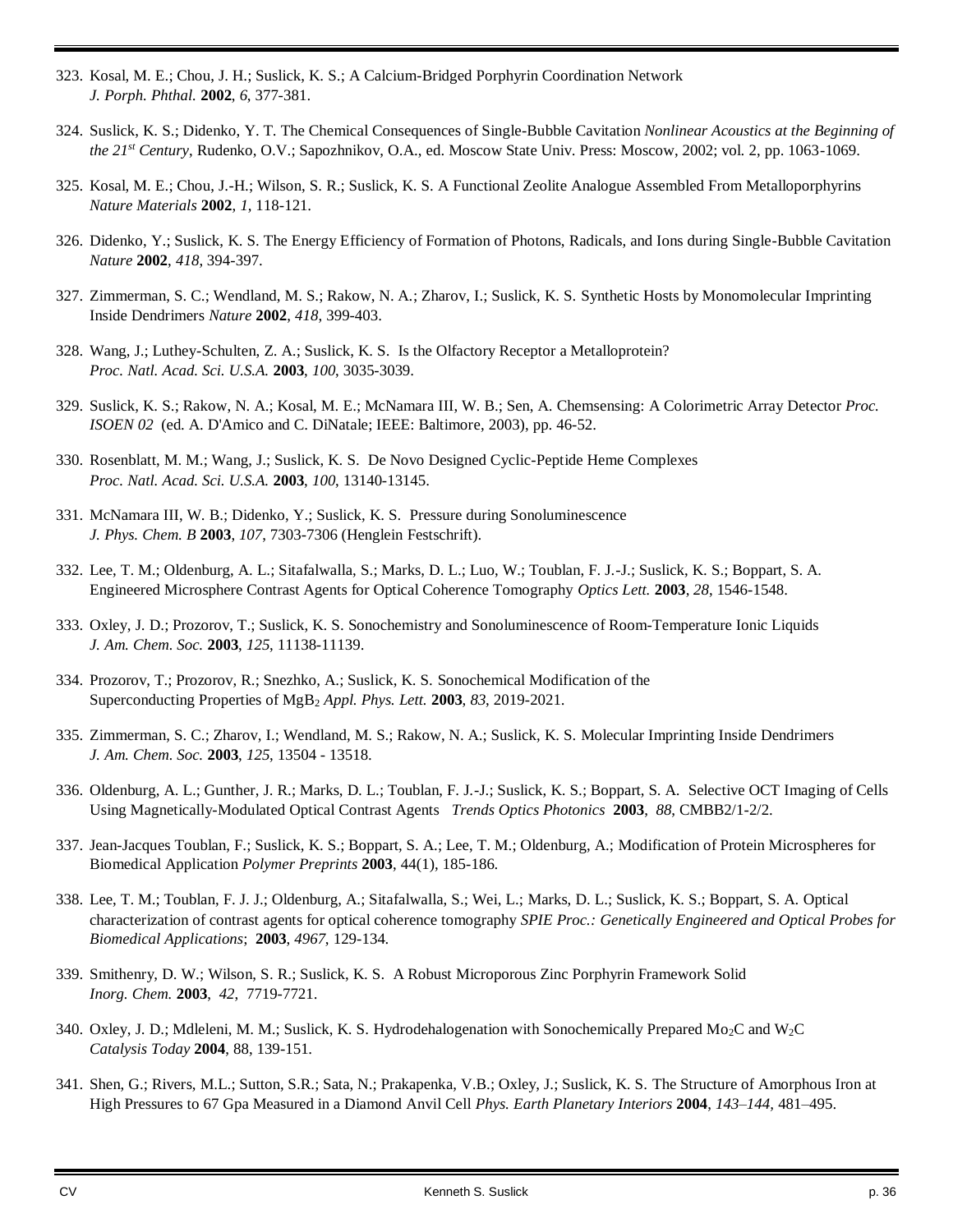- 323. Kosal, M. E.; Chou, J. H.; Suslick, K. S.; A Calcium-Bridged Porphyrin Coordination Network *J. Porph. Phthal.* **2002**, *6*, 377-381.
- 324. Suslick, K. S.; Didenko, Y. T. The Chemical Consequences of Single-Bubble Cavitation *Nonlinear Acoustics at the Beginning of the 21st Century*, Rudenko, O.V.; Sapozhnikov, O.A., ed. Moscow State Univ. Press: Moscow, 2002; vol. 2, pp. 1063-1069.
- 325. Kosal, M. E.; Chou, J.-H.; Wilson, S. R.; Suslick, K. S. A Functional Zeolite Analogue Assembled From Metalloporphyrins *Nature Materials* **2002**, *1*, 118-121.
- 326. Didenko, Y.; Suslick, K. S. The Energy Efficiency of Formation of Photons, Radicals, and Ions during Single-Bubble Cavitation *Nature* **2002**, *418*, 394-397.
- 327. Zimmerman, S. C.; Wendland, M. S.; Rakow, N. A.; Zharov, I.; Suslick, K. S. Synthetic Hosts by Monomolecular Imprinting Inside Dendrimers *Nature* **2002**, *418*, 399-403.
- 328. Wang, J.; Luthey-Schulten, Z. A.; Suslick, K. S. Is the Olfactory Receptor a Metalloprotein? *Proc. Natl. Acad. Sci. U.S.A.* **2003**, *100*, 3035-3039.
- 329. Suslick, K. S.; Rakow, N. A.; Kosal, M. E.; McNamara III, W. B.; Sen, A. Chemsensing: A Colorimetric Array Detector *Proc. ISOEN 02* (ed. A. D'Amico and C. DiNatale; IEEE: Baltimore, 2003), pp. 46-52.
- 330. Rosenblatt, M. M.; Wang, J.; Suslick, K. S. De Novo Designed Cyclic-Peptide Heme Complexes *Proc. Natl. Acad. Sci. U.S.A.* **2003**, *100*, 13140-13145.
- 331. McNamara III, W. B.; Didenko, Y.; Suslick, K. S. Pressure during Sonoluminescence *J. Phys. Chem. B* **2003**, *107*, 7303-7306 (Henglein Festschrift).
- 332. Lee, T. M.; Oldenburg, A. L.; Sitafalwalla, S.; Marks, D. L.; Luo, W.; Toublan, F. J.-J.; Suslick, K. S.; Boppart, S. A. Engineered Microsphere Contrast Agents for Optical Coherence Tomography *Optics Lett.* **2003**, *28*, 1546-1548.
- 333. Oxley, J. D.; Prozorov, T.; Suslick, K. S. Sonochemistry and Sonoluminescence of Room-Temperature Ionic Liquids *J. Am. Chem. Soc.* **2003**, *125*, 11138-11139.
- 334. Prozorov, T.; Prozorov, R.; Snezhko, A.; Suslick, K. S. Sonochemical Modification of the Superconducting Properties of MgB<sup>2</sup> *Appl. Phys. Lett.* **2003**, *83*, 2019-2021.
- 335. Zimmerman, S. C.; Zharov, I.; Wendland, M. S.; Rakow, N. A.; Suslick, K. S. Molecular Imprinting Inside Dendrimers *J. Am. Chem. Soc.* **2003**, *125*, 13504 - 13518.
- 336. Oldenburg, A. L.; Gunther, J. R.; Marks, D. L.; Toublan, F. J.-J.; Suslick, K. S.; Boppart, S. A. Selective OCT Imaging of Cells Using Magnetically-Modulated Optical Contrast Agents *Trends Optics Photonics* **2003**, *88*, CMBB2/1-2/2.
- 337. Jean-Jacques Toublan, F.; Suslick, K. S.; Boppart, S. A.; Lee, T. M.; Oldenburg, A.; Modification of Protein Microspheres for Biomedical Application *Polymer Preprints* **2003**, 44(1), 185-186.
- 338. Lee, T. M.; Toublan, F. J. J.; Oldenburg, A.; Sitafalwalla, S.; Wei, L.; Marks, D. L.; Suslick, K. S.; Boppart, S. A. Optical characterization of contrast agents for optical coherence tomography *SPIE Proc.: Genetically Engineered and Optical Probes for Biomedical Applications*; **2003**, *4967*, 129-134.
- 339. Smithenry, D. W.; Wilson, S. R.; Suslick, K. S. A Robust Microporous Zinc Porphyrin Framework Solid *Inorg. Chem.* **2003**, *42*, 7719-7721.
- 340. Oxley, J. D.; Mdleleni, M. M.; Suslick, K. S. Hydrodehalogenation with Sonochemically Prepared Mo<sub>2</sub>C and W<sub>2</sub>C *Catalysis Today* **2004**, 88, 139-151.
- 341. Shen, G.; Rivers, M.L.; Sutton, S.R.; Sata, N.; Prakapenka, V.B.; Oxley, J.; Suslick, K. S. The Structure of Amorphous Iron at High Pressures to 67 Gpa Measured in a Diamond Anvil Cell *Phys. Earth Planetary Interiors* **2004**, *143–144,* 481–495.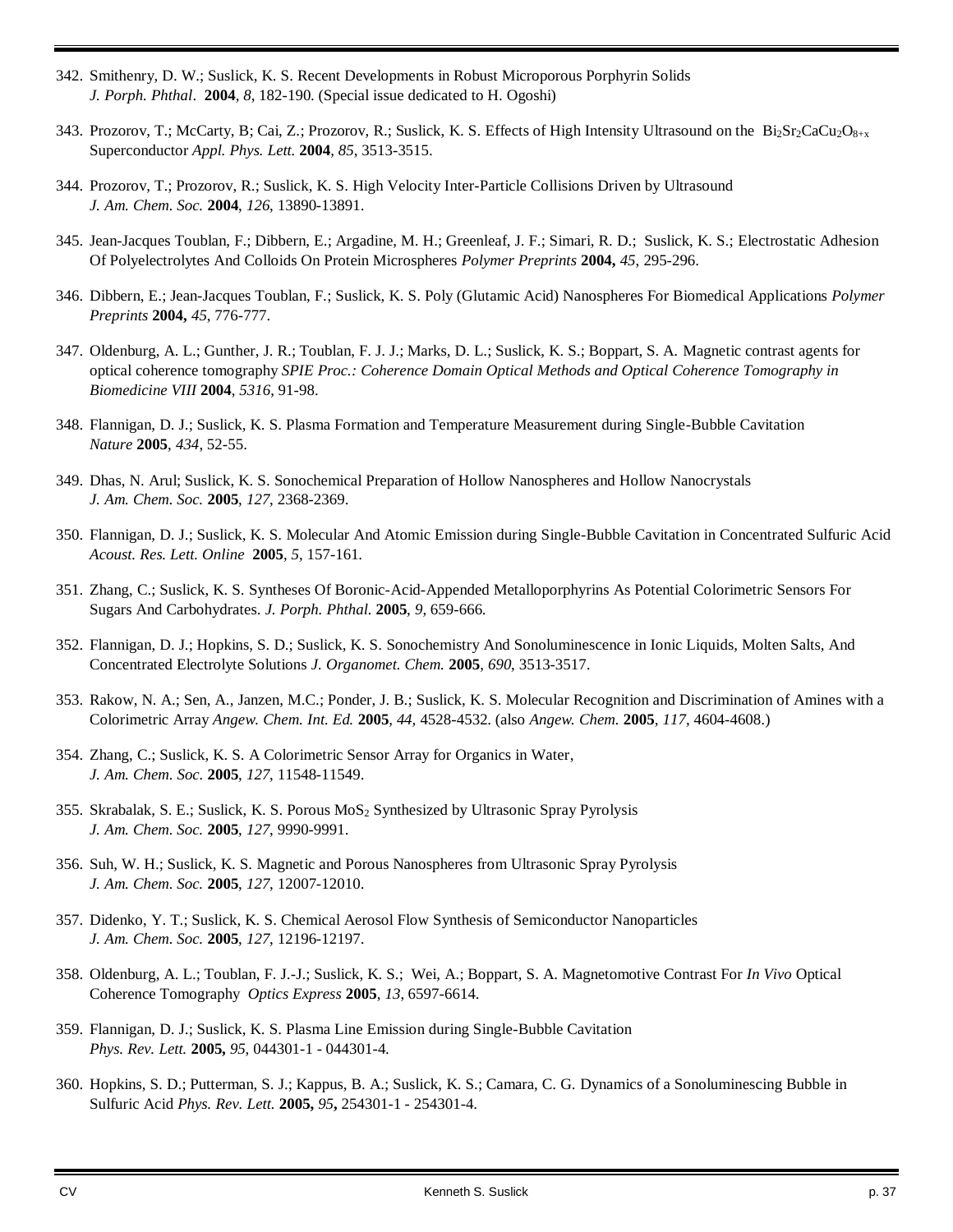- 342. Smithenry, D. W.; Suslick, K. S. Recent Developments in Robust Microporous Porphyrin Solids *J. Porph. Phthal*. **2004**, *8*, 182-190. (Special issue dedicated to H. Ogoshi)
- 343. Prozorov, T.; McCarty, B; Cai, Z.; Prozorov, R.; Suslick, K. S. Effects of High Intensity Ultrasound on the  $Bi_2Sr_2CaCu_2O_{8+x}$ Superconductor *Appl. Phys. Lett.* **2004**, *85*, 3513-3515.
- 344. Prozorov, T.; Prozorov, R.; Suslick, K. S. High Velocity Inter-Particle Collisions Driven by Ultrasound *J. Am. Chem. Soc.* **2004**, *126*, 13890-13891.
- 345. Jean-Jacques Toublan, F.; Dibbern, E.; Argadine, M. H.; Greenleaf, J. F.; Simari, R. D.; Suslick, K. S.; Electrostatic Adhesion Of Polyelectrolytes And Colloids On Protein Microspheres *Polymer Preprints* **2004,** *45*, 295-296.
- 346. Dibbern, E.; Jean-Jacques Toublan, F.; Suslick, K. S. Poly (Glutamic Acid) Nanospheres For Biomedical Applications *Polymer Preprints* **2004,** *45*, 776-777.
- 347. Oldenburg, A. L.; Gunther, J. R.; Toublan, F. J. J.; Marks, D. L.; Suslick, K. S.; Boppart, S. A. Magnetic contrast agents for optical coherence tomography *SPIE Proc.: Coherence Domain Optical Methods and Optical Coherence Tomography in Biomedicine VIII* **2004**, *5316*, 91-98.
- 348. Flannigan, D. J.; Suslick, K. S. Plasma Formation and Temperature Measurement during Single-Bubble Cavitation *Nature* **2005**, *434*, 52-55.
- 349. Dhas, N. Arul; Suslick, K. S. Sonochemical Preparation of Hollow Nanospheres and Hollow Nanocrystals *J. Am. Chem. Soc.* **2005**, *127*, 2368-2369.
- 350. Flannigan, D. J.; Suslick, K. S. Molecular And Atomic Emission during Single-Bubble Cavitation in Concentrated Sulfuric Acid *Acoust. Res. Lett. Online* **2005**, *5*, 157-161.
- 351. Zhang, C.; Suslick, K. S. Syntheses Of Boronic-Acid-Appended Metalloporphyrins As Potential Colorimetric Sensors For Sugars And Carbohydrates. *J. Porph. Phthal.* **2005**, *9*, 659-666.
- 352. Flannigan, D. J.; Hopkins, S. D.; Suslick, K. S. Sonochemistry And Sonoluminescence in Ionic Liquids, Molten Salts, And Concentrated Electrolyte Solutions *J. Organomet. Chem.* **2005**, *690*, 3513-3517.
- 353. Rakow, N. A.; Sen, A., Janzen, M.C.; Ponder, J. B.; Suslick, K. S. Molecular Recognition and Discrimination of Amines with a Colorimetric Array *Angew. Chem. Int. Ed.* **2005***, 44,* 4528-4532. (also *Angew. Chem.* **2005**, *117*, 4604-4608.)
- 354. Zhang, C.; Suslick, K. S. A Colorimetric Sensor Array for Organics in Water, *J. Am. Chem. Soc.* **2005**, *127*, 11548-11549.
- 355. Skrabalak, S. E.; Suslick, K. S. Porous MoS<sup>2</sup> Synthesized by Ultrasonic Spray Pyrolysis *J. Am. Chem. Soc.* **2005**, *127*, 9990-9991.
- 356. Suh, W. H.; Suslick, K. S. Magnetic and Porous Nanospheres from Ultrasonic Spray Pyrolysis *J. Am. Chem. Soc.* **2005**, *127*, 12007-12010.
- 357. Didenko, Y. T.; Suslick, K. S. Chemical Aerosol Flow Synthesis of Semiconductor Nanoparticles *J. Am. Chem. Soc.* **2005**, *127*, 12196-12197.
- 358. Oldenburg, A. L.; Toublan, F. J.-J.; Suslick, K. S.; Wei, A.; Boppart, S. A. Magnetomotive Contrast For *In Vivo* Optical Coherence Tomography *Optics Express* **2005**, *13*, 6597-6614.
- 359. Flannigan, D. J.; Suslick, K. S. Plasma Line Emission during Single-Bubble Cavitation *Phys. Rev. Lett.* **2005,** *95*, 044301-1 - 044301-4.
- 360. Hopkins, S. D.; Putterman, S. J.; Kappus, B. A.; Suslick, K. S.; Camara, C. G. Dynamics of a Sonoluminescing Bubble in Sulfuric Acid *Phys. Rev. Lett.* **2005,** *95***,** 254301-1 - 254301-4.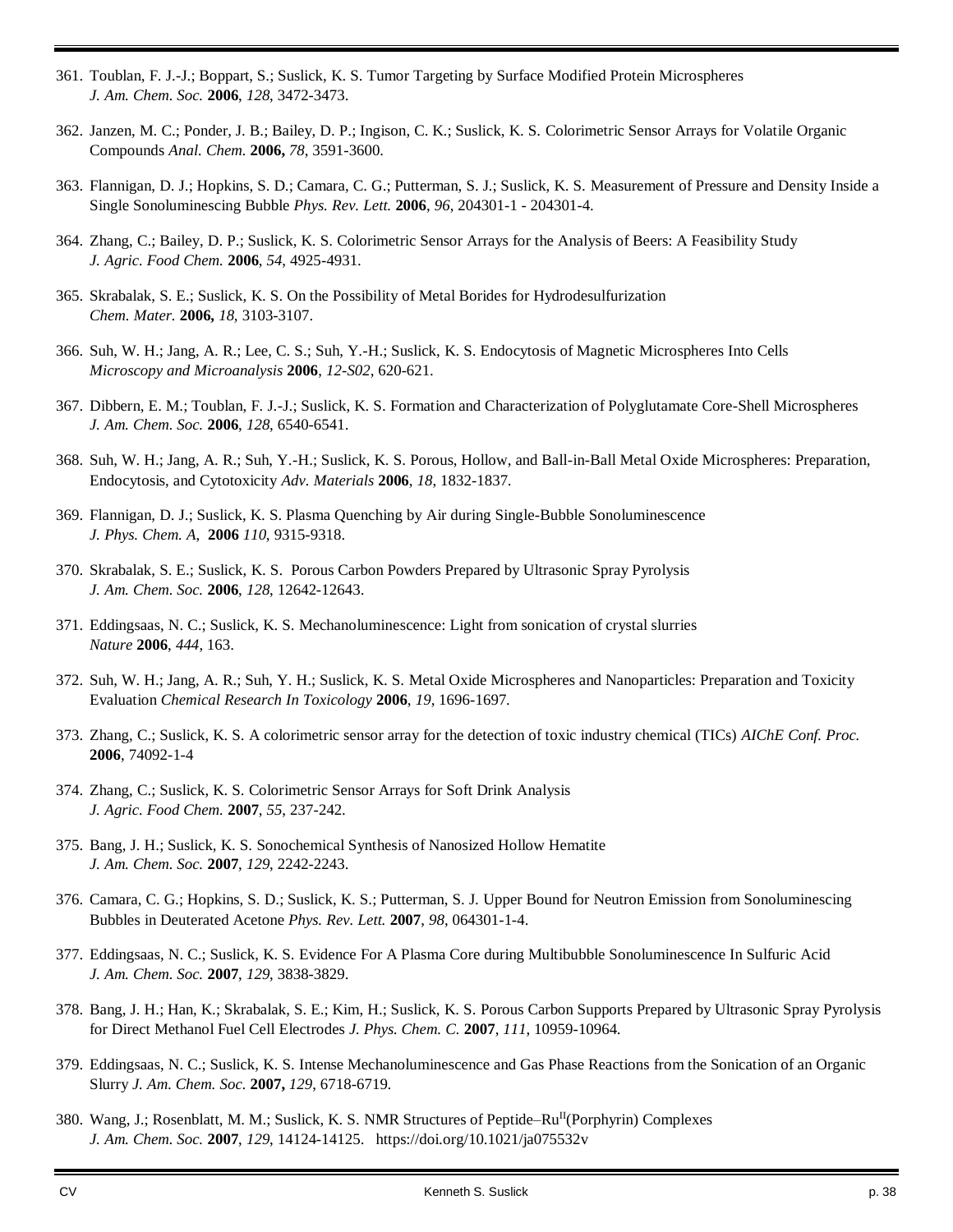- 361. Toublan, F. J.-J.; Boppart, S.; Suslick, K. S. Tumor Targeting by Surface Modified Protein Microspheres *J. Am. Chem. Soc.* **2006**, *128*, 3472-3473.
- 362. Janzen, M. C.; Ponder, J. B.; Bailey, D. P.; Ingison, C. K.; Suslick, K. S. Colorimetric Sensor Arrays for Volatile Organic Compounds *Anal. Chem.* **2006,** *78*, 3591-3600.
- 363. Flannigan, D. J.; Hopkins, S. D.; Camara, C. G.; Putterman, S. J.; Suslick, K. S. Measurement of Pressure and Density Inside a Single Sonoluminescing Bubble *Phys. Rev. Lett.* **2006**, *96*, 204301-1 - 204301-4.
- 364. Zhang, C.; Bailey, D. P.; Suslick, K. S. Colorimetric Sensor Arrays for the Analysis of Beers: A Feasibility Study *J. Agric. Food Chem.* **2006**, *54*, 4925-4931.
- 365. Skrabalak, S. E.; Suslick, K. S. On the Possibility of Metal Borides for Hydrodesulfurization *Chem. Mater.* **2006,** *18,* 3103-3107.
- 366. Suh, W. H.; Jang, A. R.; Lee, C. S.; Suh, Y.-H.; Suslick, K. S. Endocytosis of Magnetic Microspheres Into Cells *Microscopy and Microanalysis* **2006**, *12-S02*, 620-621.
- 367. Dibbern, E. M.; Toublan, F. J.-J.; Suslick, K. S. Formation and Characterization of Polyglutamate Core-Shell Microspheres *J. Am. Chem. Soc.* **2006**, *128*, 6540-6541.
- 368. Suh, W. H.; Jang, A. R.; Suh, Y.-H.; Suslick, K. S. Porous, Hollow, and Ball-in-Ball Metal Oxide Microspheres: Preparation, Endocytosis, and Cytotoxicity *Adv. Materials* **2006**, *18*, 1832-1837.
- 369. Flannigan, D. J.; Suslick, K. S. Plasma Quenching by Air during Single-Bubble Sonoluminescence *J. Phys. Chem. A*, **2006** *110*, 9315-9318.
- 370. Skrabalak, S. E.; Suslick, K. S. Porous Carbon Powders Prepared by Ultrasonic Spray Pyrolysis *J. Am. Chem. Soc.* **2006**, *128*, 12642-12643.
- 371. Eddingsaas, N. C.; Suslick, K. S. Mechanoluminescence: Light from sonication of crystal slurries *Nature* **2006**, *444*, 163.
- 372. Suh, W. H.; Jang, A. R.; Suh, Y. H.; Suslick, K. S. Metal Oxide Microspheres and Nanoparticles: Preparation and Toxicity Evaluation *Chemical Research In Toxicology* **2006**, *19*, 1696-1697.
- 373. Zhang, C.; Suslick, K. S. A colorimetric sensor array for the detection of toxic industry chemical (TICs) *AIChE Conf. Proc.* **2006**, 74092-1-4
- 374. Zhang, C.; Suslick, K. S. Colorimetric Sensor Arrays for Soft Drink Analysis *J. Agric. Food Chem.* **2007**, *55*, 237-242.
- 375. Bang, J. H.; Suslick, K. S. Sonochemical Synthesis of Nanosized Hollow Hematite *J. Am. Chem. Soc.* **2007**, *129*, 2242-2243.
- 376. Camara, C. G.; Hopkins, S. D.; Suslick, K. S.; Putterman, S. J. Upper Bound for Neutron Emission from Sonoluminescing Bubbles in Deuterated Acetone *Phys. Rev. Lett.* **2007**, *98*, 064301-1-4.
- 377. Eddingsaas, N. C.; Suslick, K. S. Evidence For A Plasma Core during Multibubble Sonoluminescence In Sulfuric Acid *J. Am. Chem. Soc.* **2007**, *129*, 3838-3829.
- 378. Bang, J. H.; Han, K.; Skrabalak, S. E.; Kim, H.; Suslick, K. S. Porous Carbon Supports Prepared by Ultrasonic Spray Pyrolysis for Direct Methanol Fuel Cell Electrodes *J. Phys. Chem. C.* **2007**, *111*, 10959-10964.
- 379. Eddingsaas, N. C.; Suslick, K. S. Intense Mechanoluminescence and Gas Phase Reactions from the Sonication of an Organic Slurry *J. Am. Chem. Soc.* **2007,** *129*, 6718-6719.
- 380. Wang, J.; Rosenblatt, M. M.; Suslick, K. S. NMR Structures of Peptide–Ru<sup>II</sup>(Porphyrin) Complexes *J. Am. Chem. Soc.* **2007**, *129*, 14124-14125. https://doi.org/10.1021/ja075532v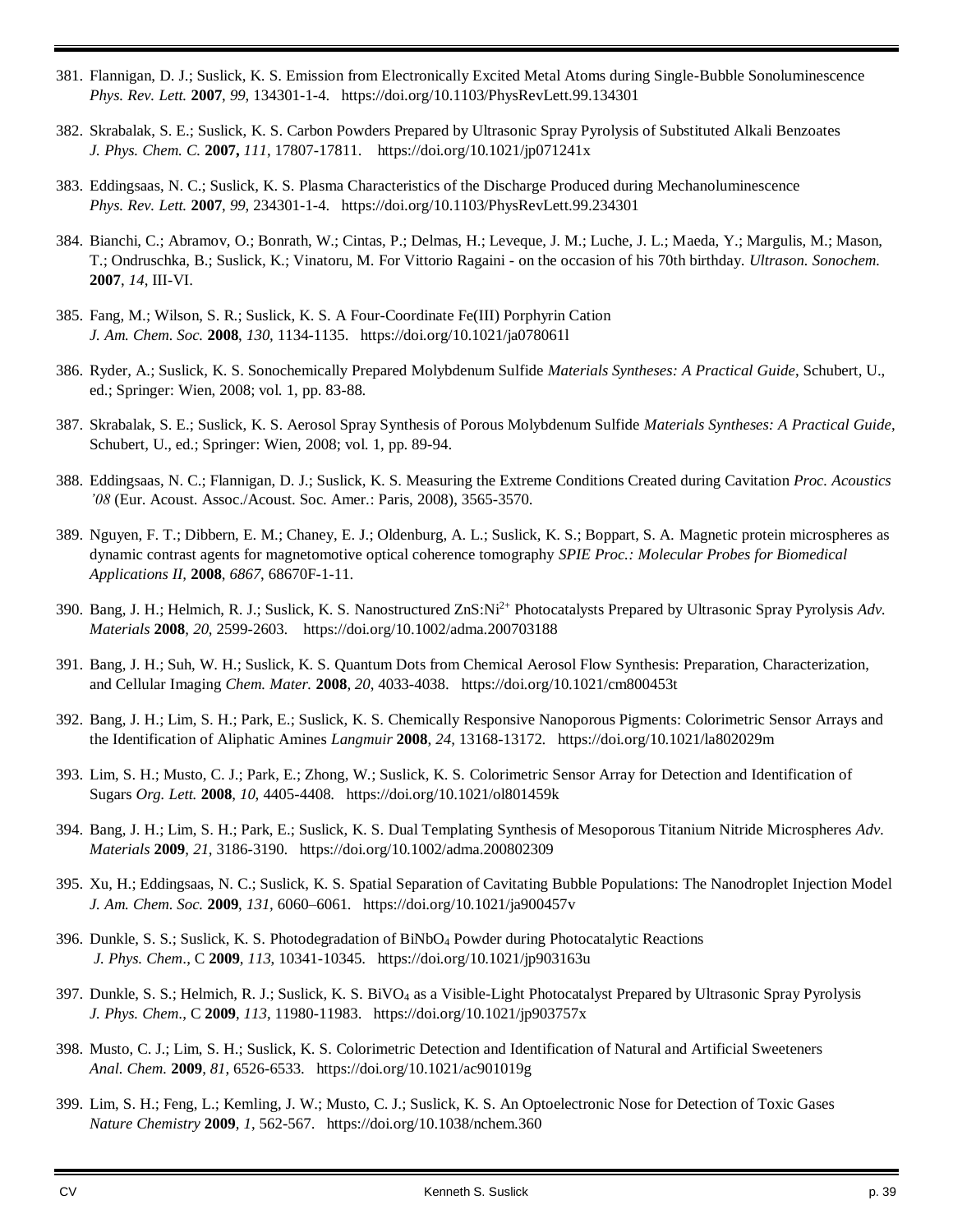- 381. Flannigan, D. J.; Suslick, K. S. Emission from Electronically Excited Metal Atoms during Single-Bubble Sonoluminescence *Phys. Rev. Lett.* **2007**, *99*, 134301-1-4. https://doi.org/10.1103/PhysRevLett.99.134301
- 382. Skrabalak, S. E.; Suslick, K. S. Carbon Powders Prepared by Ultrasonic Spray Pyrolysis of Substituted Alkali Benzoates *J. Phys. Chem. C.* **2007,** *111*, 17807-17811. https://doi.org/10.1021/jp071241x
- 383. Eddingsaas, N. C.; Suslick, K. S. Plasma Characteristics of the Discharge Produced during Mechanoluminescence *Phys. Rev. Lett.* **2007**, *99*, 234301-1-4. https://doi.org/10.1103/PhysRevLett.99.234301
- 384. Bianchi, C.; Abramov, O.; Bonrath, W.; Cintas, P.; Delmas, H.; Leveque, J. M.; Luche, J. L.; Maeda, Y.; Margulis, M.; Mason, T.; Ondruschka, B.; Suslick, K.; Vinatoru, M. For Vittorio Ragaini - on the occasion of his 70th birthday. *Ultrason. Sonochem.* **2007**, *14*, III-VI.
- 385. Fang, M.; Wilson, S. R.; Suslick, K. S. A Four-Coordinate Fe(III) Porphyrin Cation *J. Am. Chem. Soc.* **2008**, *130,* 1134-1135. https://doi.org/10.1021/ja078061l
- 386. Ryder, A.; Suslick, K. S. Sonochemically Prepared Molybdenum Sulfide *Materials Syntheses: A Practical Guide*, Schubert, U., ed.; Springer: Wien, 2008; vol. 1, pp. 83-88.
- 387. Skrabalak, S. E.; Suslick, K. S. Aerosol Spray Synthesis of Porous Molybdenum Sulfide *Materials Syntheses: A Practical Guide*, Schubert, U., ed.; Springer: Wien, 2008; vol. 1, pp. 89-94.
- 388. Eddingsaas, N. C.; Flannigan, D. J.; Suslick, K. S. Measuring the Extreme Conditions Created during Cavitation *Proc. Acoustics '08* (Eur. Acoust. Assoc./Acoust. Soc. Amer.: Paris, 2008), 3565-3570.
- 389. Nguyen, F. T.; Dibbern, E. M.; Chaney, E. J.; Oldenburg, A. L.; Suslick, K. S.; Boppart, S. A. Magnetic protein microspheres as dynamic contrast agents for magnetomotive optical coherence tomography *SPIE Proc.: Molecular Probes for Biomedical Applications II,* **2008**, *6867*, 68670F-1-11.
- 390. Bang, J. H.; Helmich, R. J.; Suslick, K. S. Nanostructured ZnS:Ni2+ Photocatalysts Prepared by Ultrasonic Spray Pyrolysis *Adv. Materials* **2008**, *20*, 2599-2603. https://doi.org/10.1002/adma.200703188
- 391. Bang, J. H.; Suh, W. H.; Suslick, K. S. Quantum Dots from Chemical Aerosol Flow Synthesis: Preparation, Characterization, and Cellular Imaging *Chem. Mater.* **2008**, *20*, 4033-4038. https://doi.org/10.1021/cm800453t
- 392. Bang, J. H.; Lim, S. H.; Park, E.; Suslick, K. S. Chemically Responsive Nanoporous Pigments: Colorimetric Sensor Arrays and the Identification of Aliphatic Amines *Langmuir* **2008**, *24*, 13168-13172. https://doi.org/10.1021/la802029m
- 393. Lim, S. H.; Musto, C. J.; Park, E.; Zhong, W.; Suslick, K. S. Colorimetric Sensor Array for Detection and Identification of Sugars *Org. Lett.* **2008**, *10*, 4405-4408. https://doi.org/10.1021/ol801459k
- 394. Bang, J. H.; Lim, S. H.; Park, E.; Suslick, K. S. Dual Templating Synthesis of Mesoporous Titanium Nitride Microspheres *Adv. Materials* **2009**, *21*, 3186-3190. https://doi.org/10.1002/adma.200802309
- 395. Xu, H.; Eddingsaas, N. C.; Suslick, K. S. Spatial Separation of Cavitating Bubble Populations: The Nanodroplet Injection Model *J. Am. Chem. Soc.* **2009**, *131,* 6060–6061. https://doi.org/10.1021/ja900457v
- 396. Dunkle, S. S.; Suslick, K. S. Photodegradation of BiNbO<sup>4</sup> Powder during Photocatalytic Reactions *J. Phys. Chem*., C **2009**, *113*, 10341-10345. https://doi.org/10.1021/jp903163u
- 397. Dunkle, S. S.; Helmich, R. J.; Suslick, K. S. BiVO<sup>4</sup> as a Visible-Light Photocatalyst Prepared by Ultrasonic Spray Pyrolysis *J. Phys. Chem*., C **2009**, *113*, 11980-11983. https://doi.org/10.1021/jp903757x
- 398. Musto, C. J.; Lim, S. H.; Suslick, K. S. Colorimetric Detection and Identification of Natural and Artificial Sweeteners *Anal. Chem.* **2009**, *81*, 6526-6533. https://doi.org/10.1021/ac901019g
- 399. Lim, S. H.; Feng, L.; Kemling, J. W.; Musto, C. J.; Suslick, K. S. An Optoelectronic Nose for Detection of Toxic Gases *Nature Chemistry* **2009**, *1*, 562-567. https://doi.org/10.1038/nchem.360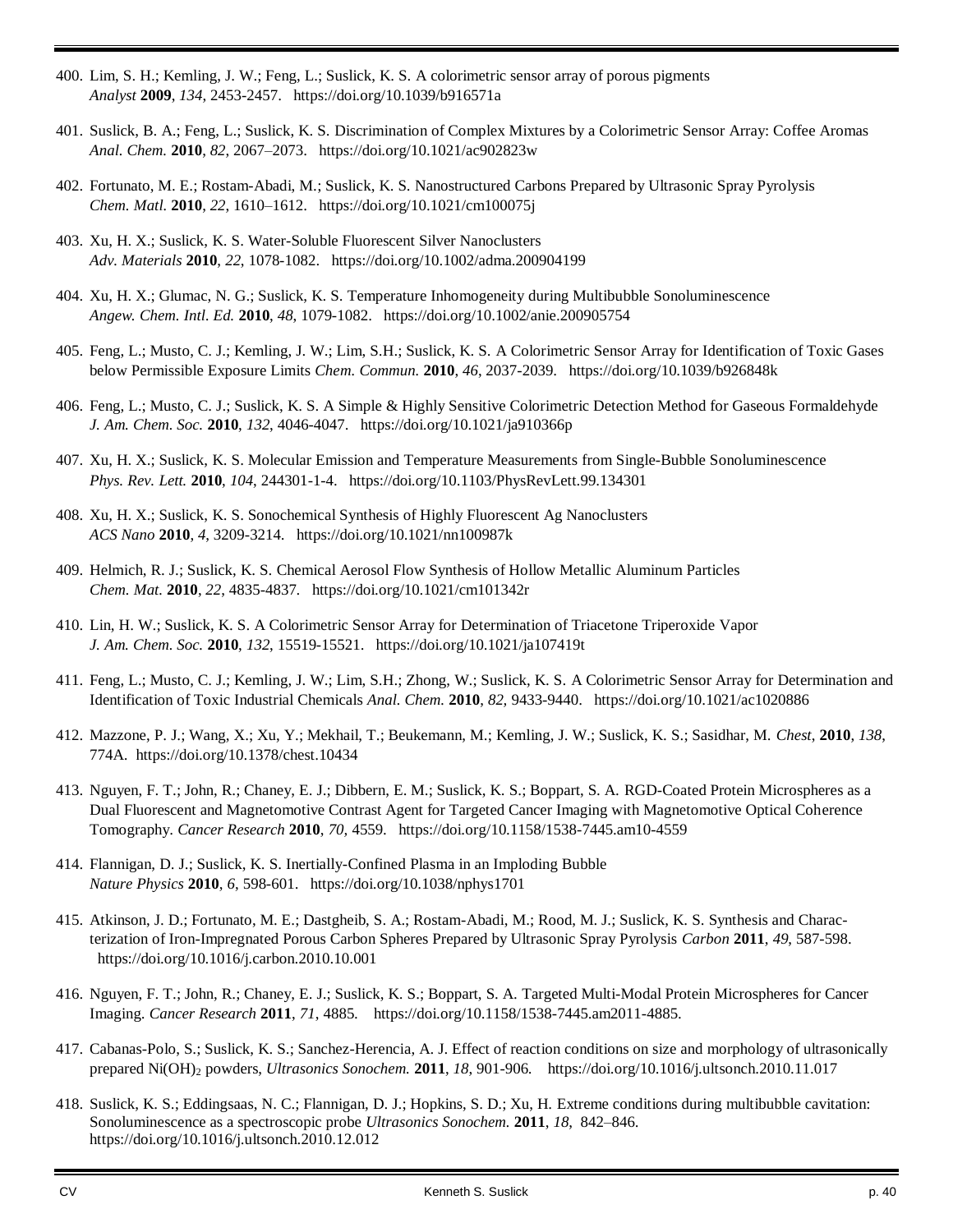- 400. Lim, S. H.; Kemling, J. W.; Feng, L.; Suslick, K. S. A colorimetric sensor array of porous pigments *Analyst* **2009**, *134*, 2453-2457. https://doi.org/10.1039/b916571a
- 401. Suslick, B. A.; Feng, L.; Suslick, K. S. Discrimination of Complex Mixtures by a Colorimetric Sensor Array: Coffee Aromas *Anal. Chem.* **2010**, *82*, 2067–2073. https://doi.org/10.1021/ac902823w
- 402. Fortunato, M. E.; Rostam-Abadi, M.; Suslick, K. S. Nanostructured Carbons Prepared by Ultrasonic Spray Pyrolysis *Chem. Matl.* **2010**, *22*, 1610–1612. https://doi.org/10.1021/cm100075j
- 403. Xu, H. X.; Suslick, K. S. Water-Soluble Fluorescent Silver Nanoclusters *Adv. Materials* **2010**, *22*, 1078-1082. https://doi.org/10.1002/adma.200904199
- 404. Xu, H. X.; Glumac, N. G.; Suslick, K. S. Temperature Inhomogeneity during Multibubble Sonoluminescence *Angew. Chem. Intl. Ed.* **2010**, *48*, 1079-1082. https://doi.org/10.1002/anie.200905754
- 405. Feng, L.; Musto, C. J.; Kemling, J. W.; Lim, S.H.; Suslick, K. S. A Colorimetric Sensor Array for Identification of Toxic Gases below Permissible Exposure Limits *Chem. Commun.* **2010**, *46*, 2037-2039. https://doi.org/10.1039/b926848k
- 406. Feng, L.; Musto, C. J.; Suslick, K. S. A Simple & Highly Sensitive Colorimetric Detection Method for Gaseous Formaldehyde *J. Am. Chem. Soc.* **2010**, *132*, 4046-4047. https://doi.org/10.1021/ja910366p
- 407. Xu, H. X.; Suslick, K. S. Molecular Emission and Temperature Measurements from Single-Bubble Sonoluminescence *Phys. Rev. Lett.* **2010**, *104*, 244301-1-4. https://doi.org/10.1103/PhysRevLett.99.134301
- 408. Xu, H. X.; Suslick, K. S. Sonochemical Synthesis of Highly Fluorescent Ag Nanoclusters *ACS Nano* **2010**, *4*, 3209-3214. https://doi.org/10.1021/nn100987k
- 409. Helmich, R. J.; Suslick, K. S. Chemical Aerosol Flow Synthesis of Hollow Metallic Aluminum Particles *Chem. Mat.* **2010**, *22*, 4835-4837. https://doi.org/10.1021/cm101342r
- 410. Lin, H. W.; Suslick, K. S. A Colorimetric Sensor Array for Determination of Triacetone Triperoxide Vapor *J. Am. Chem. Soc.* **2010**, *132*, 15519-15521. https://doi.org/10.1021/ja107419t
- 411. Feng, L.; Musto, C. J.; Kemling, J. W.; Lim, S.H.; Zhong, W.; Suslick, K. S. A Colorimetric Sensor Array for Determination and Identification of Toxic Industrial Chemicals *Anal. Chem.* **2010**, *82,* 9433-9440. https://doi.org/10.1021/ac1020886
- 412. Mazzone, P. J.; Wang, X.; Xu, Y.; Mekhail, T.; Beukemann, M.; Kemling, J. W.; Suslick, K. S.; Sasidhar, M. *Chest*, **2010**, *138*, 774A. https://doi.org/10.1378/chest.10434
- 413. Nguyen, F. T.; John, R.; Chaney, E. J.; Dibbern, E. M.; Suslick, K. S.; Boppart, S. A. RGD-Coated Protein Microspheres as a Dual Fluorescent and Magnetomotive Contrast Agent for Targeted Cancer Imaging with Magnetomotive Optical Coherence Tomography. *Cancer Research* **2010**, *70,* 4559. https://doi.org/10.1158/1538-7445.am10-4559
- 414. Flannigan, D. J.; Suslick, K. S. Inertially-Confined Plasma in an Imploding Bubble *Nature Physics* **2010**, *6*, 598-601. https://doi.org/10.1038/nphys1701
- 415. Atkinson, J. D.; Fortunato, M. E.; Dastgheib, S. A.; Rostam-Abadi, M.; Rood, M. J.; Suslick, K. S. Synthesis and Characterization of Iron-Impregnated Porous Carbon Spheres Prepared by Ultrasonic Spray Pyrolysis *Carbon* **2011**, *49*, 587-598. https://doi.org/10.1016/j.carbon.2010.10.001
- 416. Nguyen, F. T.; John, R.; Chaney, E. J.; Suslick, K. S.; Boppart, S. A. Targeted Multi-Modal Protein Microspheres for Cancer Imaging. *Cancer Research* **2011**, *71*, 4885. https://doi.org/10.1158/1538-7445.am2011-4885.
- 417. Cabanas-Polo, S.; Suslick, K. S.; Sanchez-Herencia, A. J. Effect of reaction conditions on size and morphology of ultrasonically prepared Ni(OH)<sup>2</sup> powders, *Ultrasonics Sonochem.* **2011**, *18*, 901-906. https://doi.org/10.1016/j.ultsonch.2010.11.017
- 418. Suslick, K. S.; Eddingsaas, N. C.; Flannigan, D. J.; Hopkins, S. D.; Xu, H. Extreme conditions during multibubble cavitation: Sonoluminescence as a spectroscopic probe *Ultrasonics Sonochem.* **2011**, *18*, 842–846. https://doi.org/10.1016/j.ultsonch.2010.12.012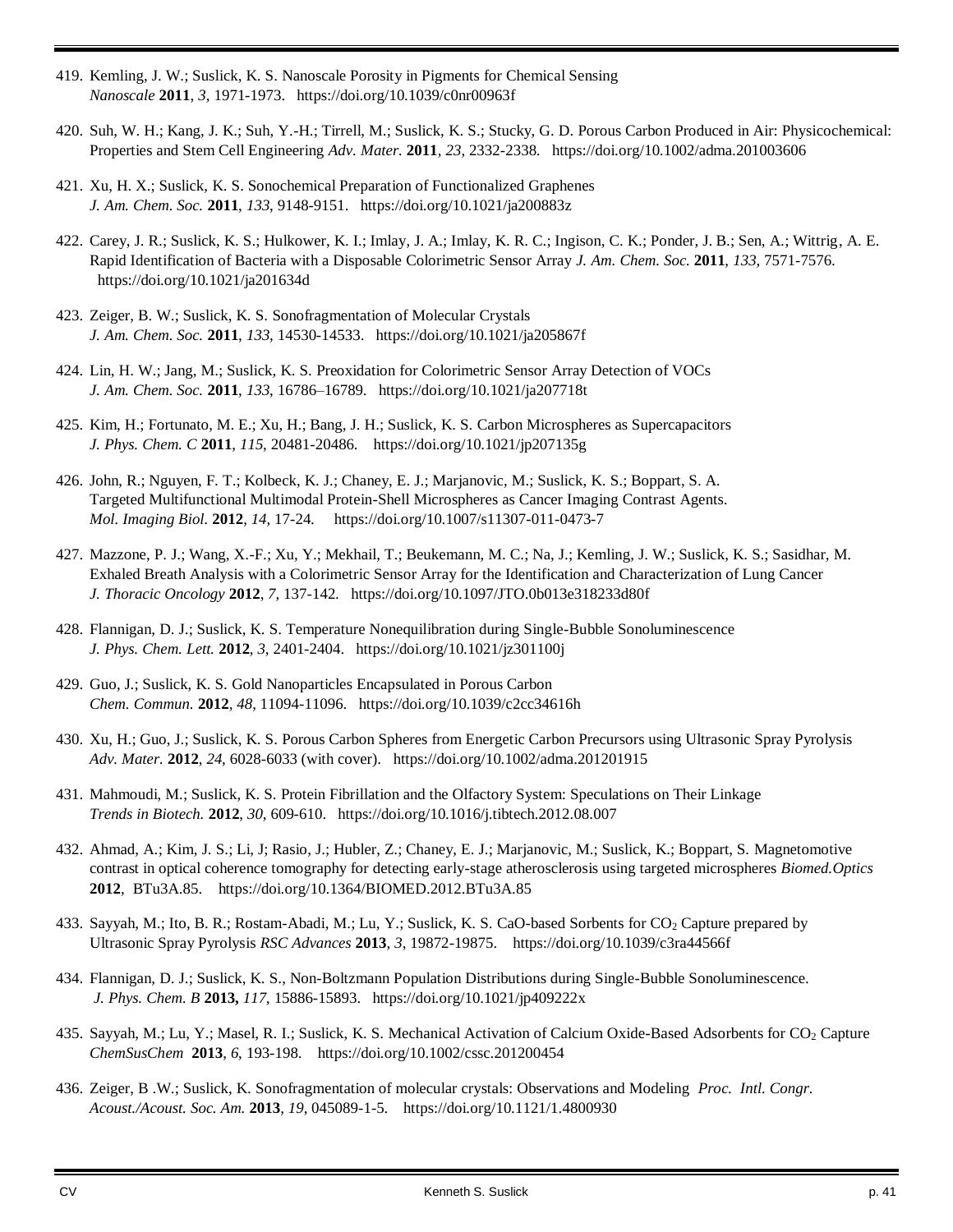- 419. Kemling, J. W.; Suslick, K. S. Nanoscale Porosity in Pigments for Chemical Sensing *Nanoscale* **2011**, *3*, 1971-1973. https://doi.org/10.1039/c0nr00963f
- 420. Suh, W. H.; Kang, J. K.; Suh, Y.-H.; Tirrell, M.; Suslick, K. S.; Stucky, G. D. Porous Carbon Produced in Air: Physicochemical: Properties and Stem Cell Engineering *Adv. Mater.* **2011**, *23*, 2332-2338. https://doi.org/10.1002/adma.201003606
- 421. Xu, H. X.; Suslick, K. S. Sonochemical Preparation of Functionalized Graphenes *J. Am. Chem. Soc.* **2011**, *133*, 9148-9151. https://doi.org/10.1021/ja200883z
- 422. Carey, J. R.; Suslick, K. S.; Hulkower, K. I.; Imlay, J. A.; Imlay, K. R. C.; Ingison, C. K.; Ponder, J. B.; Sen, A.; Wittrig, A. E. Rapid Identification of Bacteria with a Disposable Colorimetric Sensor Array *J. Am. Chem. Soc.* **2011**, *133*, 7571-7576. https://doi.org/10.1021/ja201634d
- 423. Zeiger, B. W.; Suslick, K. S. Sonofragmentation of Molecular Crystals *J. Am. Chem. Soc.* **2011**, *133*, 14530-14533. https://doi.org/10.1021/ja205867f
- 424. Lin, H. W.; Jang, M.; Suslick, K. S. Preoxidation for Colorimetric Sensor Array Detection of VOCs *J. Am. Chem. Soc.* **2011**, *133*, 16786–16789. https://doi.org/10.1021/ja207718t
- 425. Kim, H.; Fortunato, M. E.; Xu, H.; Bang, J. H.; Suslick, K. S. Carbon Microspheres as Supercapacitors *J. Phys. Chem. C* **2011**, *115*, 20481-20486. https://doi.org/10.1021/jp207135g
- 426. John, R.; Nguyen, F. T.; Kolbeck, K. J.; Chaney, E. J.; Marjanovic, M.; Suslick, K. S.; Boppart, S. A. Targeted Multifunctional Multimodal Protein-Shell Microspheres as Cancer Imaging Contrast Agents. *Mol. Imaging Biol.* **2012**, *14*, 17-24. https://doi.org/10.1007/s11307-011-0473-7
- 427. Mazzone, P. J.; Wang, X.-F.; Xu, Y.; Mekhail, T.; Beukemann, M. C.; Na, J.; Kemling, J. W.; Suslick, K. S.; Sasidhar, M. Exhaled Breath Analysis with a Colorimetric Sensor Array for the Identification and Characterization of Lung Cancer *J. Thoracic Oncology* **2012**, *7*, 137-142. https://doi.org/10.1097/JTO.0b013e318233d80f
- 428. Flannigan, D. J.; Suslick, K. S. Temperature Nonequilibration during Single-Bubble Sonoluminescence *J. Phys. Chem. Lett.* **2012**, *3*, 2401-2404. https://doi.org/10.1021/jz301100j
- 429. Guo, J.; Suslick, K. S. Gold Nanoparticles Encapsulated in Porous Carbon *Chem. Commun.* **2012**, *48*, 11094-11096. https://doi.org/10.1039/c2cc34616h
- 430. Xu, H.; Guo, J.; Suslick, K. S. Porous Carbon Spheres from Energetic Carbon Precursors using Ultrasonic Spray Pyrolysis *Adv. Mater.* **2012**, *24*, 6028-6033 (with cover). https://doi.org/10.1002/adma.201201915
- 431. Mahmoudi, M.; Suslick, K. S. Protein Fibrillation and the Olfactory System: Speculations on Their Linkage *Trends in Biotech.* **2012**, *30*, 609-610. https://doi.org/10.1016/j.tibtech.2012.08.007
- 432. Ahmad, A.; Kim, J. S.; Li, J; Rasio, J.; Hubler, Z.; Chaney, E. J.; Marjanovic, M.; Suslick, K.; Boppart, S. Magnetomotive contrast in optical coherence tomography for detecting early-stage atherosclerosis using targeted microspheres *Biomed.Optics* **2012**, BTu3A.85. https://doi.org/10.1364/BIOMED.2012.BTu3A.85
- 433. Sayyah, M.; Ito, B. R.; Rostam-Abadi, M.; Lu, Y.; Suslick, K. S. CaO-based Sorbents for CO<sub>2</sub> Capture prepared by Ultrasonic Spray Pyrolysis *RSC Advances* **2013**, *3*, 19872-19875. https://doi.org/10.1039/c3ra44566f
- 434. Flannigan, D. J.; Suslick, K. S., Non-Boltzmann Population Distributions during Single-Bubble Sonoluminescence. *J. Phys. Chem. B* **2013,** *117*, 15886-15893. https://doi.org/10.1021/jp409222x
- 435. Sayyah, M.; Lu, Y.; Masel, R. I.; Suslick, K. S. Mechanical Activation of Calcium Oxide-Based Adsorbents for CO<sup>2</sup> Capture *ChemSusChem* **2013**, *6*, 193-198. https://doi.org/10.1002/cssc.201200454
- 436. Zeiger, B .W.; Suslick, K. Sonofragmentation of molecular crystals: Observations and Modeling *Proc. Intl. Congr. Acoust./Acoust. Soc. Am.* **2013**, *19*, 045089-1-5. https://doi.org/10.1121/1.4800930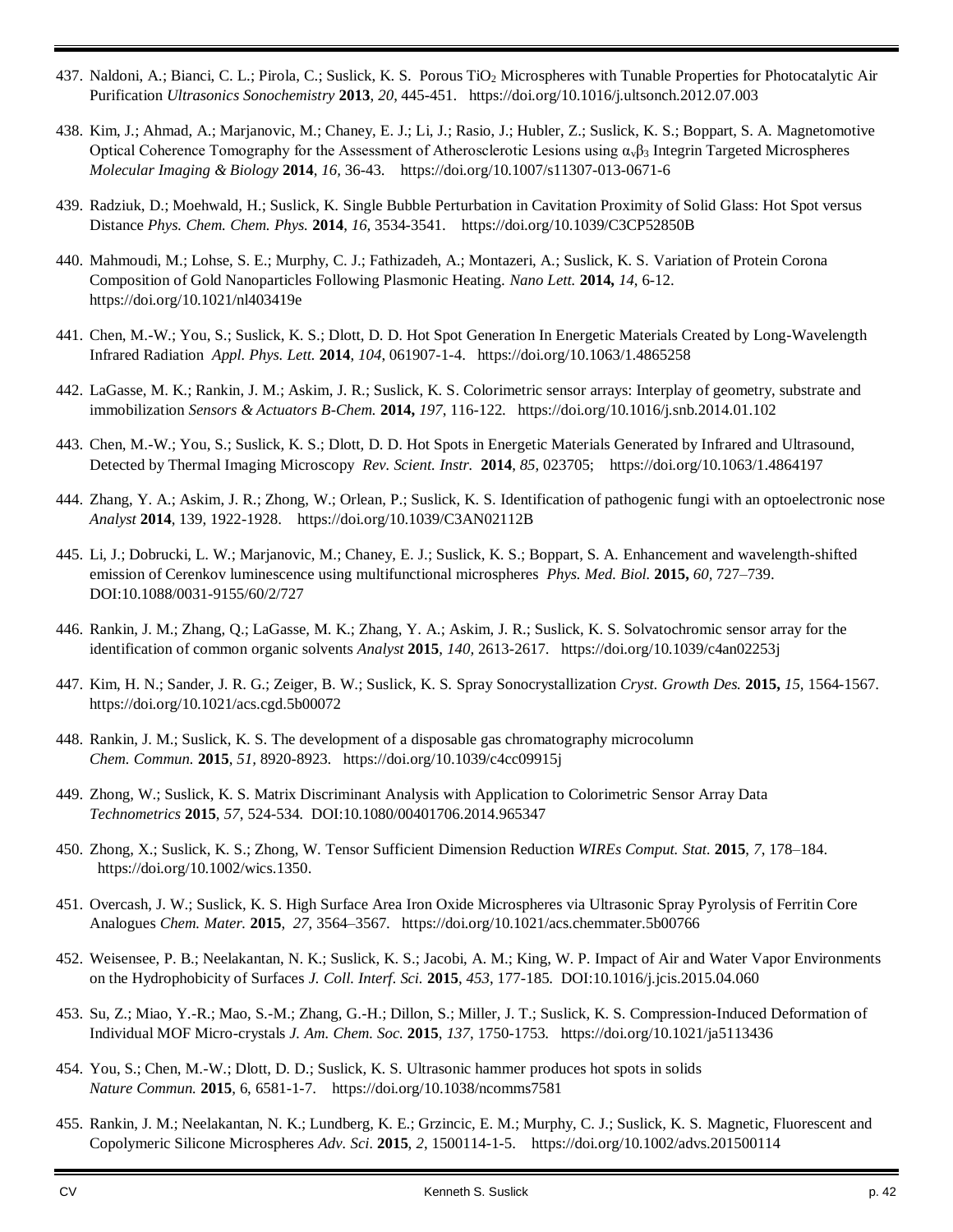- 437. Naldoni, A.; Bianci, C. L.; Pirola, C.; Suslick, K. S. Porous TiO<sup>2</sup> Microspheres with Tunable Properties for Photocatalytic Air Purification *Ultrasonics Sonochemistry* **2013**, *20*, 445-451. https://doi.org/10.1016/j.ultsonch.2012.07.003
- 438. Kim, J.; Ahmad, A.; Marjanovic, M.; Chaney, E. J.; Li, J.; Rasio, J.; Hubler, Z.; Suslick, K. S.; Boppart, S. A. Magnetomotive Optical Coherence Tomography for the Assessment of Atherosclerotic Lesions using  $\alpha_v\beta_3$  Integrin Targeted Microspheres *Molecular Imaging & Biology* **2014**, *16,* 36-43. https://doi.org/10.1007/s11307-013-0671-6
- 439. Radziuk, D.; Moehwald, H.; Suslick, K. Single Bubble Perturbation in Cavitation Proximity of Solid Glass: Hot Spot versus Distance *Phys. Chem. Chem. Phys.* **2014**, *16,* 3534-3541. https://doi.org/10.1039/C3CP52850B
- 440. Mahmoudi, M.; Lohse, S. E.; Murphy, C. J.; Fathizadeh, A.; Montazeri, A.; Suslick, K. S. Variation of Protein Corona Composition of Gold Nanoparticles Following Plasmonic Heating. *Nano Lett.* **2014,** *14*, 6-12. https://doi.org/10.1021/nl403419e
- 441. Chen, M.-W.; You, S.; Suslick, K. S.; Dlott, D. D. Hot Spot Generation In Energetic Materials Created by Long-Wavelength Infrared Radiation *Appl. Phys. Lett.* **2014**, *104*, 061907-1-4. https://doi.org/10.1063/1.4865258
- 442. LaGasse, M. K.; Rankin, J. M.; Askim, J. R.; Suslick, K. S. Colorimetric sensor arrays: Interplay of geometry, substrate and immobilization *Sensors & Actuators B-Chem.* **2014,** *197*, 116-122. https://doi.org/10.1016/j.snb.2014.01.102
- 443. Chen, M.-W.; You, S.; Suslick, K. S.; Dlott, D. D. Hot Spots in Energetic Materials Generated by Infrared and Ultrasound, Detected by Thermal Imaging Microscopy *Rev. Scient. Instr.* **2014**, *85*, 023705; https://doi.org/10.1063/1.4864197
- 444. Zhang, Y. A.; Askim, J. R.; Zhong, W.; Orlean, P.; Suslick, K. S. Identification of pathogenic fungi with an optoelectronic nose *Analyst* **2014**, 139, 1922-1928. https://doi.org/10.1039/C3AN02112B
- 445. Li, J.; Dobrucki, L. W.; Marjanovic, M.; Chaney, E. J.; Suslick, K. S.; Boppart, S. A. Enhancement and wavelength-shifted emission of Cerenkov luminescence using multifunctional microspheres *Phys. Med. Biol.* **2015,** *60,* 727–739. DOI:10.1088/0031-9155/60/2/727
- 446. Rankin, J. M.; Zhang, Q.; LaGasse, M. K.; Zhang, Y. A.; Askim, J. R.; Suslick, K. S. Solvatochromic sensor array for the identification of common organic solvents *Analyst* **2015**, *140,* 2613-2617. https://doi.org/10.1039/c4an02253j
- 447. Kim, H. N.; Sander, J. R. G.; Zeiger, B. W.; Suslick, K. S. Spray Sonocrystallization *Cryst. Growth Des.* **2015,** *15,* 1564-1567. https://doi.org/10.1021/acs.cgd.5b00072
- 448. Rankin, J. M.; Suslick, K. S. The development of a disposable gas chromatography microcolumn *Chem. Commun.* **2015**, *51,* 8920-8923. https://doi.org/10.1039/c4cc09915j
- 449. Zhong, W.; Suslick, K. S. Matrix Discriminant Analysis with Application to Colorimetric Sensor Array Data *Technometrics* **2015**, *57*, 524-534. DOI:10.1080/00401706.2014.965347
- 450. Zhong, X.; Suslick, K. S.; Zhong, W. Tensor Sufficient Dimension Reduction *WIREs Comput. Stat.* **2015**, *7*, 178–184. https://doi.org/10.1002/wics.1350.
- 451. Overcash, J. W.; Suslick, K. S. High Surface Area Iron Oxide Microspheres via Ultrasonic Spray Pyrolysis of Ferritin Core Analogues *Chem. Mater.* **2015**, *27*, 3564–3567. https://doi.org/10.1021/acs.chemmater.5b00766
- 452. Weisensee, P. B.; Neelakantan, N. K.; Suslick, K. S.; Jacobi, A. M.; King, W. P. Impact of Air and Water Vapor Environments on the Hydrophobicity of Surfaces *J. Coll. Interf. Sci.* **2015**, *453*, 177-185. DOI:10.1016/j.jcis.2015.04.060
- 453. Su, Z.; Miao, Y.-R.; Mao, S.-M.; Zhang, G.-H.; Dillon, S.; Miller, J. T.; Suslick, K. S. Compression-Induced Deformation of Individual MOF Micro-crystals *J. Am. Chem. Soc.* **2015**, *137*, 1750-1753. https://doi.org/10.1021/ja5113436
- 454. You, S.; Chen, M.-W.; Dlott, D. D.; Suslick, K. S. Ultrasonic hammer produces hot spots in solids *Nature Commun.* **2015**, 6, 6581-1-7. https://doi.org/10.1038/ncomms7581
- 455. Rankin, J. M.; Neelakantan, N. K.; Lundberg, K. E.; Grzincic, E. M.; Murphy, C. J.; Suslick, K. S. Magnetic, Fluorescent and Copolymeric Silicone Microspheres *Adv. Sci.* **2015**, *2*, 1500114-1-5. https://doi.org/10.1002/advs.201500114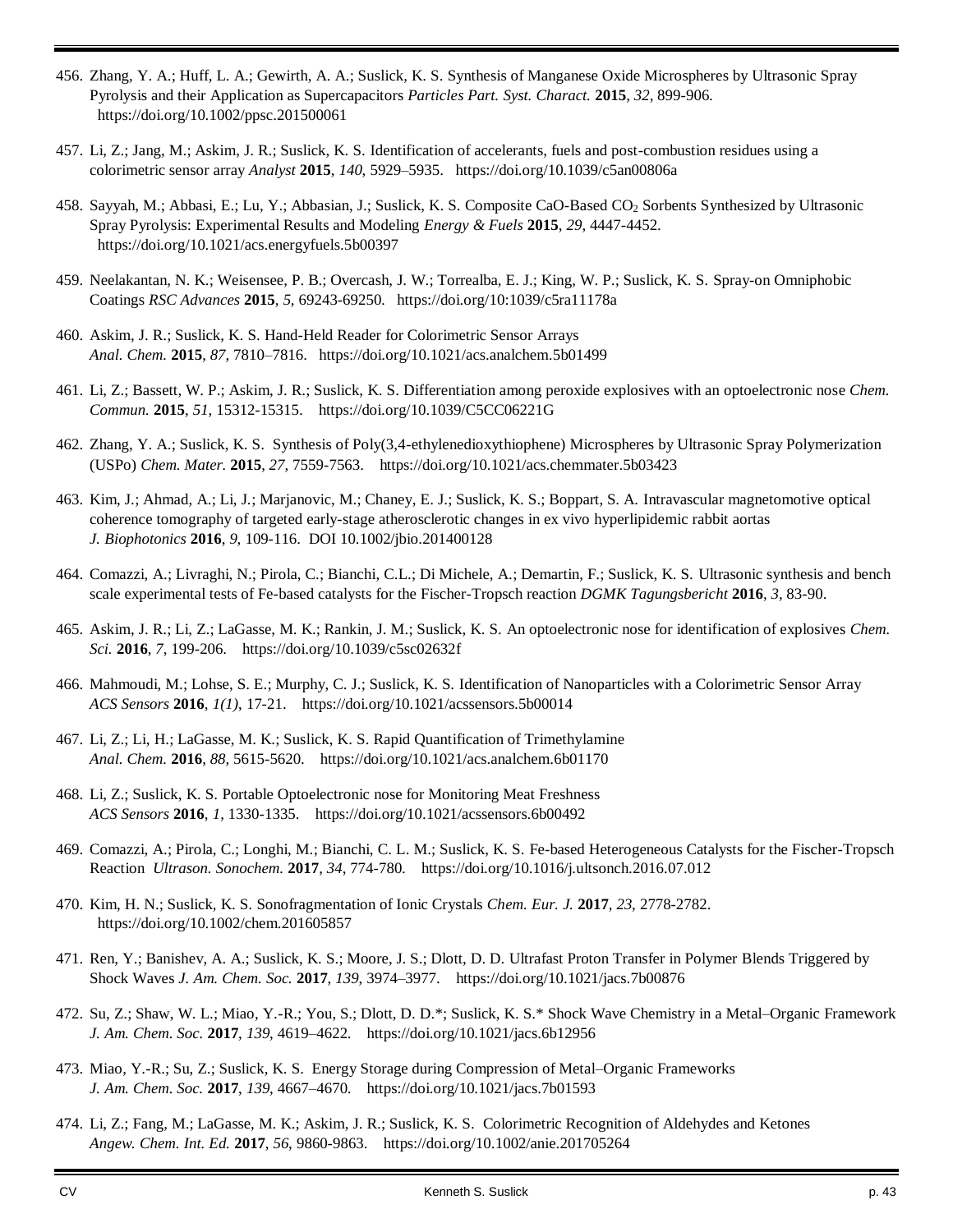- 456. Zhang, Y. A.; Huff, L. A.; Gewirth, A. A.; Suslick, K. S. Synthesis of Manganese Oxide Microspheres by Ultrasonic Spray Pyrolysis and their Application as Supercapacitors *Particles Part. Syst. Charact.* **2015**, *32*, 899-906. https://doi.org/10.1002/ppsc.201500061
- 457. Li, Z.; Jang, M.; Askim, J. R.; Suslick, K. S. Identification of accelerants, fuels and post-combustion residues using a colorimetric sensor array *Analyst* **2015**, *140*, 5929–5935. https://doi.org/10.1039/c5an00806a
- 458. Sayyah, M.; Abbasi, E.; Lu, Y.; Abbasian, J.; Suslick, K. S. Composite CaO-Based CO<sup>2</sup> Sorbents Synthesized by Ultrasonic Spray Pyrolysis: Experimental Results and Modeling *Energy & Fuels* **2015**, *29*, 4447-4452. https://doi.org/10.1021/acs.energyfuels.5b00397
- 459. Neelakantan, N. K.; Weisensee, P. B.; Overcash, J. W.; Torrealba, E. J.; King, W. P.; Suslick, K. S. Spray-on Omniphobic Coatings *RSC Advances* **2015**, *5*, 69243-69250*.* https://doi.org/10:1039/c5ra11178a
- 460. Askim, J. R.; Suslick, K. S. Hand-Held Reader for Colorimetric Sensor Arrays *Anal. Chem.* **2015**, *87*, 7810–7816. https://doi.org/10.1021/acs.analchem.5b01499
- 461. Li, Z.; Bassett, W. P.; Askim, J. R.; Suslick, K. S. Differentiation among peroxide explosives with an optoelectronic nose *Chem. Commun.* **2015**, *51*, 15312-15315. https://doi.org/10.1039/C5CC06221G
- 462. Zhang, Y. A.; Suslick, K. S. Synthesis of Poly(3,4-ethylenedioxythiophene) Microspheres by Ultrasonic Spray Polymerization (USPo) *Chem. Mater.* **2015**, *27*, 7559-7563. https://doi.org/10.1021/acs.chemmater.5b03423
- 463. Kim, J.; Ahmad, A.; Li, J.; Marjanovic, M.; Chaney, E. J.; Suslick, K. S.; Boppart, S. A. Intravascular magnetomotive optical coherence tomography of targeted early-stage atherosclerotic changes in ex vivo hyperlipidemic rabbit aortas *J. Biophotonics* **2016**, *9*, 109-116. DOI 10.1002/jbio.201400128
- 464. Comazzi, A.; Livraghi, N.; Pirola, C.; Bianchi, C.L.; Di Michele, A.; Demartin, F.; Suslick, K. S. Ultrasonic synthesis and bench scale experimental tests of Fe-based catalysts for the Fischer-Tropsch reaction *DGMK Tagungsbericht* **2016**, *3*, 83-90.
- 465. Askim, J. R.; Li, Z.; LaGasse, M. K.; Rankin, J. M.; Suslick, K. S. An optoelectronic nose for identification of explosives *Chem. Sci.* **2016**, *7*, 199-206. https://doi.org/10.1039/c5sc02632f
- 466. Mahmoudi, M.; Lohse, S. E.; Murphy, C. J.; Suslick, K. S. Identification of Nanoparticles with a Colorimetric Sensor Array *ACS Sensors* **2016**, *1(1)*, 17-21. https://doi.org/10.1021/acssensors.5b00014
- 467. Li, Z.; Li, H.; LaGasse, M. K.; Suslick, K. S. Rapid Quantification of Trimethylamine *Anal. Chem.* **2016**, *88*, 5615-5620. https://doi.org/10.1021/acs.analchem.6b01170
- 468. Li, Z.; Suslick, K. S. Portable Optoelectronic nose for Monitoring Meat Freshness *ACS Sensors* **2016**, *1*, 1330-1335. https://doi.org/10.1021/acssensors.6b00492
- 469. Comazzi, A.; Pirola, C.; Longhi, M.; Bianchi, C. L. M.; Suslick, K. S. Fe-based Heterogeneous Catalysts for the Fischer-Tropsch Reaction *Ultrason. Sonochem.* **2017**, *34*, 774-780. https://doi.org/10.1016/j.ultsonch.2016.07.012
- 470. Kim, H. N.; Suslick, K. S. Sonofragmentation of Ionic Crystals *Chem. Eur. J.* **2017**, *23*, 2778-2782. https://doi.org/10.1002/chem.201605857
- 471. Ren, Y.; Banishev, A. A.; Suslick, K. S.; Moore, J. S.; Dlott, D. D. Ultrafast Proton Transfer in Polymer Blends Triggered by Shock Waves *J. Am. Chem. Soc.* **2017**, *139*, 3974–3977. https://doi.org/10.1021/jacs.7b00876
- 472. Su, Z.; Shaw, W. L.; Miao, Y.-R.; You, S.; Dlott, D. D.\*; Suslick, K. S.\* Shock Wave Chemistry in a Metal–Organic Framework *J. Am. Chem. Soc.* **2017**, *139*, 4619–4622. https://doi.org/10.1021/jacs.6b12956
- 473. Miao, Y.-R.; Su, Z.; Suslick, K. S. Energy Storage during Compression of Metal–Organic Frameworks *J. Am. Chem. Soc.* **2017**, *139*, 4667–4670. https://doi.org/10.1021/jacs.7b01593
- 474. Li, Z.; Fang, M.; LaGasse, M. K.; Askim, J. R.; Suslick, K. S. Colorimetric Recognition of Aldehydes and Ketones *Angew. Chem. Int. Ed.* **2017**, *56*, 9860-9863. https://doi.org/10.1002/anie.201705264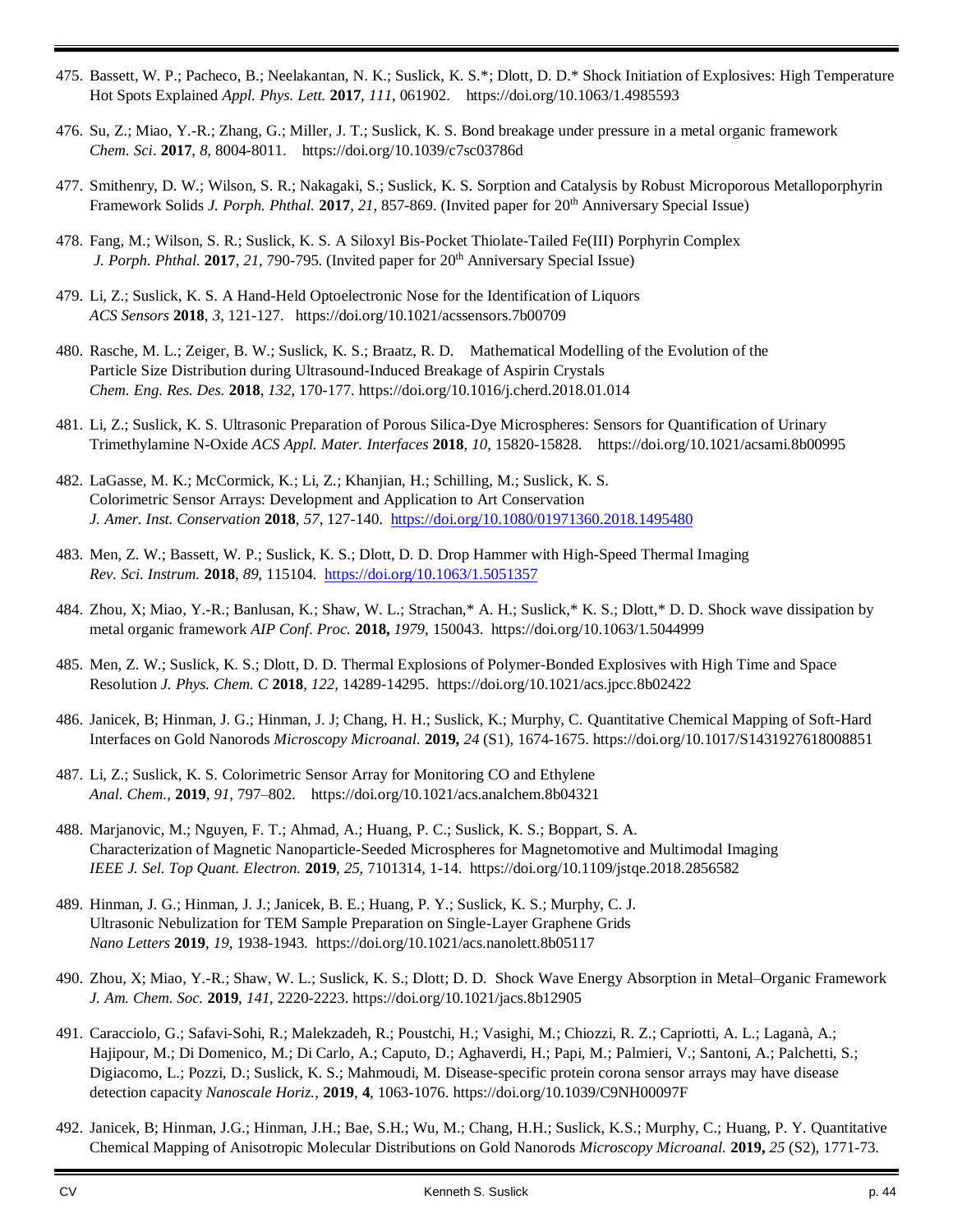- 475. Bassett, W. P.; Pacheco, B.; Neelakantan, N. K.; Suslick, K. S.\*; Dlott, D. D.\* Shock Initiation of Explosives: High Temperature Hot Spots Explained *Appl. Phys. Lett.* **2017**, *111*, 061902. https://doi.org/10.1063/1.4985593
- 476. Su, Z.; Miao, Y.-R.; Zhang, G.; Miller, J. T.; Suslick, K. S. Bond breakage under pressure in a metal organic framework *Chem. Sci*. **2017**, *8*, 8004-8011. https://doi.org/10.1039/c7sc03786d
- 477. Smithenry, D. W.; Wilson, S. R.; Nakagaki, S.; Suslick, K. S. Sorption and Catalysis by Robust Microporous Metalloporphyrin Framework Solids *J. Porph. Phthal.* **2017**, *21*, 857-869. (Invited paper for 20 th Anniversary Special Issue)
- 478. Fang, M.; Wilson, S. R.; Suslick, K. S. A Siloxyl Bis-Pocket Thiolate-Tailed Fe(III) Porphyrin Complex J. Porph. Phthal. 2017, 21, 790-795. (Invited paper for 20<sup>th</sup> Anniversary Special Issue)
- 479. Li, Z.; Suslick, K. S. A Hand-Held Optoelectronic Nose for the Identification of Liquors *ACS Sensors* **2018**, *3*, 121-127. https://doi.org/10.1021/acssensors.7b00709
- 480. Rasche, M. L.; Zeiger, B. W.; Suslick, K. S.; Braatz, R. D. Mathematical Modelling of the Evolution of the Particle Size Distribution during Ultrasound-Induced Breakage of Aspirin Crystals *Chem. Eng. Res. Des.* **2018**, *132*, 170-177. https://doi.org/10.1016/j.cherd.2018.01.014
- 481. Li, Z.; Suslick, K. S. Ultrasonic Preparation of Porous Silica-Dye Microspheres: Sensors for Quantification of Urinary Trimethylamine N-Oxide *ACS Appl. Mater. Interfaces* **2018**, *10*, 15820-15828. https://doi.org/10.1021/acsami.8b00995
- 482. LaGasse, M. K.; McCormick, K.; Li, Z.; Khanjian, H.; Schilling, M.; Suslick, K. S. Colorimetric Sensor Arrays: Development and Application to Art Conservation *J. Amer. Inst. Conservation* **2018**, *57*, 127-140. <https://doi.org/10.1080/01971360.2018.1495480>
- 483. Men, Z. W.; Bassett, W. P.; Suslick, K. S.; Dlott, D. D. Drop Hammer with High-Speed Thermal Imaging *Rev. Sci. Instrum.* **2018**, *89*, 115104.<https://doi.org/10.1063/1.5051357>
- 484. Zhou, X; Miao, Y.-R.; Banlusan, K.; Shaw, W. L.; Strachan,\* A. H.; Suslick,\* K. S.; Dlott,\* D. D. Shock wave dissipation by metal organic framework *AIP Conf. Proc.* **2018,** *1979*, 150043. https://doi.org/10.1063/1.5044999
- 485. Men, Z. W.; Suslick, K. S.; Dlott, D. D. Thermal Explosions of Polymer-Bonded Explosives with High Time and Space Resolution *J. Phys. Chem. C* **2018**, *122*, 14289-14295. https://doi.org/10.1021/acs.jpcc.8b02422
- 486. Janicek, B; Hinman, J. G.; Hinman, J. J; Chang, H. H.; Suslick, K.; Murphy, C. Quantitative Chemical Mapping of Soft-Hard Interfaces on Gold Nanorods *Microscopy Microanal.* **2019,** *24* (S1), 1674-1675. https://doi.org/10.1017/S1431927618008851
- 487. Li, Z.; Suslick, K. S. Colorimetric Sensor Array for Monitoring CO and Ethylene *Anal. Chem.*, **2019**, *91*, 797–802. https://doi.org/10.1021/acs.analchem.8b04321
- 488. Marjanovic, M.; Nguyen, F. T.; Ahmad, A.; Huang, P. C.; Suslick, K. S.; Boppart, S. A. Characterization of Magnetic Nanoparticle-Seeded Microspheres for Magnetomotive and Multimodal Imaging *IEEE J. Sel. Top Quant. Electron.* **2019**, *25*, 7101314, 1-14. https://doi.org/10.1109/jstqe.2018.2856582
- 489. Hinman, J. G.; Hinman, J. J.; Janicek, B. E.; Huang, P. Y.; Suslick, K. S.; Murphy, C. J. Ultrasonic Nebulization for TEM Sample Preparation on Single-Layer Graphene Grids *Nano Letters* **2019**, *19*, 1938-1943. https://doi.org/10.1021/acs.nanolett.8b05117
- 490. Zhou, X; Miao, Y.-R.; Shaw, W. L.; Suslick, K. S.; Dlott; D. D. Shock Wave Energy Absorption in Metal–Organic Framework *J. Am. Chem. Soc.* **2019**, *141*, 2220-2223. https://doi.org/10.1021/jacs.8b12905
- 491. Caracciolo, G.; Safavi-Sohi, R.; Malekzadeh, R.; Poustchi, H.; Vasighi, M.; Chiozzi, R. Z.; Capriotti, A. L.; Laganà, A.; Hajipour, M.; Di Domenico, M.; Di Carlo, A.; Caputo, D.; Aghaverdi, H.; Papi, M.; Palmieri, V.; Santoni, A.; Palchetti, S.; Digiacomo, L.; Pozzi, D.; Suslick, K. S.; Mahmoudi, M. Disease-specific protein corona sensor arrays may have disease detection capacity *Nanoscale Horiz.*, **2019**, **4**, 1063-1076. https://doi.org/10.1039/C9NH00097F
- 492. Janicek, B; Hinman, J.G.; Hinman, J.H.; Bae, S.H.; Wu, M.; Chang, H.H.; Suslick, K.S.; Murphy, C.; Huang, P. Y. Quantitative Chemical Mapping of Anisotropic Molecular Distributions on Gold Nanorods *Microscopy Microanal.* **2019,** *25* (S2), 1771-73.